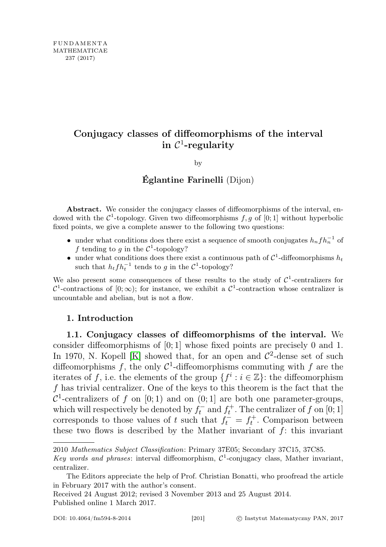# Conjugacy classes of diffeomorphisms of the interval  $\operatorname{in}$   $\mathcal{C}^1$ -regularity

by

## Églantine Farinelli (Dijon)

Abstract. We consider the conjugacy classes of diffeomorphisms of the interval, endowed with the  $\mathcal{C}^1$ -topology. Given two diffeomorphisms  $f, g$  of  $[0; 1]$  without hyperbolic fixed points, we give a complete answer to the following two questions:

- under what conditions does there exist a sequence of smooth conjugates  $h_n f h_n^{-1}$  of f tending to g in the  $\mathcal{C}^1$ -topology?
- under what conditions does there exist a continuous path of  $C^1$ -diffeomorphisms  $h_t$ such that  $h_t f h_t^{-1}$  tends to g in the  $\mathcal{C}^1$ -topology?

We also present some consequences of these results to the study of  $\mathcal{C}^1$ -centralizers for  $\mathcal{C}^1$ -contractions of  $[0; \infty)$ ; for instance, we exhibit a  $\mathcal{C}^1$ -contraction whose centralizer is uncountable and abelian, but is not a flow.

## 1. Introduction

1.1. Conjugacy classes of diffeomorphisms of the interval. We consider diffeomorphisms of [0; 1] whose fixed points are precisely 0 and 1. In 1970, N. Kopell [\[K\]](#page-47-0) showed that, for an open and  $\mathcal{C}^2$ -dense set of such diffeomorphisms f, the only  $\mathcal{C}^1$ -diffeomorphisms commuting with f are the iterates of f, i.e. the elements of the group  $\{f^i : i \in \mathbb{Z}\}$ : the diffeomorphism f has trivial centralizer. One of the keys to this theorem is the fact that the  $\mathcal{C}^1$ -centralizers of f on [0; 1] and on (0; 1] are both one parameter-groups, which will respectively be denoted by  $f_t^-$  and  $f_t^+$ . The centralizer of f on [0; 1] corresponds to those values of t such that  $f_t^{\dagger} = f_t^+$ . Comparison between these two flows is described by the Mather invariant of  $f$ : this invariant

<sup>2010</sup> Mathematics Subject Classification: Primary 37E05; Secondary 37C15, 37C85.

Key words and phrases: interval diffeomorphism,  $C^1$ -conjugacy class, Mather invariant, centralizer.

The Editors appreciate the help of Prof. Christian Bonatti, who proofread the article in February 2017 with the author's consent.

Received 24 August 2012; revised 3 November 2013 and 25 August 2014. Published online 1 March 2017.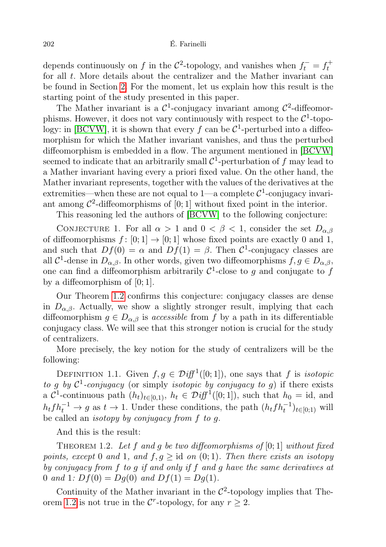depends continuously on f in the  $\mathcal{C}^2$ -topology, and vanishes when  $f_t^- = f_t^+$ for all  $t$ . More details about the centralizer and the Mather invariant can be found in Section [2.](#page-6-0) For the moment, let us explain how this result is the starting point of the study presented in this paper.

The Mather invariant is a  $\mathcal{C}^1$ -conjugacy invariant among  $\mathcal{C}^2$ -diffeomorphisms. However, it does not vary continuously with respect to the  $\mathcal{C}^1$ -topo-logy: in [\[BCVW\]](#page-46-0), it is shown that every f can be  $\mathcal{C}^1$ -perturbed into a diffeomorphism for which the Mather invariant vanishes, and thus the perturbed diffeomorphism is embedded in a flow. The argument mentioned in [\[BCVW\]](#page-46-0) seemed to indicate that an arbitrarily small  $\mathcal{C}^1$ -perturbation of f may lead to a Mather invariant having every a priori fixed value. On the other hand, the Mather invariant represents, together with the values of the derivatives at the extremities—when these are not equal to 1—a complete  $C^1$ -conjugacy invariant among  $\mathcal{C}^2$ -diffeomorphisms of [0; 1] without fixed point in the interior.

This reasoning led the authors of [\[BCVW\]](#page-46-0) to the following conjecture:

<span id="page-1-1"></span>CONJECTURE 1. For all  $\alpha > 1$  and  $0 < \beta < 1$ , consider the set  $D_{\alpha,\beta}$ of diffeomorphisms  $f : [0; 1] \rightarrow [0; 1]$  whose fixed points are exactly 0 and 1, and such that  $Df(0) = \alpha$  and  $Df(1) = \beta$ . Then  $\mathcal{C}^1$ -conjugacy classes are all  $\mathcal{C}^1$ -dense in  $D_{\alpha,\beta}$ . In other words, given two diffeomorphisms  $f, g \in D_{\alpha,\beta}$ , one can find a diffeomorphism arbitrarily  $\mathcal{C}^1$ -close to g and conjugate to f by a diffeomorphism of  $[0; 1]$ .

Our Theorem [1.2](#page-1-0) confirms this conjecture: conjugacy classes are dense in  $D_{\alpha,\beta}$ . Actually, we show a slightly stronger result, implying that each diffeomorphism  $g \in D_{\alpha,\beta}$  is accessible from f by a path in its differentiable conjugacy class. We will see that this stronger notion is crucial for the study of centralizers.

More precisely, the key notion for the study of centralizers will be the following:

<span id="page-1-2"></span>DEFINITION 1.1. Given  $f, g \in \mathcal{D}iff^1([0,1])$ , one says that f is *isotopic* to g by  $C^1$ -conjugacy (or simply *isotopic by conjugacy to g*) if there exists a  $\mathcal{C}^1$ -continuous path  $(h_t)_{t\in[0,1]}, h_t \in \mathcal{D}iff^1([0,1]),$  such that  $h_0 = id$ , and  $h_t f h_t^{-1} \to g$  as  $t \to 1$ . Under these conditions, the path  $(h_t f h_t^{-1})_{t \in [0,1)}$  will be called an isotopy by conjugacy from f to g.

And this is the result:

<span id="page-1-0"></span>THEOREM 1.2. Let f and g be two diffeomorphisms of  $[0;1]$  without fixed points, except 0 and 1, and  $f, g \geq id$  on  $(0, 1)$ . Then there exists an isotopy by conjugacy from f to g if and only if f and g have the same derivatives at 0 and 1:  $Df(0) = Dg(0)$  and  $Df(1) = Dg(1)$ .

Continuity of the Mather invariant in the  $\mathcal{C}^2$ -topology implies that The-orem [1.2](#page-1-0) is not true in the  $\mathcal{C}^r$ -topology, for any  $r \geq 2$ .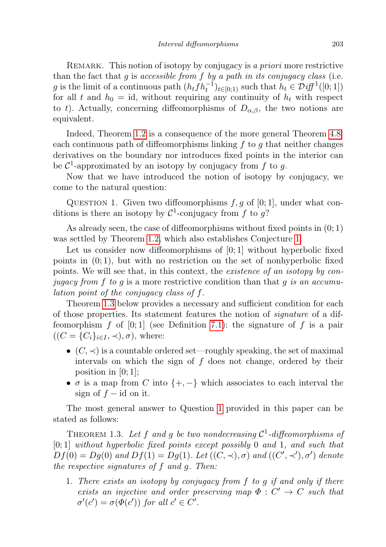REMARK. This notion of isotopy by conjugacy is a priori more restrictive than the fact that  $g$  is accessible from  $f$  by a path in its conjugacy class (i.e. g is the limit of a continuous path  $(h_t f h_t^{-1})_{t \in [0,1)}$  such that  $h_t \in \mathcal{D} \text{iff}^1([0,1])$ for all t and  $h_0 = id$ , without requiring any continuity of  $h_t$  with respect to t). Actually, concerning diffeomorphisms of  $D_{\alpha,\beta}$ , the two notions are equivalent.

Indeed, Theorem [1.2](#page-1-0) is a consequence of the more general Theorem [4.8:](#page-15-0) each continuous path of diffeomorphisms linking  $f$  to  $g$  that neither changes derivatives on the boundary nor introduces fixed points in the interior can be  $\mathcal{C}^1$ -approximated by an isotopy by conjugacy from f to g.

Now that we have introduced the notion of isotopy by conjugacy, we come to the natural question:

<span id="page-2-1"></span>QUESTION 1. Given two diffeomorphisms  $f, g$  of [0; 1], under what conditions is there an isotopy by  $\mathcal{C}^1$ -conjugacy from f to g?

As already seen, the case of diffeomorphisms without fixed points in  $(0, 1)$ was settled by Theorem [1.2,](#page-1-0) which also establishes Conjecture [1.](#page-1-1)

Let us consider now diffeomorphisms of  $[0, 1]$  without hyperbolic fixed points in  $(0, 1)$ , but with no restriction on the set of nonhyperbolic fixed points. We will see that, in this context, the existence of an isotopy by conjugacy from f to g is a more restrictive condition than that g is an accumulation point of the conjugacy class of f.

Theorem [1.3](#page-2-0) below provides a necessary and sufficient condition for each of those properties. Its statement features the notion of signature of a diffeomorphism f of  $[0; 1]$  (see Definition [7.1\)](#page-34-0): the signature of f is a pair  $((C = {C_i}_{i \in I}, \prec), \sigma)$ , where:

- $(C, \prec)$  is a countable ordered set—roughly speaking, the set of maximal intervals on which the sign of  $f$  does not change, ordered by their position in  $[0; 1]$ ;
- $\sigma$  is a map from C into  $\{+, -\}$  which associates to each interval the sign of  $f$  – id on it.

The most general answer to Question [1](#page-2-1) provided in this paper can be stated as follows:

<span id="page-2-0"></span>THEOREM 1.3. Let f and g be two nondecreasing  $C^1$ -diffeomorphisms of  $[0; 1]$  without hyperbolic fixed points except possibly 0 and 1, and such that  $Df(0) = Dg(0)$  and  $Df(1) = Dg(1)$ . Let  $((C, \prec), \sigma)$  and  $((C', \prec'), \sigma')$  denote the respective signatures of f and g. Then:

1. There exists an isotopy by conjugacy from f to g if and only if there exists an injective and order preserving map  $\Phi: C' \to C$  such that  $\sigma'(c') = \sigma(\Phi(c'))$  for all  $c' \in C'$ .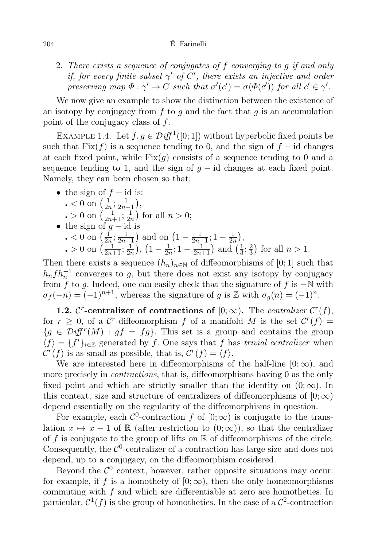2. There exists a sequence of conjugates of f converging to g if and only if, for every finite subset  $\gamma'$  of  $C'$ , there exists an injective and order preserving map  $\Phi : \gamma' \to C$  such that  $\sigma'(c') = \sigma(\Phi(c'))$  for all  $c' \in \gamma'$ .

We now give an example to show the distinction between the existence of an isotopy by conjugacy from f to q and the fact that  $q$  is an accumulation point of the conjugacy class of f.

EXAMPLE 1.4. Let  $f, g \in \mathcal{D}iff^1([0,1])$  without hyperbolic fixed points be such that Fix(f) is a sequence tending to 0, and the sign of  $f - id$  changes at each fixed point, while  $Fix(q)$  consists of a sequence tending to 0 and a sequence tending to 1, and the sign of  $g - id$  changes at each fixed point. Namely, they can been chosen so that:

\n- the sign of 
$$
f - \text{id}
$$
 is:\n
	\n- $0$  on  $\left(\frac{1}{2n}; \frac{1}{2n-1}\right)$ ,
	\n- $0$  on  $\left(\frac{1}{2n+1}; \frac{1}{2n}\right)$  for all  $n > 0$ ;
	\n\n
\n- the sign of  $g - \text{id}$  is\n
	\n- $0$  on  $\left(\frac{1}{2n}; \frac{1}{2n-1}\right)$  and on  $\left(1 - \frac{1}{2n-1}; 1 - \frac{1}{2n}\right)$ ,
	\n- $0$  on  $\left(\frac{1}{2n+1}; \frac{1}{2n}\right)$ ,  $\left(1 - \frac{1}{2n}; 1 - \frac{1}{2n+1}\right)$  and  $\left(\frac{1}{3}; \frac{2}{3}\right)$  for all  $n > 1$ .
	\n

Then there exists a sequence  $(h_n)_{n\in\mathbb{N}}$  of diffeomorphisms of [0; 1] such that  $h_n f h_n^{-1}$  converges to g, but there does not exist any isotopy by conjugacy from f to g. Indeed, one can easily check that the signature of f is  $-\mathbb{N}$  with  $\sigma_f(-n) = (-1)^{n+1}$ , whereas the signature of g is Z with  $\sigma_g(n) = (-1)^n$ .

1.2. C<sup>r</sup>-centralizer of contractions of  $[0; \infty)$ . The centralizer  $\mathcal{C}^r(f)$ , for  $r \geq 0$ , of a C<sup>r</sup>-diffeomorphism f of a manifold M is the set  $\mathcal{C}^r(f)$  =  ${g \in \mathcal{Diff}^{r}(M) : gf = fg}.$  This set is a group and contains the group  $\langle f \rangle = \{f^i\}_{i \in \mathbb{Z}}$  generated by f. One says that f has trivial centralizer when  $\mathcal{C}^r(f)$  is as small as possible, that is,  $\mathcal{C}^r(f) = \langle f \rangle$ .

We are interested here in diffeomorphisms of the half-line  $[0; \infty)$ , and more precisely in *contractions*, that is, diffeomorphisms having 0 as the only fixed point and which are strictly smaller than the identity on  $(0; \infty)$ . In this context, size and structure of centralizers of diffeomorphisms of  $[0;\infty)$ depend essentially on the regularity of the diffeomorphisms in question.

For example, each  $\mathcal{C}^0$ -contraction f of  $[0; \infty)$  is conjugate to the translation  $x \mapsto x - 1$  of R (after restriction to  $(0; \infty)$ ), so that the centralizer of f is conjugate to the group of lifts on  $\mathbb R$  of diffeomorphisms of the circle. Consequently, the  $C<sup>0</sup>$ -centralizer of a contraction has large size and does not depend, up to a conjugacy, on the diffeomorphism cosidered.

Beyond the  $\mathcal{C}^0$  context, however, rather opposite situations may occur: for example, if f is a homothety of  $[0; \infty)$ , then the only homeomorphisms commuting with f and which are differentiable at zero are homotheties. In particular,  $\mathcal{C}^1(f)$  is the group of homotheties. In the case of a  $\mathcal{C}^2$ -contraction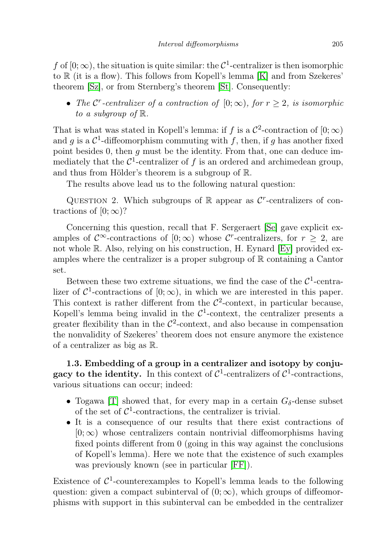f of  $[0; \infty)$ , the situation is quite similar: the  $\mathcal{C}^1$ -centralizer is then isomorphic to R (it is a flow). This follows from Kopell's lemma [\[K\]](#page-47-0) and from Szekeres' theorem [\[Sz\]](#page-47-1), or from Sternberg's theorem [\[St\]](#page-47-2). Consequently:

• The C<sup>r</sup>-centralizer of a contraction of  $[0; \infty)$ , for  $r \geq 2$ , is isomorphic to a subgroup of  $\mathbb{R}$ .

That is what was stated in Kopell's lemma: if f is a  $\mathcal{C}^2$ -contraction of  $[0; \infty)$ and g is a  $\mathcal{C}^1$ -diffeomorphism commuting with f, then, if g has another fixed point besides 0, then  $g$  must be the identity. From that, one can deduce immediately that the  $\mathcal{C}^1$ -centralizer of f is an ordered and archimedean group, and thus from Hölder's theorem is a subgroup of R.

The results above lead us to the following natural question:

QUESTION 2. Which subgroups of  $\mathbb R$  appear as  $\mathcal C^r$ -centralizers of contractions of  $[0; \infty)$ ?

Concerning this question, recall that F. Sergeraert [\[Se\]](#page-47-3) gave explicit examples of  $\mathcal{C}^{\infty}$ -contractions of  $[0; \infty)$  whose  $\mathcal{C}^r$ -centralizers, for  $r \geq 2$ , are not whole R. Also, relying on his construction, H. Eynard [\[Ey\]](#page-46-1) provided examples where the centralizer is a proper subgroup of  $\mathbb R$  containing a Cantor set.

Between these two extreme situations, we find the case of the  $\mathcal{C}^1$ -centralizer of  $\mathcal{C}^1$ -contractions of  $[0; \infty)$ , in which we are interested in this paper. This context is rather different from the  $\mathcal{C}^2$ -context, in particular because, Kopell's lemma being invalid in the  $\mathcal{C}^1$ -context, the centralizer presents a greater flexibility than in the  $\mathcal{C}^2$ -context, and also because in compensation the nonvalidity of Szekeres' theorem does not ensure anymore the existence of a centralizer as big as R.

1.3. Embedding of a group in a centralizer and isotopy by conjugacy to the identity. In this context of  $C^1$ -centralizers of  $C^1$ -contractions, various situations can occur; indeed:

- Togawa [\[T\]](#page-47-4) showed that, for every map in a certain  $G_{\delta}$ -dense subset of the set of  $\mathcal{C}^1$ -contractions, the centralizer is trivial.
- It is a consequence of our results that there exist contractions of  $[0; \infty)$  whose centralizers contain nontrivial diffeomorphisms having fixed points different from 0 (going in this way against the conclusions of Kopell's lemma). Here we note that the existence of such examples was previously known (see in particular [\[FF\]](#page-47-5)).

Existence of  $\mathcal{C}^1$ -counterexamples to Kopell's lemma leads to the following question: given a compact subinterval of  $(0; \infty)$ , which groups of diffeomorphisms with support in this subinterval can be embedded in the centralizer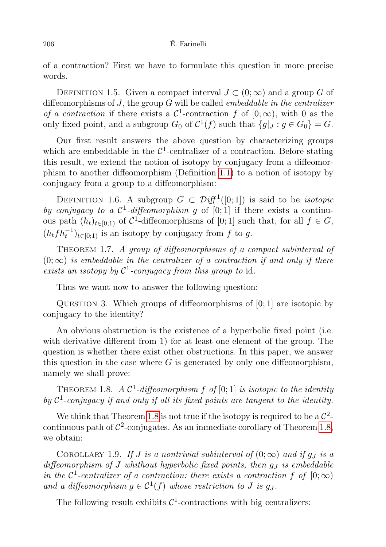of a contraction? First we have to formulate this question in more precise words.

DEFINITION 1.5. Given a compact interval  $J \subset (0, \infty)$  and a group G of diffeomorphisms of  $J$ , the group  $G$  will be called *embeddable in the centralizer* of a contraction if there exists a  $\mathcal{C}^1$ -contraction f of  $[0; \infty)$ , with 0 as the only fixed point, and a subgroup  $G_0$  of  $C^1(f)$  such that  $\{g|_J : g \in G_0\} = G$ .

Our first result answers the above question by characterizing groups which are embeddable in the  $\mathcal{C}^1$ -centralizer of a contraction. Before stating this result, we extend the notion of isotopy by conjugacy from a diffeomorphism to another diffeomorphism (Definition [1.1\)](#page-1-2) to a notion of isotopy by conjugacy from a group to a diffeomorphism:

DEFINITION 1.6. A subgroup  $G \subset \mathcal{Diff}^1([0,1])$  is said to be *isotopic* by conjugacy to a  $\mathcal{C}^1$ -diffeomorphism g of [0; 1] if there exists a continuous path  $(h_t)_{t\in[0,1]}$  of C<sup>1</sup>-diffeomorphisms of [0; 1] such that, for all  $f \in G$ ,  $(h_t f h_t^{-1})_{t \in [0,1)}$  is an isotopy by conjugacy from f to g.

<span id="page-5-1"></span>THEOREM 1.7. A group of diffeomorphisms of a compact subinterval of  $(0;\infty)$  is embeddable in the centralizer of a contraction if and only if there exists an isotopy by  $\mathcal{C}^1$ -conjugacy from this group to id.

Thus we want now to answer the following question:

QUESTION 3. Which groups of diffeomorphisms of  $[0; 1]$  are isotopic by conjugacy to the identity?

An obvious obstruction is the existence of a hyperbolic fixed point (i.e. with derivative different from 1) for at least one element of the group. The question is whether there exist other obstructions. In this paper, we answer this question in the case where  $G$  is generated by only one diffeomorphism, namely we shall prove:

<span id="page-5-0"></span>THEOREM 1.8. A  $\mathcal{C}^1$ -diffeomorphism  $f$  of [0; 1] is isotopic to the identity by  $C^1$ -conjugacy if and only if all its fixed points are tangent to the identity.

We think that Theorem [1.8](#page-5-0) is not true if the isotopy is required to be a  $\mathcal{C}^2$ continuous path of  $\mathcal{C}^2$ -conjugates. As an immediate corollary of Theorem [1.8,](#page-5-0) we obtain:

COROLLARY 1.9. If J is a nontrivial subinterval of  $(0; \infty)$  and if  $q_J$  is a diffeomorphism of  $J$  whithout hyperbolic fixed points, then  $q_J$  is embeddable in the  $\mathcal{C}^1$ -centralizer of a contraction: there exists a contraction f of  $[0; \infty)$ and a diffeomorphism  $g \in \mathcal{C}^1(f)$  whose restriction to J is  $g_J$ .

The following result exhibits  $C^1$ -contractions with big centralizers: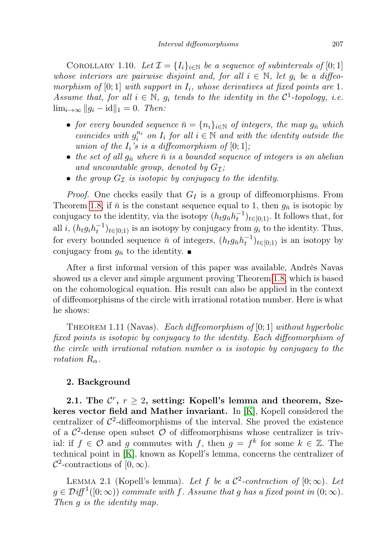COROLLARY 1.10. Let  $\mathcal{I} = \{I_i\}_{i \in \mathbb{N}}$  be a sequence of subintervals of [0; 1] whose interiors are pairwise disjoint and, for all  $i \in \mathbb{N}$ , let  $g_i$  be a diffeomorphism of [0; 1] with support in  $I_i$ , whose derivatives at fixed points are 1. Assume that, for all  $i \in \mathbb{N}$ ,  $g_i$  tends to the identity in the  $\mathcal{C}^1$ -topology, i.e.  $\lim_{i\to\infty}$   $||g_i - id||_1 = 0$ . Then:

- for every bounded sequence  $\bar{n} = \{n_i\}_{i \in \mathbb{N}}$  of integers, the map  $g_{\bar{n}}$  which coincides with  $g_i^{n_i}$  on  $I_i$  for all  $i \in \mathbb{N}$  and with the identity outside the union of the  $I_i$ 's is a diffeomorphism of  $[0;1]$ ;
- the set of all  $g_{\bar{n}}$  where  $\bar{n}$  is a bounded sequence of integers is an abelian and uncountable group, denoted by  $G_{\mathcal{I}}$ ;
- the group  $G_I$  is isotopic by conjugacy to the identity.

*Proof.* One checks easily that  $G_I$  is a group of diffeomorphisms. From Theorem [1.8,](#page-5-0) if  $\bar{n}$  is the constant sequence equal to 1, then  $g_{\bar{n}}$  is isotopic by conjugacy to the identity, via the isotopy  $(h_t g_{\bar{n}} h_t^{-1})_{t \in [0,1)}$ . It follows that, for all *i*,  $(h_t g_i h_t^{-1})_{t \in [0,1)}$  is an isotopy by conjugacy from  $g_i$  to the identity. Thus, for every bounded sequence  $\bar{n}$  of integers,  $(h_t g_{\bar{n}} h_t^{-1})_{t \in [0,1)}$  is an isotopy by conjugacy from  $g_{\bar{n}}$  to the identity.

After a first informal version of this paper was available, Andrès Navas showed us a clever and simple argument proving Theorem [1.8,](#page-5-0) which is based on the cohomological equation. His result can also be applied in the context of diffeomorphisms of the circle with irrational rotation number. Here is what he shows:

<span id="page-6-1"></span>THEOREM 1.11 (Navas). Each diffeomorphism of [0; 1] without hyperbolic fixed points is isotopic by conjugacy to the identity. Each diffeomorphism of the circle with irrational rotation number  $\alpha$  is isotopic by conjugacy to the rotation  $R_{\alpha}$ .

## <span id="page-6-0"></span>2. Background

2.1. The  $\mathcal{C}^r$ ,  $r \geq 2$ , setting: Kopell's lemma and theorem, Szekeres vector field and Mather invariant. In [\[K\]](#page-47-0), Kopell considered the centralizer of  $\mathcal{C}^2$ -diffeomorphisms of the interval. She proved the existence of a  $\mathcal{C}^2$ -dense open subset  $\mathcal O$  of diffeomorphisms whose centralizer is trivial: if  $f \in \mathcal{O}$  and g commutes with f, then  $g = f^k$  for some  $k \in \mathbb{Z}$ . The technical point in [\[K\]](#page-47-0), known as Kopell's lemma, concerns the centralizer of  $\mathcal{C}^2$ -contractions of  $[0,\infty)$ .

LEMMA 2.1 (Kopell's lemma). Let f be a  $\mathcal{C}^2$ -contraction of  $[0; \infty)$ . Let  $g \in \mathcal{D}iff^1([0;\infty))$  commute with f. Assume that g has a fixed point in  $(0;\infty)$ . Then g is the identity map.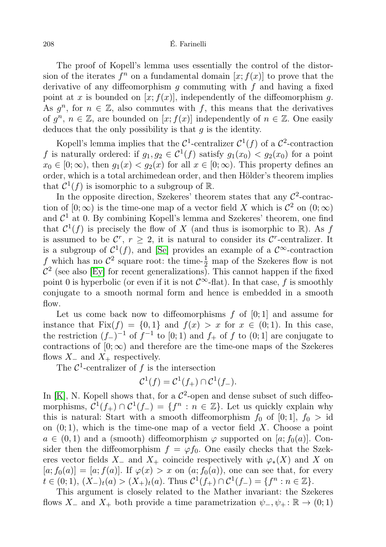The proof of Kopell's lemma uses essentially the control of the distorsion of the iterates  $f^n$  on a fundamental domain  $[x; f(x)]$  to prove that the derivative of any diffeomorphism  $g$  commuting with  $f$  and having a fixed point at x is bounded on  $[x; f(x)]$ , independently of the diffeomorphism g. As  $g^n$ , for  $n \in \mathbb{Z}$ , also commutes with f, this means that the derivatives of  $g^n$ ,  $n \in \mathbb{Z}$ , are bounded on  $[x; f(x)]$  independently of  $n \in \mathbb{Z}$ . One easily deduces that the only possibility is that  $q$  is the identity.

Kopell's lemma implies that the  $\mathcal{C}^1$ -centralizer  $\mathcal{C}^1(f)$  of a  $\mathcal{C}^2$ -contraction f is naturally ordered: if  $g_1, g_2 \in C^1(f)$  satisfy  $g_1(x_0) < g_2(x_0)$  for a point  $x_0 \in [0, \infty)$ , then  $g_1(x) < g_2(x)$  for all  $x \in [0, \infty)$ . This property defines an order, which is a total archimedean order, and then Hölder's theorem implies that  $C^1(f)$  is isomorphic to a subgroup of R.

In the opposite direction, Szekeres' theorem states that any  $\mathcal{C}^2$ -contraction of  $[0; \infty)$  is the time-one map of a vector field X which is  $\mathcal{C}^2$  on  $(0; \infty)$ and  $\mathcal{C}^1$  at 0. By combining Kopell's lemma and Szekeres' theorem, one find that  $C^1(f)$  is precisely the flow of X (and thus is isomorphic to R). As f is assumed to be  $\mathcal{C}^r$ ,  $r \geq 2$ , it is natural to consider its  $\mathcal{C}^r$ -centralizer. It is a subgroup of  $\mathcal{C}^1(f)$ , and [\[Se\]](#page-47-3) provides an example of a  $\mathcal{C}^{\infty}$ -contraction f which has no  $\mathcal{C}^2$  square root: the time- $\frac{1}{2}$  map of the Szekeres flow is not  $\mathcal{C}^2$  (see also [\[Ey\]](#page-46-1) for recent generalizations). This cannot happen if the fixed point 0 is hyperbolic (or even if it is not  $\mathcal{C}^{\infty}$ -flat). In that case, f is smoothly conjugate to a smooth normal form and hence is embedded in a smooth flow.

Let us come back now to diffeomorphisms  $f$  of  $[0; 1]$  and assume for instance that  $Fix(f) = \{0,1\}$  and  $f(x) > x$  for  $x \in (0,1)$ . In this case, the restriction  $(f<sub>-</sub>)^{-1}$  of  $f<sup>-1</sup>$  to  $[0;1)$  and  $f<sub>+</sub>$  of f to  $(0;1]$  are conjugate to contractions of  $[0; \infty)$  and therefore are the time-one maps of the Szekeres flows  $X_-\text{ and }X_+\text{ respectively.}$ 

The  $\mathcal{C}^1$ -centralizer of f is the intersection

$$
\mathcal{C}^1(f) = \mathcal{C}^1(f_+) \cap \mathcal{C}^1(f_-).
$$

In [\[K\]](#page-47-0), N. Kopell shows that, for a  $\mathcal{C}^2$ -open and dense subset of such diffeomorphisms,  $C^1(f_+) \cap C^1(f_-) = \{f^n : n \in \mathbb{Z}\}\.$  Let us quickly explain why this is natural: Start with a smooth diffeomorphism  $f_0$  of  $[0; 1]$ ,  $f_0 > id$ on  $(0, 1)$ , which is the time-one map of a vector field X. Choose a point  $a \in (0,1)$  and a (smooth) diffeomorphism  $\varphi$  supported on [a;  $f_0(a)$ ]. Consider then the diffeomorphism  $f = \varphi f_0$ . One easily checks that the Szekeres vector fields  $X_-\,$  and  $X_+\,$  coincide respectively with  $\varphi_*(X)$  and X on  $[a; f_0(a)] = [a; f(a)]$ . If  $\varphi(x) > x$  on  $(a; f_0(a))$ , one can see that, for every  $t \in (0,1), (X_{-})_{t}(a) > (X_{+})_{t}(a)$ . Thus  $C^{1}(f_{+}) \cap C^{1}(f_{-}) = \{f^{n} : n \in \mathbb{Z}\}.$ 

This argument is closely related to the Mather invariant: the Szekeres flows X<sub>-</sub> and X<sub>+</sub> both provide a time parametrization  $\psi_-, \psi_+ : \mathbb{R} \to (0,1)$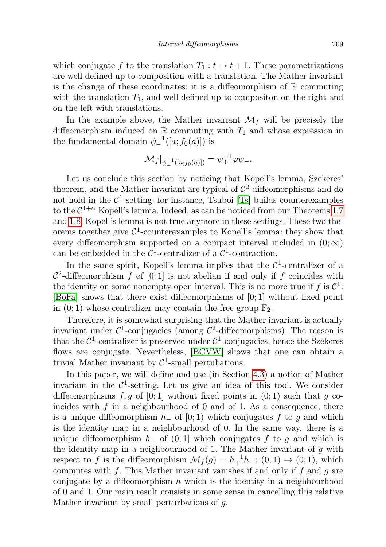which conjugate f to the translation  $T_1 : t \mapsto t + 1$ . These parametrizations are well defined up to composition with a translation. The Mather invariant is the change of these coordinates: it is a diffeomorphism of  $\mathbb R$  commuting with the translation  $T_1$ , and well defined up to compositon on the right and on the left with translations.

In the example above, the Mather invariant  $\mathcal{M}_f$  will be precisely the diffeomorphism induced on  $\mathbb R$  commuting with  $T_1$  and whose expression in the fundamental domain  $\psi^{-1}([a; f_0(a)])$  is

$$
\mathcal{M}_f|_{\psi^{-1}([a;f_0(a)])} = \psi_+^{-1} \varphi \psi_-.
$$

Let us conclude this section by noticing that Kopell's lemma, Szekeres' theorem, and the Mather invariant are typical of  $\mathcal{C}^2$ -diffeomorphisms and do not hold in the  $C^1$ -setting: for instance, Tsuboi [\[Ts\]](#page-47-6) builds counterexamples to the  $C^{1+\alpha}$  Kopell's lemma. Indeed, as can be noticed from our Theorems [1.7](#page-5-1) and [1.8,](#page-5-0) Kopell's lemma is not true anymore in these settings. These two theorems together give  $\mathcal{C}^1$ -counterexamples to Kopell's lemma: they show that every diffeomorphism supported on a compact interval included in  $(0; \infty)$ can be embedded in the  $\mathcal{C}^1$ -centralizer of a  $\mathcal{C}^1$ -contraction.

In the same spirit, Kopell's lemma implies that the  $\mathcal{C}^1$ -centralizer of a  $\mathcal{C}^2$ -diffeomorphism f of [0; 1] is not abelian if and only if f coincides with the identity on some nonempty open interval. This is no more true if  $f$  is  $\mathcal{C}^1$ : [\[BoFa\]](#page-46-2) shows that there exist diffeomorphisms of [0; 1] without fixed point in  $(0, 1)$  whose centralizer may contain the free group  $\mathbb{F}_2$ .

Therefore, it is somewhat surprising that the Mather invariant is actually invariant under  $C^1$ -conjugacies (among  $C^2$ -diffeomorphisms). The reason is that the  $C^1$ -centralizer is preserved under  $C^1$ -conjugacies, hence the Szekeres flows are conjugate. Nevertheless, [\[BCVW\]](#page-46-0) shows that one can obtain a trivial Mather invariant by  $C^1$ -small pertubations.

In this paper, we will define and use (in Section [4.3\)](#page-18-0) a notion of Mather invariant in the  $\mathcal{C}^1$ -setting. Let us give an idea of this tool. We consider diffeomorphisms  $f, g$  of [0; 1] without fixed points in (0; 1) such that g coincides with  $f$  in a neighbourhood of 0 and of 1. As a consequence, there is a unique diffeomorphism  $h_$  of [0; 1) which conjugates f to g and which is the identity map in a neighbourhood of 0. In the same way, there is a unique diffeomorphism  $h_+$  of  $(0, 1]$  which conjugates f to g and which is the identity map in a neighbourhood of 1. The Mather invariant of  $g$  with respect to f is the diffeomorphism  $\mathcal{M}_f(g) = h_+^{-1}h_-: (0,1) \to (0,1)$ , which commutes with f. This Mather invariant vanishes if and only if f and q are conjugate by a diffeomorphism  $h$  which is the identity in a neighbourhood of 0 and 1. Our main result consists in some sense in cancelling this relative Mather invariant by small perturbations of g.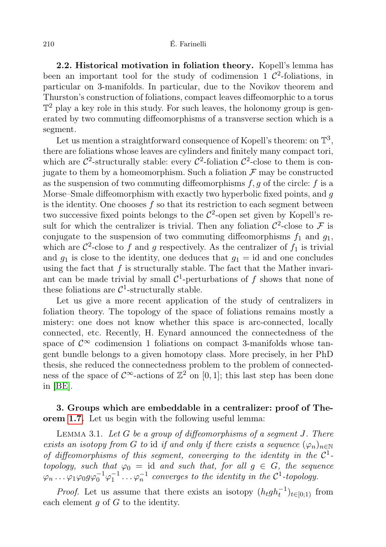2.2. Historical motivation in foliation theory. Kopell's lemma has been an important tool for the study of codimension 1  $\mathcal{C}^2$ -foliations, in particular on 3-manifolds. In particular, due to the Novikov theorem and Thurston's construction of foliations, compact leaves diffeomorphic to a torus  $\mathbb{T}^2$  play a key role in this study. For such leaves, the holonomy group is generated by two commuting diffeomorphisms of a transverse section which is a segment.

Let us mention a straightforward consequence of Kopell's theorem: on  $\mathbb{T}^3$ , there are foliations whose leaves are cylinders and finitely many compact tori, which are  $\mathcal{C}^2$ -structurally stable: every  $\mathcal{C}^2$ -foliation  $\mathcal{C}^2$ -close to them is conjugate to them by a homeomorphism. Such a foliation  $\mathcal F$  may be constructed as the suspension of two commuting diffeomorphisms  $f, g$  of the circle: f is a Morse–Smale diffeomorphism with exactly two hyperbolic fixed points, and  $q$ is the identity. One chooses  $f$  so that its restriction to each segment between two successive fixed points belongs to the  $C^2$ -open set given by Kopell's result for which the centralizer is trivial. Then any foliation  $\mathcal{C}^2$ -close to  $\mathcal F$  is conjugate to the suspension of two commuting diffeomorphisms  $f_1$  and  $g_1$ , which are  $\mathcal{C}^2$ -close to f and g respectively. As the centralizer of  $f_1$  is trivial and  $q_1$  is close to the identity, one deduces that  $q_1 = id$  and one concludes using the fact that  $f$  is structurally stable. The fact that the Mather invariant can be made trivial by small  $\mathcal{C}^1$ -perturbations of f shows that none of these foliations are  $C^1$ -structurally stable.

Let us give a more recent application of the study of centralizers in foliation theory. The topology of the space of foliations remains mostly a mistery: one does not know whether this space is arc-connected, locally connected, etc. Recently, H. Eynard announced the connectedness of the space of  $\mathcal{C}^{\infty}$  codimension 1 foliations on compact 3-manifolds whose tangent bundle belongs to a given homotopy class. More precisely, in her PhD thesis, she reduced the connectedness problem to the problem of connectedness of the space of  $\mathcal{C}^{\infty}$ -actions of  $\mathbb{Z}^2$  on [0, 1]; this last step has been done in [\[BE\]](#page-46-3).

## 3. Groups which are embeddable in a centralizer: proof of Theorem [1.7.](#page-5-1) Let us begin with the following useful lemma:

<span id="page-9-0"></span>LEMMA 3.1. Let  $G$  be a group of diffeomorphisms of a seqment  $J$ . There exists an isotopy from G to id if and only if there exists a sequence  $(\varphi_n)_{n\in\mathbb{N}}$ of diffeomorphisms of this segment, converging to the identity in the  $C^1$ topology, such that  $\varphi_0 = id$  and such that, for all  $g \in G$ , the sequence  $\varphi_n \ldots \varphi_1 \varphi_0 g \varphi_0^{-1} \varphi_1^{-1} \ldots \varphi_n^{-1}$  converges to the identity in the  $\mathcal{C}^1$ -topology.

*Proof.* Let us assume that there exists an isotopy  $(h_t gh_t^{-1})_{t \in [0,1)}$  from each element  $g$  of  $G$  to the identity.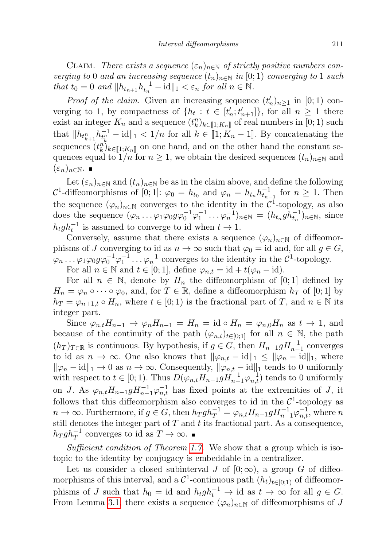CLAIM. There exists a sequence  $(\varepsilon_n)_{n\in\mathbb{N}}$  of strictly positive numbers converging to 0 and an increasing sequence  $(t_n)_{n\in\mathbb{N}}$  in  $[0;1)$  converging to 1 such that  $t_0 = 0$  and  $||h_{t_{n+1}} h_{t_n}^{-1} - \text{id}||_1 < \varepsilon_n$  for all  $n \in \mathbb{N}$ .

*Proof of the claim.* Given an increasing sequence  $(t'_n)_{n\geq 1}$  in [0; 1) converging to 1, by compactness of  $\{h_t : t \in [t'_n; t'_{n+1}]\}$ , for all  $n \geq 1$  there exist an integer  $K_n$  and a sequence  $(t_k^n)_{k \in [\![ 1, K_n ]\!]}$  of real numbers in  $[0, 1)$  such  $(1, \ldots, 1]$ that  $||h_{t_{k+1}^n}h_{t_k}^{-1}-\mathrm{id}||_1 < 1/n$  for all  $k \in [1; K_n-1]$ . By concatenating the sequences  $(t_n^n)_{k \in [1;K_n]}$  on one hand, and on the other hand the constant sequences equal to  $1/n$  for  $n \geq 1$ , we obtain the desired sequences  $(t_n)_{n \in \mathbb{N}}$  and  $(\varepsilon_n)_{n\in\mathbb{N}}$ .  $\blacksquare$ 

Let  $(\varepsilon_n)_{n\in\mathbb{N}}$  and  $(t_n)_{n\in\mathbb{N}}$  be as in the claim above, and define the following  $\mathcal{C}^1$ -diffeomorphisms of [0; 1]:  $\varphi_0 = h_{t_0}$  and  $\varphi_n = h_{t_n} h_{t_{n-1}}^{-1}$  for  $n \geq 1$ . Then the sequence  $(\varphi_n)_{n\in\mathbb{N}}$  converges to the identity in the  $\mathcal{C}^1$ -topology, as also does the sequence  $(\varphi_n \dots \varphi_1 \varphi_0 g \varphi_0^{-1} \varphi_1^{-1} \dots \varphi_n^{-1})_{n \in \mathbb{N}} = (h_{t_n} g h_{t_n}^{-1})_{n \in \mathbb{N}},$  since  $h_t gh_t^{-1}$  is assumed to converge to id when  $t \to 1$ .

Conversely, assume that there exists a sequence  $(\varphi_n)_{n\in\mathbb{N}}$  of diffeomorphisms of J converging to id as  $n \to \infty$  such that  $\varphi_0 = id$  and, for all  $q \in G$ ,  $\varphi_n \dots \varphi_1 \varphi_0 g \varphi_0^{-1} \varphi_1^{-1} \dots \varphi_n^{-1}$  converges to the identity in the  $\mathcal{C}^1$ -topology. For all  $n \in \mathbb{N}$  and  $t \in [0,1]$ , define  $\varphi_{n,t} = \mathrm{id} + t(\varphi_n - \mathrm{id})$ .

For all  $n \in \mathbb{N}$ , denote by  $H_n$  the diffeomorphism of [0; 1] defined by  $H_n = \varphi_n \circ \cdots \circ \varphi_0$ , and, for  $T \in \mathbb{R}$ , define a diffeomorphism  $h_T$  of [0; 1] by  $h_T = \varphi_{n+1,t} \circ H_n$ , where  $t \in [0,1)$  is the fractional part of T, and  $n \in \mathbb{N}$  its integer part.

Since  $\varphi_{n,t}H_{n-1} \to \varphi_nH_{n-1} = H_n = \text{id} \circ H_n = \varphi_{n,0}H_n$  as  $t \to 1$ , and because of the continuity of the path  $(\varphi_{n,t})_{t\in[0,1]}$  for all  $n\in\mathbb{N}$ , the path  $(h_T)_{T \in \mathbb{R}}$  is continuous. By hypothesis, if  $g \in G$ , then  $H_{n-1}gH_{n-1}^{-1}$  converges to id as  $n \to \infty$ . One also knows that  $\|\varphi_{n,t} - \mathrm{id}\|_1 \le \|\varphi_n - \mathrm{id}\|_1$ , where  $\|\varphi_n - \text{id}\|_1 \to 0$  as  $n \to \infty$ . Consequently,  $\|\varphi_{n,t} - \text{id}\|_1$  tends to 0 uniformly with respect to  $t \in [0, 1)$ . Thus  $D(\varphi_{n,t} H_{n-1} g H_{n-1}^{-1} \varphi_{n,t}^{-1})$  tends to 0 uniformly on J. As  $\varphi_{n,t}H_{n-1}gH_{n-1}^{-1}\varphi_{n,t}^{-1}$  has fixed points at the extremities of J, it follows that this diffeomorphism also converges to id in the  $\mathcal{C}^1$ -topology as  $n \to \infty$ . Furthermore, if  $g \in G$ , then  $h_T gh_T^{-1} = \varphi_{n,t} H_{n-1} g H_{n-1}^{-1} \varphi_{n,t}^{-1}$ , where n still denotes the integer part of  $T$  and  $t$  its fractional part. As a consequence,  $h_T g h_T^{-1}$  converges to id as  $T \to \infty$ .

Sufficient condition of Theorem [1.7.](#page-5-1) We show that a group which is isotopic to the identity by conjugacy is embeddable in a centralizer.

Let us consider a closed subinterval J of  $[0; \infty)$ , a group G of diffeomorphisms of this interval, and a  $\mathcal{C}^1$ -continuous path  $(h_t)_{t\in[0,1)}$  of diffeomorphisms of J such that  $h_0 = id$  and  $h_t gh_t^{-1} \to id$  as  $t \to \infty$  for all  $g \in G$ . From Lemma [3.1,](#page-9-0) there exists a sequence  $(\varphi_n)_{n\in\mathbb{N}}$  of diffeomorphisms of J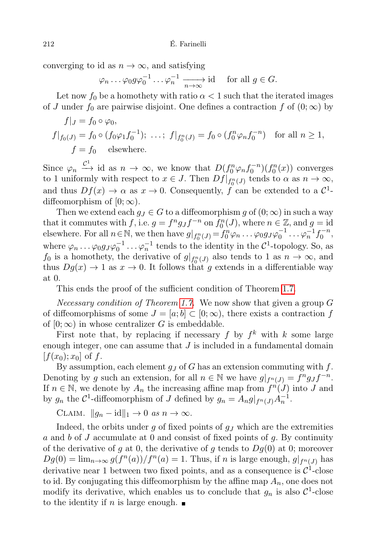converging to id as  $n \to \infty$ , and satisfying

 $\varphi_n \dots \varphi_0 g \varphi_0^{-1} \dots \varphi_n^{-1} \xrightarrow[n \to \infty]{} \text{id} \text{ for all } g \in G.$ 

Let now  $f_0$  be a homothety with ratio  $\alpha < 1$  such that the iterated images of J under  $f_0$  are pairwise disjoint. One defines a contraction f of  $(0, \infty)$  by

$$
f|_J = f_0 \circ \varphi_0,
$$
  
\n
$$
f|_{f_0(J)} = f_0 \circ (f_0 \varphi_1 f_0^{-1}); \dots; f|_{f_0^n(J)} = f_0 \circ (f_0^n \varphi_n f_0^{-n}) \text{ for all } n \ge 1,
$$
  
\n
$$
f = f_0 \text{ elsewhere.}
$$

Since  $\varphi_n \xrightarrow{C^1}$  id as  $n \to \infty$ , we know that  $D(f_0^n \varphi_n f_0^{-n})(f_0^n(x))$  converges to 1 uniformly with respect to  $x \in J$ . Then  $Df|_{f_0^n(J)}$  tends to  $\alpha$  as  $n \to \infty$ , and thus  $Df(x) \to \alpha$  as  $x \to 0$ . Consequently, f can be extended to a  $\mathcal{C}^1$ diffeomorphism of  $[0; \infty)$ .

Then we extend each  $g_J \in G$  to a diffeomorphism g of  $(0, \infty)$  in such a way that it commutes with f, i.e.  $g = f^n g_J f^{-n}$  on  $f_0^n(J)$ , where  $n \in \mathbb{Z}$ , and  $g = id$ elsewhere. For all  $n \in \mathbb{N}$ , we then have  $g|_{f_0^n(J)} = f_0^n \varphi_n \dots \varphi_0 g_J \varphi_0^{-1} \dots \varphi_n^{-1} f_0^{-n}$ , where  $\varphi_n \dots \varphi_0 g_J \varphi_0^{-1} \dots \varphi_n^{-1}$  tends to the identity in the  $\mathcal{C}^1$ -topology. So, as  $f_0$  is a homothety, the derivative of  $g|_{f_0^n(J)}$  also tends to 1 as  $n \to \infty$ , and thus  $Dg(x) \to 1$  as  $x \to 0$ . It follows that g extends in a differentiable way at 0.

This ends the proof of the sufficient condition of Theorem [1.7.](#page-5-1)

Necessary condition of Theorem [1.7.](#page-5-1) We now show that given a group G of diffeomorphisms of some  $J = [a, b] \subset [0, \infty)$ , there exists a contraction f of  $[0; \infty)$  in whose centralizer G is embeddable.

First note that, by replacing if necessary  $f$  by  $f^k$  with  $k$  some large enough integer, one can assume that  $J$  is included in a fundamental domain  $[f(x_0); x_0]$  of f.

By assumption, each element  $q_J$  of G has an extension commuting with f. Denoting by g such an extension, for all  $n \in \mathbb{N}$  we have  $g|_{f^n(J)} = f^n g_J f^{-n}$ . If  $n \in \mathbb{N}$ , we denote by  $A_n$  the increasing affine map from  $f^n(J)$  into J and by  $g_n$  the  $\mathcal{C}^1$ -diffeomorphism of J defined by  $g_n = A_n g|_{f^n(J)} A_n^{-1}$ .

CLAIM.  $||g_n - id||_1 \to 0 \text{ as } n \to \infty.$ 

Indeed, the orbits under g of fixed points of  $g<sub>J</sub>$  which are the extremities a and b of J accumulate at 0 and consist of fixed points of  $q$ . By continuity of the derivative of g at 0, the derivative of g tends to  $Dg(0)$  at 0; moreover  $Dg(0) = \lim_{n \to \infty} g(f^n(a))/f^n(a) = 1$ . Thus, if n is large enough,  $g|_{f^n(J)}$  has derivative near 1 between two fixed points, and as a consequence is  $\mathcal{C}^1$ -close to id. By conjugating this diffeomorphism by the affine map  $A_n$ , one does not modify its derivative, which enables us to conclude that  $g_n$  is also  $\mathcal{C}^1$ -close to the identity if n is large enough.  $\blacksquare$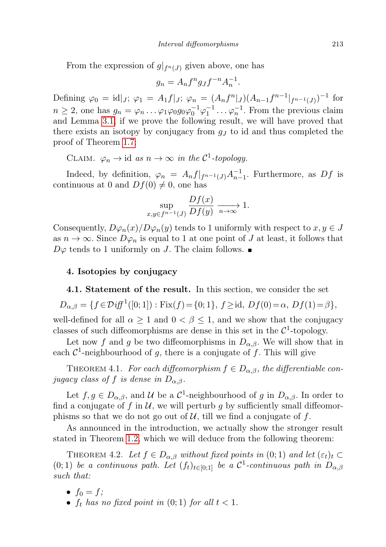From the expression of  $g|_{f^n(J)}$  given above, one has

$$
g_n = A_n f^n g_J f^{-n} A_n^{-1}.
$$

Defining  $\varphi_0 = id|_J; \varphi_1 = A_1f|_J; \varphi_n = (A_nf^n|_J)(A_{n-1}f^{n-1}|_{f^{n-1}(J)})^{-1}$  for  $n \geq 2$ , one has  $g_n = \varphi_n \dots \varphi_1 \varphi_0 g_0 \varphi_0^{-1} \varphi_1^{-1} \dots \varphi_n^{-1}$ . From the previous claim and Lemma [3.1,](#page-9-0) if we prove the following result, we will have proved that there exists an isotopy by conjugacy from  $g<sub>J</sub>$  to id and thus completed the proof of Theorem [1.7:](#page-5-1)

CLAIM.  $\varphi_n \to \text{id}$  as  $n \to \infty$  in the C<sup>1</sup>-topology.

Indeed, by definition,  $\varphi_n = A_n f|_{f^{n-1}(J)} A_{n-1}^{-1}$ . Furthermore, as  $Df$  is continuous at 0 and  $Df(0) \neq 0$ , one has

$$
\sup_{x,y \in f^{n-1}(J)} \frac{Df(x)}{Df(y)} \xrightarrow[n \to \infty]{} 1.
$$

Consequently,  $D\varphi_n(x)/D\varphi_n(y)$  tends to 1 uniformly with respect to  $x, y \in J$ as  $n \to \infty$ . Since  $D\varphi_n$  is equal to 1 at one point of J at least, it follows that  $D\varphi$  tends to 1 uniformly on J. The claim follows.

## 4. Isotopies by conjugacy

4.1. Statement of the result. In this section, we consider the set

$$
D_{\alpha,\beta} = \{ f \in \mathcal{D} \text{ iff } {}^{1}([0;1]) : \text{Fix}(f) = \{0;1\}, f \geq \text{id}, \text{ } Df(0) = \alpha, \text{ } Df(1) = \beta \},
$$

well-defined for all  $\alpha \geq 1$  and  $0 < \beta \leq 1$ , and we show that the conjugacy classes of such diffeomorphisms are dense in this set in the  $\mathcal{C}^1$ -topology.

Let now f and g be two diffeomorphisms in  $D_{\alpha,\beta}$ . We will show that in each  $\mathcal{C}^1$ -neighbourhood of g, there is a conjugate of f. This will give

<span id="page-12-1"></span>THEOREM 4.1. For each diffeomorphism  $f \in D_{\alpha,\beta}$ , the differentiable conjugacy class of f is dense in  $D_{\alpha,\beta}$ .

Let  $f, g \in D_{\alpha,\beta}$ , and  $\mathcal U$  be a  $\mathcal C^1$ -neighbourhood of g in  $D_{\alpha,\beta}$ . In order to find a conjugate of f in  $U$ , we will perturb g by sufficiently small diffeomorphisms so that we do not go out of  $U$ , till we find a conjugate of f.

As announced in the introduction, we actually show the stronger result stated in Theorem [1.2,](#page-1-0) which we will deduce from the following theorem:

<span id="page-12-0"></span>THEOREM 4.2. Let  $f \in D_{\alpha,\beta}$  without fixed points in (0; 1) and let  $(\varepsilon_t)_t \subset$ (0;1) be a continuous path. Let  $(f_t)_{t \in [0,1]}$  be a  $\mathcal{C}^1$ -continuous path in  $D_{\alpha,\beta}$ such that:

- $f_0 = f$ ;
- $f_t$  has no fixed point in  $(0, 1)$  for all  $t < 1$ .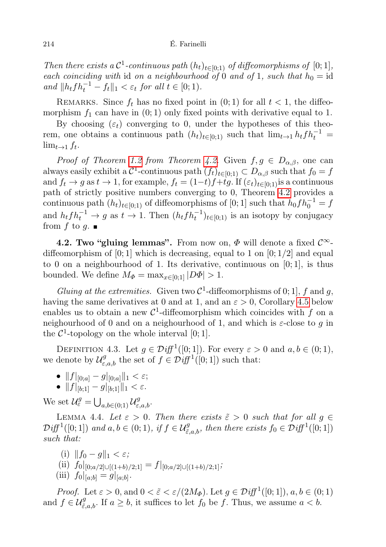Then there exists a  $C^1$ -continuous path  $(h_t)_{t\in[0;1]}$  of diffeomorphisms of  $[0;1]$ , each coinciding with id on a neighbourhood of 0 and of 1, such that  $h_0 = id$ and  $||h_t f h_t^{-1} - f_t||_1 < \varepsilon_t$  for all  $t \in [0; 1)$ .

REMARKS. Since  $f_t$  has no fixed point in  $(0, 1)$  for all  $t < 1$ , the diffeomorphism  $f_1$  can have in  $(0, 1)$  only fixed points with derivative equal to 1.

By choosing  $(\varepsilon_t)$  converging to 0, under the hypotheses of this theorem, one obtains a continuous path  $(h_t)_{t\in[0;1)}$  such that  $\lim_{t\to 1} h_t f h_t^{-1} =$  $\lim_{t\to 1} f_t$ .

*Proof of Theorem [1.2](#page-1-0) from Theorem [4.2.](#page-12-0)* Given  $f, g \in D_{\alpha,\beta}$ , one can always easily exhibit a  $C^1$ -continuous path  $(f_t)_{t\in[0;1)}\subset D_{\alpha,\beta}$  such that  $f_0=f$ and  $f_t \to g$  as  $t \to 1$ , for example,  $f_t = (1-t)f+tg$ . If  $(\varepsilon_t)_{t\in[0,1)}$  is a continuous path of strictly positive numbers converging to 0, Theorem [4.2](#page-12-0) provides a continuous path  $(h_t)_{t\in[0;1)}$  of diffeomorphisms of [0; 1] such that  $h_0 f h_0^{-1} = f$ and  $h_t f h_t^{-1} \to g$  as  $t \to 1$ . Then  $(h_t f h_t^{-1})_{t \in [0,1)}$  is an isotopy by conjugacy from f to g.  $\blacksquare$ 

<span id="page-13-1"></span>4.2. Two "gluing lemmas". From now on,  $\Phi$  will denote a fixed  $\mathcal{C}^{\infty}$ diffeomorphism of [0; 1] which is decreasing, equal to 1 on  $[0; 1/2]$  and equal to 0 on a neighbourhood of 1. Its derivative, continuous on  $[0; 1]$ , is thus bounded. We define  $M_{\Phi} = \max_{x \in [0,1]} |D\Phi| > 1$ .

Gluing at the extremities. Given two  $C^1$ -diffeomorphisms of 0; 1], f and g, having the same derivatives at 0 and at 1, and an  $\varepsilon > 0$ , Corollary [4.5](#page-14-0) below enables us to obtain a new  $\mathcal{C}^1$ -diffeomorphism which coincides with f on a neighourhood of 0 and on a neighourhood of 1, and which is  $\varepsilon$ -close to q in the  $\mathcal{C}^1$ -topology on the whole interval [0; 1].

DEFINITION 4.3. Let  $g \in \mathcal{Diff}^1([0;1])$ . For every  $\varepsilon > 0$  and  $a, b \in (0;1)$ , we denote by  $\mathcal{U}^g_{\varepsilon,a,b}$  the set of  $f \in \mathcal{D}iff^1([0;1])$  such that:

- $||f|_{[0;a]} g|_{[0;a]}||_1 < \varepsilon;$
- $||f||_{b;1} g||_{b;1}||_1 < \varepsilon$ .

We set  $\mathcal{U}_{\varepsilon}^g = \bigcup_{a,b \in (0,1)} \mathcal{U}_{\varepsilon,a,b}^g$ .

<span id="page-13-0"></span>LEMMA 4.4. Let  $\varepsilon > 0$ . Then there exists  $\tilde{\varepsilon} > 0$  such that for all  $g \in$  $\mathcal{D}iff^1([0;1])$  and  $a, b \in (0;1)$ , if  $f \in \mathcal{U}^g_{\tilde{\varepsilon},a,b}$ , then there exists  $f_0 \in \mathcal{D}iff^1([0;1])$ such that:

- (i)  $||f_0 g||_1 < \varepsilon$ ;
- (ii)  $f_0|_{[0;a/2]\cup[(1+b)/2;1]} = f|_{[0;a/2]\cup[(1+b)/2;1]};$
- (iii)  $f_0|_{[a;b]} = g|_{[a;b]}$ .

*Proof.* Let  $\varepsilon > 0$ , and  $0 < \tilde{\varepsilon} < \varepsilon/(2M_{\Phi})$ . Let  $g \in \mathcal{D}iff^1([0; 1])$ ,  $a, b \in (0; 1)$ and  $f \in \mathcal{U}^g_{\tilde{\varepsilon},a,b}$ . If  $a \geq b$ , it suffices to let  $f_0$  be f. Thus, we assume  $a < b$ .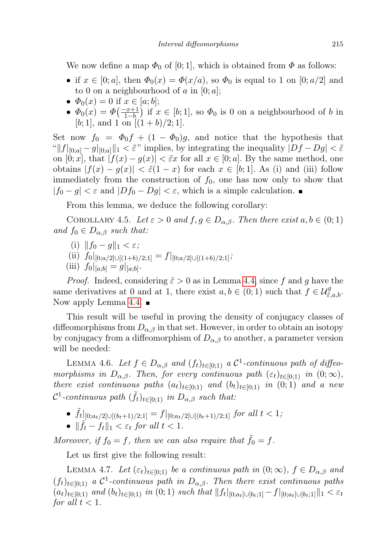We now define a map  $\Phi_0$  of [0; 1], which is obtained from  $\Phi$  as follows:

- if  $x \in [0; a]$ , then  $\Phi_0(x) = \Phi(x/a)$ , so  $\Phi_0$  is equal to 1 on  $[0; a/2]$  and to 0 on a neighbourhood of a in  $[0; a]$ ;
- $\Phi_0(x) = 0$  if  $x \in [a; b]$ ;
- $\Phi_0(x) = \Phi\left(\frac{-x+1}{1-b}\right)$  if  $x \in [b,1]$ , so  $\Phi_0$  is 0 on a neighbourhood of b in [b; 1], and 1 on  $[(1+b)/2; 1]$ .

Set now  $f_0 = \Phi_0 f + (1 - \Phi_0)g$ , and notice that the hypothesis that " $||f||_{[0;a]} - g||_{[0;a]}||_1 < \tilde{\varepsilon}$ " implies, by integrating the inequality  $|Df - Dg| < \tilde{\varepsilon}$ on  $[0; x]$ , that  $|f(x) - g(x)| < \tilde{\varepsilon}x$  for all  $x \in [0; a]$ . By the same method, one obtains  $|f(x) - g(x)| < \tilde{\varepsilon}(1-x)$  for each  $x \in [b,1]$ . As (i) and (iii) follow immediately from the construction of  $f_0$ , one has now only to show that  $|f_0 - g| < \varepsilon$  and  $|Df_0 - Dg| < \varepsilon$ , which is a simple calculation.

From this lemma, we deduce the following corollary:

<span id="page-14-0"></span>COROLLARY 4.5. Let  $\varepsilon > 0$  and  $f, g \in D_{\alpha,\beta}$ . Then there exist  $a, b \in (0,1)$ and  $f_0 \in D_{\alpha,\beta}$  such that:

- (i)  $||f_0 g||_1 < \varepsilon$ ;
- (ii)  $f_0|_{[0;a/2]\cup[(1+b)/2;1]} = f|_{[0;a/2]\cup[(1+b)/2;1]}$ ;
- (iii)  $f_0|_{[a;b]} = g|_{[a;b]}.$

*Proof.* Indeed, considering  $\tilde{\varepsilon} > 0$  as in Lemma [4.4,](#page-13-0) since f and g have the same derivatives at 0 and at 1, there exist  $a, b \in (0, 1)$  such that  $f \in \mathcal{U}_{\tilde{\varepsilon}, a, b}^g$ . Now apply Lemma [4.4.](#page-13-0)  $\blacksquare$ 

This result will be useful in proving the density of conjugacy classes of diffeomorphisms from  $D_{\alpha,\beta}$  in that set. However, in order to obtain an isotopy by conjugacy from a diffeomorphism of  $D_{\alpha,\beta}$  to another, a parameter version will be needed:

<span id="page-14-1"></span>LEMMA 4.6. Let  $f \in D_{\alpha,\beta}$  and  $(f_t)_{t \in [0,1]}$  a  $\mathcal{C}^1$ -continuous path of diffeomorphisms in  $D_{\alpha,\beta}$ . Then, for every continuous path  $(\varepsilon_t)_{t\in[0,1)}$  in  $(0;\infty)$ , there exist continuous paths  $(a_t)_{t\in[0;1)}$  and  $(b_t)_{t\in[0;1)}$  in  $(0;1)$  and a new  $\mathcal{C}^1$ -continuous path  $(\tilde{f}_t)_{t \in [0;1)}$  in  $D_{\alpha,\beta}$  such that:

- $\tilde{f}_t|_{[0;a_t/2]\cup[(b_t+1)/2;1]} = f|_{[0;a_t/2]\cup[(b_t+1)/2;1]}$  for all  $t < 1$ ;
- $\|\tilde{f}_t f_t\|_1 < \varepsilon_t$  for all  $t < 1$ .

Moreover, if  $f_0 = f$ , then we can also require that  $\tilde{f}_0 = f$ .

Let us first give the following result:

<span id="page-14-2"></span>LEMMA 4.7. Let  $(\varepsilon_t)_{t\in[0,1)}$  be a continuous path in  $(0;\infty)$ ,  $f\in D_{\alpha,\beta}$  and  $(f_t)_{t\in[0,1)}$  a  $\mathcal{C}^1$ -continuous path in  $D_{\alpha,\beta}$ . Then there exist continuous paths  $(a_t)_{t\in[0;1)}$  and  $(b_t)_{t\in[0;1)}$  in  $(0;1)$  such that  $||f_t|_{[0;a_t]\cup[b_t;1]}-f|_{[0;a_t]\cup[b_t;1]}||_1 < \varepsilon_t$ for all  $t < 1$ .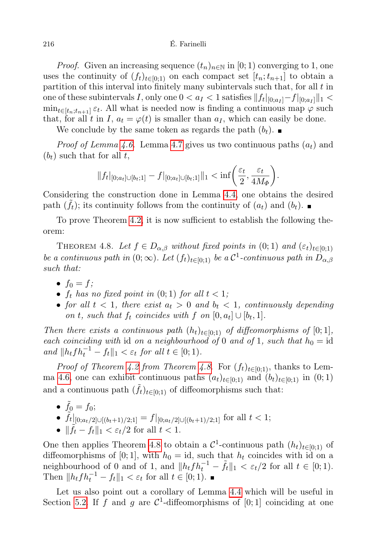*Proof.* Given an increasing sequence  $(t_n)_{n\in\mathbb{N}}$  in [0; 1) converging to 1, one uses the continuity of  $(f_t)_{t\in[0,1)}$  on each compact set  $[t_n;t_{n+1}]$  to obtain a partition of this interval into finitely many subintervals such that, for all  $t$  in one of these subintervals I, only one  $0 < a_I < 1$  satisfies  $|| f_t |_{[0;a_I]} - f |_{[0;a_I]} ||_1 <$  $\min_{t \in [t_n; t_{n+1}]}\varepsilon_t$ . All what is needed now is finding a continuous map  $\varphi$  such that, for all t in I,  $a_t = \varphi(t)$  is smaller than  $a_t$ , which can easily be done.

We conclude by the same token as regards the path  $(b_t)$ .

*Proof of Lemma [4.6.](#page-14-1)* Lemma [4.7](#page-14-2) gives us two continuous paths  $(a_t)$  and  $(b_t)$  such that for all t,

$$
||f_t|_{[0;a_t]\cup[b_t;1]}-f|_{[0;a_t]\cup[b_t;1]}||_1 < \inf\left(\frac{\varepsilon_t}{2},\frac{\varepsilon_t}{4M_\Phi}\right).
$$

Considering the construction done in Lemma [4.4,](#page-13-0) one obtains the desired path  $(\tilde{f}_t)$ ; its continuity follows from the continuity of  $(a_t)$  and  $(b_t)$ .

To prove Theorem [4.2,](#page-12-0) it is now sufficient to establish the following theorem:

<span id="page-15-0"></span>THEOREM 4.8. Let  $f \in D_{\alpha,\beta}$  without fixed points in  $(0;1)$  and  $(\varepsilon_t)_{t\in[0;1)}$ be a continuous path in  $(0; \infty)$ . Let  $(f_t)_{t \in [0;1)}$  be a  $\mathcal{C}^1$ -continuous path in  $D_{\alpha,\beta}$ such that:

- $f_0 = f$ ;
- $f_t$  has no fixed point in  $(0; 1)$  for all  $t < 1$ ;
- for all  $t < 1$ , there exist  $a_t > 0$  and  $b_t < 1$ , continuously depending on t, such that  $f_t$  coincides with  $f$  on  $[0, a_t] \cup [b_t, 1]$ .

Then there exists a continuous path  $(h_t)_{t\in[0,1)}$  of diffeomorphisms of  $[0,1]$ , each coinciding with id on a neighbourhood of 0 and of 1, such that  $h_0 = id$ and  $||h_t f h_t^{-1} - f_t||_1 < \varepsilon_t$  for all  $t \in [0; 1)$ .

*Proof of Theorem [4.2](#page-12-0) from Theorem [4.8](#page-15-0).* For  $(f_t)_{t\in[0,1)}$ , thanks to Lem-ma [4.6,](#page-14-1) one can exhibit continuous paths  $(a_t)_{t\in[0;1)}$  and  $(b_t)_{t\in[0;1)}$  in  $(0;1)$ and a continuous path  $(\tilde{f}_t)_{t\in[0;1)}$  of diffeomorphisms such that:

\n- \n
$$
\tilde{f}_0 = f_0;
$$
\n
\n- \n $\tilde{f}_t|_{[0;a_t/2]\cup[(b_t+1)/2;1]} = f|_{[0;a_t/2]\cup[(b_t+1)/2;1]}$  for all  $t < 1;$ \n
\n- \n $\|\tilde{f}_t - f_t\|_1 < \varepsilon_t/2$  for all  $t < 1.$ \n
\n

One then applies Theorem [4.8](#page-15-0) to obtain a  $\mathcal{C}^1$ -continuous path  $(h_t)_{t\in[0,1)}$  of diffeomorphisms of [0; 1], with  $h_0 = id$ , such that  $h_t$  coincides with id on a neighbourhood of 0 and of 1, and  $||h_tfh_t^{-1} - \tilde{f}_t||_1 < \varepsilon_t/2$  for all  $t \in [0,1)$ . Then  $||h_t f h_t^{-1} - f_t||_1 < \varepsilon_t$  for all  $t \in [0; 1)$ .

Let us also point out a corollary of Lemma [4.4](#page-13-0) which will be useful in Section [5.2.](#page-26-0) If f and g are  $\mathcal{C}^1$ -diffeomorphisms of [0; 1] coinciding at one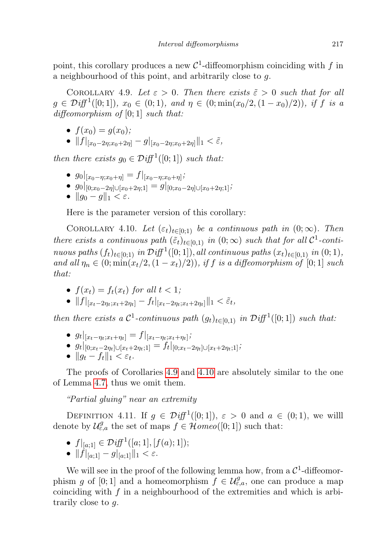point, this corollary produces a new  $\mathcal{C}^1$ -diffeomorphism coinciding with f in a neighbourhood of this point, and arbitrarily close to g.

<span id="page-16-0"></span>COROLLARY 4.9. Let  $\varepsilon > 0$ . Then there exists  $\tilde{\varepsilon} > 0$  such that for all  $g \in \mathcal{D}iff^1([0;1])$ ,  $x_0 \in (0;1)$ , and  $\eta \in (0;\min(x_0/2,(1-x_0)/2))$ , if f is a diffeomorphism of  $[0; 1]$  such that:

- $f(x_0) = q(x_0)$ ;
- $||f||_{x_0-2\eta;x_0+2\eta} g||_{x_0-2\eta;x_0+2\eta}||_1 < \tilde{\varepsilon},$

then there exists  $g_0 \in \mathcal{D}iff^1([0;1])$  such that:

- $g_0|_{[x_0-\eta; x_0+\eta]}=f|_{[x_0-\eta; x_0+\eta]};$
- $g_0|_{[0;x_0-2\eta]\cup[x_0+2\eta;1]} = g|_{[0;x_0-2\eta]\cup[x_0+2\eta;1]};$
- $||g_0 g||_1 < \varepsilon$ .

Here is the parameter version of this corollary:

<span id="page-16-1"></span>COROLLARY 4.10. Let  $(\varepsilon_t)_{t\in[0,1]}$  be a continuous path in  $(0;\infty)$ . Then there exists a continuous path  $(\tilde{\varepsilon}_t)_{t \in [0,1)}$  in  $(0; \infty)$  such that for all  $\mathcal{C}^1$ -continuous paths  $(f_t)_{t \in [0,1)}$  in  $\mathcal{D}iff^1([0,1]),$  all continuous paths  $(x_t)_{t \in [0,1)}$  in  $(0,1),$ and all  $\eta_n \in (0; \min(x_t/2, (1-x_t)/2))$ , if f is a diffeomorphism of [0; 1] such that:

- $f(x_t) = f_t(x_t)$  for all  $t < 1$ ;
- $||f||_{x_t-2\eta_t; x_t+2\eta_t]} f_t||_{x_t-2\eta_t; x_t+2\eta_t]} ||_1 < \tilde{\varepsilon}_t,$

then there exists a  $C^1$ -continuous path  $(g_t)_{t\in[0,1]}$  in  $\mathcal{D}iff^1([0;1])$  such that:

- $g_t|_{[x_t-\eta_t; x_t+\eta_t]} = f|_{[x_t-\eta_t; x_t+\eta_t]};$
- $g_t|_{[0;x_t-2\eta_t]\cup[x_t+2\eta_t;1]} = f_t|_{[0;x_t-2\eta_t]\cup[x_t+2\eta_t;1]};$
- $||q_t f_t||_1 < \varepsilon_t$ .

The proofs of Corollaries [4.9](#page-16-0) and [4.10](#page-16-1) are absolutely similar to the one of Lemma [4.7,](#page-14-2) thus we omit them.

"Partial gluing" near an extremity

DEFINITION 4.11. If  $g \in \mathcal{Diff}^1([0,1])$ ,  $\varepsilon > 0$  and  $a \in (0,1)$ , we will denote by  $\mathcal{U}_{\varepsilon,a}^g$  the set of maps  $f \in \mathcal{H} \text{omeo}([0;1])$  such that:

- $f|_{[a;1]} \in \mathcal{D}iff^1([a;1],[f(a);1]);$
- $||f|_{[a;1]} g||_{[a;1]}||_1 < \varepsilon.$

<span id="page-16-2"></span>We will see in the proof of the following lemma how, from a  $\mathcal{C}^1$ -diffeomorphism g of [0; 1] and a homeomorphism  $f \in \mathcal{U}_{\varepsilon,a}^g$ , one can produce a map coinciding with  $f$  in a neighbourhood of the extremities and which is arbitrarily close to g.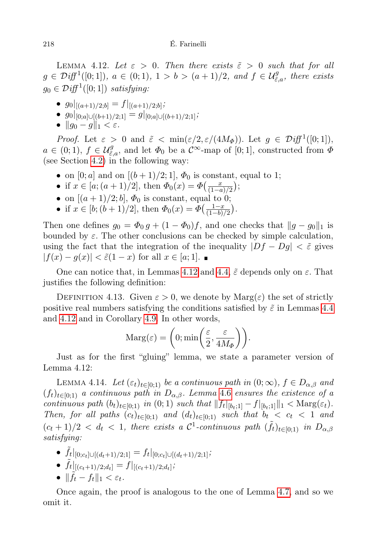LEMMA 4.12. Let  $\varepsilon > 0$ . Then there exists  $\tilde{\varepsilon} > 0$  such that for all  $g \in \mathcal{D}iff^1([0;1]), a \in (0;1), 1 > b > (a+1)/2, and f \in \mathcal{U}_{\tilde{\varepsilon},a}^g$ , there exists  $g_0 \in \mathcal{D}iff^1([0;1])$  satisfying:

- $g_0|_{[(a+1)/2;b]} = f|_{[(a+1)/2;b]}$
- $g_0|_{[0;a]\cup[(b+1)/2,1]} = g|_{[0;a]\cup[(b+1)/2,1]}$ ;
- $\|g_0 g\|_1 < \varepsilon$ .

*Proof.* Let  $\varepsilon > 0$  and  $\tilde{\varepsilon} < \min(\varepsilon/2, \varepsilon/(4M_{\Phi}))$ . Let  $g \in \mathcal{D}iff^1([0, 1]),$  $a \in (0,1)$ ,  $f \in \mathcal{U}_{\tilde{\varepsilon},a}^g$ , and let  $\Phi_0$  be a  $\mathcal{C}^{\infty}$ -map of [0; 1], constructed from  $\Phi$ (see Section [4.2\)](#page-13-1) in the following way:

- on  $[0; a]$  and on  $[(b+1)/2; 1]$ ,  $\Phi_0$  is constant, equal to 1;
- if  $x \in [a; (a+1)/2]$ , then  $\Phi_0(x) = \Phi(\frac{x}{(1-a)^2})$  $\frac{x}{(1-a)/2}$ );
- on  $[(a+1)/2; b]$ ,  $\Phi_0$  is constant, equal to 0;
- if  $x \in [b; (b+1)/2]$ , then  $\Phi_0(x) = \Phi\left(\frac{1-x}{(1-b)}\right)$  $\frac{1-x}{(1-b)/2}$ .

Then one defines  $g_0 = \Phi_0 g + (1 - \Phi_0)f$ , and one checks that  $||g - g_0||_1$  is bounded by  $\varepsilon$ . The other conclusions can be checked by simple calculation, using the fact that the integration of the inequality  $|Df - Dg| < \tilde{\varepsilon}$  gives  $|f(x) - g(x)| < \tilde{\varepsilon}(1-x)$  for all  $x \in [a;1]$ . ■

One can notice that, in Lemmas [4.12](#page-16-2) and [4.4,](#page-13-0)  $\tilde{\varepsilon}$  depends only on  $\varepsilon$ . That justifies the following definition:

DEFINITION 4.13. Given  $\varepsilon > 0$ , we denote by  $\text{Marg}(\varepsilon)$  the set of strictly positive real numbers satisfying the conditions satisfied by  $\tilde{\varepsilon}$  in Lemmas [4.4](#page-13-0) and [4.12](#page-16-2) and in Corollary [4.9.](#page-16-0) In other words,

$$
\mathrm{Marg}(\varepsilon) = \left(0; \min\left(\frac{\varepsilon}{2}, \frac{\varepsilon}{4M_{\Phi}}\right)\right).
$$

Just as for the first "gluing" lemma, we state a parameter version of Lemma 4.12:

<span id="page-17-0"></span>LEMMA 4.14. Let  $(\varepsilon_t)_{t\in[0,1)}$  be a continuous path in  $(0;\infty)$ ,  $f\in D_{\alpha,\beta}$  and  $(f_t)_{t\in[0,1]}$  a continuous path in  $D_{\alpha,\beta}$ . Lemma [4.6](#page-14-1) ensures the existence of a continuous path  $(b_t)_{t \in [0;1)}$  in  $(0; 1)$  such that  $||f_t||_{[b_t;1]} - f||_{[b_t;1]}||_1 < \text{Marg}(\varepsilon_t)$ . Then, for all paths  $(c_t)_{t\in[0,1)}$  and  $(d_t)_{t\in[0,1)}$  such that  $b_t < c_t < 1$  and  $(c_t+1)/2 < d_t < 1$ , there exists a  $\mathcal{C}^1$ -continuous path  $(\tilde{f}_t)_{t \in [0,1)}$  in  $D_{\alpha,\beta}$ satisfying:

- $\tilde{f}_t|_{[0;c_t]\cup[(d_t+1)/2;1]} = f_t|_{[0;c_t]\cup[(d_t+1)/2;1]};$ •  $\tilde{f}_t|_{[(c_t+1)/2;d_t]} = f|_{[(c_t+1)/2;d_t]}$
- $||f_t f_t||_1 < \varepsilon_t$ .

Once again, the proof is analogous to the one of Lemma [4.7,](#page-14-2) and so we omit it.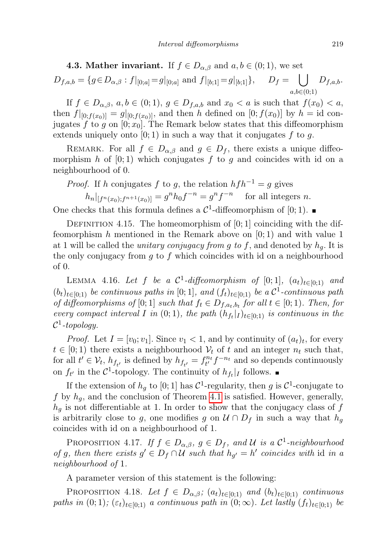<span id="page-18-0"></span>4.3. Mather invariant. If  $f \in D_{\alpha,\beta}$  and  $a, b \in (0,1)$ , we set

$$
D_{f,a,b} = \{ g \in D_{\alpha,\beta} : f|_{[0;a]} = g|_{[0;a]} \text{ and } f|_{[b;1]} = g|_{[b;1]} \}, \quad D_f = \bigcup_{a,b \in (0;1)} D_{f,a,b}.
$$

If  $f \in D_{\alpha,\beta}$ ,  $a, b \in (0,1)$ ,  $g \in D_{f,a,b}$  and  $x_0 < a$  is such that  $f(x_0) < a$ , then  $f|_{[0;f(x_0)]} = g|_{[0;f(x_0)]}$ , and then h defined on  $[0;f(x_0)]$  by  $h = id$  conjugates f to g on  $[0; x_0]$ . The Remark below states that this diffeomorphism extends uniquely onto  $[0; 1)$  in such a way that it conjugates  $f$  to  $g$ .

REMARK. For all  $f \in D_{\alpha,\beta}$  and  $g \in D_f$ , there exists a unique diffeomorphism h of  $[0, 1)$  which conjugates f to g and coincides with id on a neighbourhood of 0.

*Proof.* If h conjugates f to g, the relation  $h f h^{-1} = g$  gives  $h_n|_{[f^n(x_0);f^{n+1}(x_0)]} = g^n h_0 f^{-n} = g^n f^{-n}$  for all integers n.

One checks that this formula defines a  $\mathcal{C}^1$ -diffeomorphism of [0; 1).

DEFINITION 4.15. The homeomorphism of  $[0; 1]$  coinciding with the diffeomorphism h mentioned in the Remark above on  $[0,1)$  and with value 1 at 1 will be called the *unitary conjugacy from g to f*, and denoted by  $h_q$ . It is the only conjugacy from  $g$  to  $f$  which coincides with id on a neighbourhood of 0.

<span id="page-18-1"></span>LEMMA 4.16. Let f be a  $\mathcal{C}^1$ -diffeomorphism of  $[0;1]$ ,  $(a_t)_{t\in[0;1]}$  and  $(b_t)_{t\in[0;1)}$  be continuous paths in [0; 1], and  $(f_t)_{t\in[0;1)}$  be a  $\mathcal{C}^1$ -continuous path of diffeomorphisms of [0; 1] such that  $f_t \in D_{f,a_t,b_t}$  for all  $t \in [0,1)$ . Then, for every compact interval I in  $(0; 1)$ , the path  $(h_{f_t}|_I)_{t \in [0;1)}$  is continuous in the  $\mathcal{C}^1$ -topology.

*Proof.* Let  $I = [v_0; v_1]$ . Since  $v_1 < 1$ , and by continuity of  $(a_t)_t$ , for every  $t \in [0, 1)$  there exists a neighbourhood  $\mathcal{V}_t$  of t and an integer  $n_t$  such that, for all  $t' \in V_t$ ,  $h_{f_{t'}}$  is defined by  $h_{f_{t'}} = f_{t'}^{n_t} f^{-n_t}$  and so depends continuously on  $f_{t'}$  in the  $C^1$ -topology. The continuity of  $h_{f_t}|_I$  follows.

If the extension of  $h_g$  to [0; 1] has  $C^1$ -regularity, then g is  $C^1$ -conjugate to f by  $h_g$ , and the conclusion of Theorem [4.1](#page-12-1) is satisfied. However, generally,  $h_g$  is not differentiable at 1. In order to show that the conjugacy class of  $f$ is arbitrarily close to g, one modifies g on  $\mathcal{U} \cap D_f$  in such a way that  $h_g$ coincides with id on a neighbourhood of 1.

<span id="page-18-3"></span>PROPOSITION 4.17. If  $f \in D_{\alpha,\beta}$ ,  $g \in D_f$ , and U is a C<sup>1</sup>-neighbourhood of g, then there exists  $g' \in D_f \cap U$  such that  $h_{g'} = h'$  coincides with id in a neighbourhood of 1.

A parameter version of this statement is the following:

<span id="page-18-2"></span>PROPOSITION 4.18. Let  $f \in D_{\alpha,\beta}$ ;  $(a_t)_{t \in [0,1)}$  and  $(b_t)_{t \in [0,1)}$  continuous paths in  $(0; 1)$ ;  $(\varepsilon_t)_{t\in[0; 1]}$  a continuous path in  $(0; \infty)$ . Let lastly  $(f_t)_{t\in[0; 1]}$  be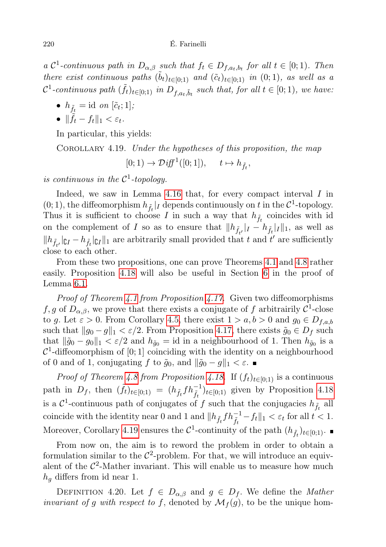a  $\mathcal{C}^1$ -continuous path in  $D_{\alpha,\beta}$  such that  $f_t \in D_{f,a_t,b_t}$  for all  $t \in [0,1)$ . Then there exist continuous paths  $(\tilde{b}_t)_{t \in [0;1)}$  and  $(\tilde{c}_t)_{t \in [0;1)}$  in  $(0; 1)$ , as well as a  $\mathcal{C}^1$ -continuous path  $(\tilde{f}_t)_{t \in [0;1)}$  in  $D_{f,a_t,\tilde{b}_t}$  such that, for all  $t \in [0;1)$ , we have:

- $h_{\tilde{f}_t} = \text{id}$  on  $[\tilde{c}_t; 1]$ ;
- $||f_t f_t||_1 < \varepsilon_t$ .

In particular, this yields:

<span id="page-19-0"></span>Corollary 4.19. Under the hypotheses of this proposition, the map

 $[0; 1) \rightarrow \mathcal{D}iff^1([0; 1]), \quad t \mapsto h_{\tilde{f}_t},$ 

is continuous in the  $\mathcal{C}^1$ -topology.

Indeed, we saw in Lemma  $4.16$  that, for every compact interval  $I$  in  $(0, 1)$ , the diffeomorphism  $h_{\tilde{f}_t}|_I$  depends continuously on t in the  $\mathcal{C}^1$ -topology. Thus it is sufficient to choose I in such a way that  $h_{\tilde{f}_t}$  coincides with id on the complement of I so as to ensure that  $||h_{\tilde{f}_{t'}}||_I - h_{\tilde{f}_t}||_I||_1$ , as well as  $||h_{\tilde{f}_{t'}}||_{L^1} - h_{\tilde{f}_{t}}||_{L^1}$  are arbitrarily small provided that t and t' are sufficiently close to each other.

From these two propositions, one can prove Theorems [4.1](#page-12-1) and [4.8](#page-15-0) rather easily. Proposition [4.18](#page-18-2) will also be useful in Section [6](#page-33-0) in the proof of Lemma [6.1.](#page-33-1)

Proof of Theorem [4.1](#page-12-1) from Proposition [4.17.](#page-18-3) Given two diffeomorphisms f, g of  $D_{\alpha,\beta}$ , we prove that there exists a conjugate of f arbitrairily  $\mathcal{C}^1$ -close to g. Let  $\varepsilon > 0$ . From Corollary [4.5,](#page-14-0) there exist  $1 > a, b > 0$  and  $g_0 \in D_{f,a,b}$ such that  $||g_0 - g||_1 < \varepsilon/2$ . From Proposition [4.17,](#page-18-3) there exists  $\tilde{g}_0 \in D_f$  such that  $\|\tilde{g}_0 - g_0\|_1 < \varepsilon/2$  and  $h_{\tilde{g}_0} =$  id in a neighbourhood of 1. Then  $h_{\tilde{g}_0}$  is a  $C<sup>1</sup>$ -diffeomorphism of [0; 1] coinciding with the identity on a neighbourhood of 0 and of 1, conjugating f to  $\tilde{g}_0$ , and  $\|\tilde{g}_0 - g\|_1 < \varepsilon$ .

*Proof of Theorem [4.8](#page-15-0) from Proposition [4.18.](#page-18-2)* If  $(f_t)_{t\in[0,1)}$  is a continuous path in  $D_f$ , then  $(\tilde{f}_t)_{t \in [0,1)} = (h_{\tilde{f}_t} f h_{\tilde{f}_t}^{-1})_{t \in [0,1)}$  given by Proposition [4.18](#page-18-2) is a  $\mathcal{C}^1$ -continuous path of conjugates of  $f$  such that the conjugacies  $h_{\tilde{f}_t}$  all coincide with the identity near 0 and 1 and  $||h_{\tilde{f}_t} f h_{\tilde{f}_t}^{-1} - f_t||_1 < \varepsilon_t$  for all  $t < 1$ . Moreover, Corollary [4.19](#page-19-0) ensures the  $\mathcal{C}^1$ -continuity of the path  $(h_{\tilde{f}_t})_{t\in[0;1)}$ .

From now on, the aim is to reword the problem in order to obtain a formulation similar to the  $\mathcal{C}^2$ -problem. For that, we will introduce an equivalent of the  $\mathcal{C}^2$ -Mather invariant. This will enable us to measure how much  $h<sub>g</sub>$  differs from id near 1.

DEFINITION 4.20. Let  $f \in D_{\alpha,\beta}$  and  $g \in D_f$ . We define the *Mather* invariant of g with respect to f, denoted by  $\mathcal{M}_f(g)$ , to be the unique hom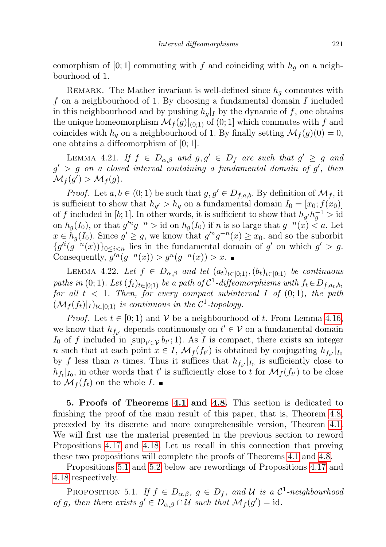eomorphism of [0; 1] commuting with f and coinciding with  $h_q$  on a neighbourhood of 1.

REMARK. The Mather invariant is well-defined since  $h_q$  commutes with f on a neighbourhood of 1. By choosing a fundamental domain I included in this neighbourhood and by pushing  $h_q|_I$  by the dynamic of f, one obtains the unique homeomorphism  $\mathcal{M}_f(g)|_{(0;1)}$  of  $(0;1]$  which commutes with f and coincides with  $h_g$  on a neighbourhood of 1. By finally setting  $\mathcal{M}_f(g)(0) = 0$ , one obtains a diffeomorphism of [0; 1].

<span id="page-20-3"></span>LEMMA 4.21. If  $f \in D_{\alpha,\beta}$  and  $g, g' \in D_f$  are such that  $g' \geq g$  and  $g' > g$  on a closed interval containing a fundamental domain of  $g'$ , then  $\mathcal{M}_f(g') > \mathcal{M}_f(g).$ 

*Proof.* Let  $a, b \in (0, 1)$  be such that  $g, g' \in D_{f,a,b}$ . By definition of  $\mathcal{M}_f$ , it is sufficient to show that  $h_{g'} > h_g$  on a fundamental domain  $I_0 = [x_0; f(x_0)]$ of f included in [b; 1]. In other words, it is sufficient to show that  $h_{g'}h_g^{-1} > id$ on  $h_g(I_0)$ , or that  $g'^n g^{-n} > id$  on  $h_g(I_0)$  if n is so large that  $g^{-n}(x) < a$ . Let  $x \in \tilde{h}_g(I_0)$ . Since  $g' \geq g$ , we know that  $g'^n g^{-n}(x) \geq x_0$ , and so the suborbit  ${g''(g^{-n}(x))}_{0 \leq i < n}$  lies in the fundamental domain of g' on which  $g' > g$ . Consequently,  $g^{\prime n}(g^{-n}(x)) > g^n(g^{-n}(x)) > x$ .

<span id="page-20-2"></span>LEMMA 4.22. Let  $f \in D_{\alpha,\beta}$  and let  $(a_t)_{t\in[0,1)}, (b_t)_{t\in[0,1)}$  be continuous paths in (0; 1). Let  $(f_t)_{t \in [0,1)}$  be a path of  $C^1$ -diffeomorphisms with  $f_t \in D_{f,a_t,b_t}$ for all  $t < 1$ . Then, for every compact subinterval I of  $(0,1)$ , the path  $(\mathcal{M}_f(f_t)|_I)_{t\in[0;1)}$  is continuous in the  $\mathcal{C}^1$ -topology.

*Proof.* Let  $t \in [0, 1)$  and V be a neighbourhood of t. From Lemma [4.16,](#page-18-1) we know that  $h_{f_{t'}}$  depends continuously on  $t' \in V$  on a fundamental domain  $I_0$  of f included in [sup<sub>t' $\in$ V</sub>  $b_t$ '; 1). As I is compact, there exists an integer n such that at each point  $x \in I$ ,  $\mathcal{M}_f(f_{t'})$  is obtained by conjugating  $h_{f_{t'}}|_{I_0}$ by f less than n times. Thus it suffices that  $h_{f_{t'}}|_{I_0}$  is sufficiently close to  $h_{f_t}|_{I_0}$ , in other words that t' is sufficiently close to t for  $\mathcal{M}_f(f_{t'})$  to be close to  $\mathcal{M}_f(f_t)$  on the whole  $I.$ 

5. Proofs of Theorems [4.1](#page-12-1) and [4.8.](#page-15-0) This section is dedicated to finishing the proof of the main result of this paper, that is, Theorem [4.8,](#page-15-0) preceded by its discrete and more comprehensible version, Theorem [4.1.](#page-12-1) We will first use the material presented in the previous section to reword Propositions [4.17](#page-18-3) and [4.18.](#page-18-2) Let us recall in this connection that proving these two propositions will complete the proofs of Theorems [4.1](#page-12-1) and [4.8.](#page-15-0)

Propositions [5.1](#page-20-0) and [5.2](#page-20-1) below are rewordings of Propositions [4.17](#page-18-3) and [4.18](#page-18-2) respectively.

<span id="page-20-1"></span><span id="page-20-0"></span>PROPOSITION 5.1. If  $f \in D_{\alpha,\beta}$ ,  $g \in D_f$ , and U is a C<sup>1</sup>-neighbourhood of g, then there exists  $g' \in D_{\alpha,\beta} \cap \mathcal{U}$  such that  $\mathcal{M}_f(g') = id$ .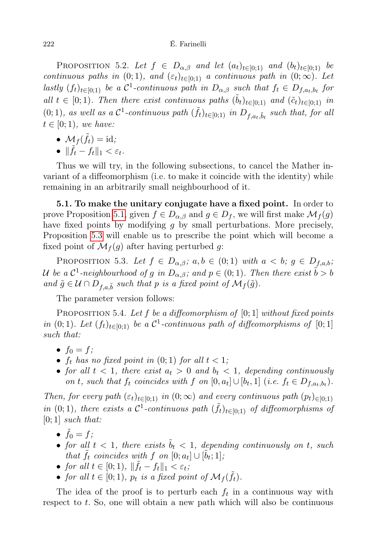PROPOSITION 5.2. Let  $f \in D_{\alpha,\beta}$  and let  $(a_t)_{t\in[0,1)}$  and  $(b_t)_{t\in[0,1)}$  be continuous paths in  $(0; 1)$ , and  $(\varepsilon_t)_{t\in[0; 1]}$  a continuous path in  $(0; \infty)$ . Let lastly  $(f_t)_{t \in [0,1]}$  be a  $C^1$ -continuous path in  $D_{\alpha,\beta}$  such that  $f_t \in D_{f,a_t,b_t}$  for all  $t \in [0, 1)$ . Then there exist continuous paths  $(\tilde{b}_t)_{t \in [0,1]}$  and  $(\tilde{c}_t)_{t \in [0,1]}$  in (0; 1), as well as a  $C^1$ -continuous path  $(\tilde{f}_t)_{t \in [0;1)}$  in  $D_{f,a_t,\tilde{b}_t}$  such that, for all  $t \in [0; 1)$ , we have:

- $\mathcal{M}_f(\tilde{f}_t) = \mathrm{id};$
- $\|\tilde{f}_t f_t\|_1 < \varepsilon_t$ .

Thus we will try, in the following subsections, to cancel the Mather invariant of a diffeomorphism (i.e. to make it coincide with the identity) while remaining in an arbitrarily small neighbourhood of it.

5.1. To make the unitary conjugate have a fixed point. In order to prove Proposition [5.1,](#page-20-0) given  $f \in D_{\alpha,\beta}$  and  $g \in D_f$ , we will first make  $\mathcal{M}_f(g)$ have fixed points by modifying g by small perturbations. More precisely, Proposition [5.3](#page-21-0) will enable us to prescribe the point which will become a fixed point of  $\mathcal{M}_f(g)$  after having perturbed g:

<span id="page-21-0"></span>PROPOSITION 5.3. Let  $f \in D_{\alpha,\beta}$ ;  $a,b \in (0,1)$  with  $a < b$ ;  $g \in D_{f,a,b}$ ; U be a C<sup>1</sup>-neighbourhood of g in  $D_{\alpha,\beta}$ ; and  $p\in(0;1)$ . Then there exist  $\tilde{b}>b$ and  $\tilde{g} \in \mathcal{U} \cap D_{f,a,\tilde{b}}$  such that p is a fixed point of  $\mathcal{M}_f(\tilde{g})$ .

The parameter version follows:

<span id="page-21-1"></span>PROPOSITION 5.4. Let f be a diffeomorphism of  $[0; 1]$  without fixed points in (0; 1). Let  $(f_t)_{t \in [0,1]}$  be a  $\mathcal{C}^1$ -continuous path of diffeomorphisms of  $[0,1]$ such that:

- $f_0 = f$ ;
- $f_t$  has no fixed point in  $(0; 1)$  for all  $t < 1$ ;
- for all  $t < 1$ , there exist  $a_t > 0$  and  $b_t < 1$ , depending continuously on t, such that  $f_t$  coincides with  $f$  on  $[0, a_t] \cup [b_t, 1]$  (i.e.  $f_t \in D_{f, a_t, b_t}$ ).

Then, for every path  $(\varepsilon_t)_{t\in[0;1)}$  in  $(0;\infty)$  and every continuous path  $(p_t)_{\in[0;1)}$ in (0,1), there exists a  $\mathcal{C}^1$ -continuous path  $(\tilde{f}_t)_{t\in[0,1)}$  of diffeomorphisms of  $[0; 1]$  such that:

- $\tilde{f}_0 = f;$
- for all  $t < 1$ , there exists  $\tilde{b}_t < 1$ , depending continuously on t, such that  $\tilde{f}_t$  coincides with f on  $[0; a_t] \cup [\tilde{b}_t; 1],$
- for all  $t \in [0,1)$ ,  $\|\tilde{f}_t f_t\|_1 < \varepsilon_t$ ;
- for all  $t \in [0, 1)$ ,  $p_t$  is a fixed point of  $\mathcal{M}_f(\tilde{f}_t)$ .

The idea of the proof is to perturb each  $f_t$  in a continuous way with respect to t. So, one will obtain a new path which will also be continuous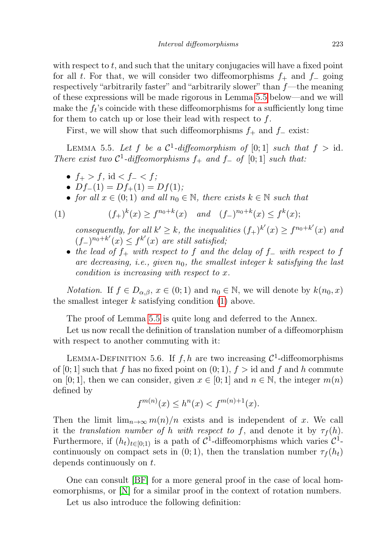with respect to  $t$ , and such that the unitary conjugacies will have a fixed point for all t. For that, we will consider two diffeomorphisms  $f_+$  and  $f_-\$  going respectively "arbitrarily faster" and "arbitrarily slower" than  $f$ —the meaning of these expressions will be made rigorous in Lemma [5.5](#page-22-0) below—and we will make the  $f_t$ 's coincide with these diffeomorphisms for a sufficiently long time for them to catch up or lose their lead with respect to  $f$ .

First, we will show that such diffeomorphisms  $f_+$  and  $f_-\$ exist:

<span id="page-22-0"></span>LEMMA 5.5. Let f be a  $\mathcal{C}^1$ -diffeomorphism of [0; 1] such that  $f > id$ . There exist two  $C^1$ -diffeomorphisms  $f_+$  and  $f_-$  of  $[0;1]$  such that:

- $f_{+} > f$ , id <  $f_{-} < f$ ;
- $Df_-(1) = Df_+(1) = Df(1);$
- for all  $x \in (0,1)$  and all  $n_0 \in \mathbb{N}$ , there exists  $k \in \mathbb{N}$  such that

<span id="page-22-1"></span>(1) 
$$
(f_+)^k(x) \ge f^{n_0+k}(x) \quad \text{and} \quad (f_-)^{n_0+k}(x) \le f^k(x);
$$

consequently, for all  $k' \geq k$ , the inequalities  $(f_+)^{k'}(x) \geq f^{n_0+k'}(x)$  and  $(f_-)^{n_0+k'}(x) \leq f^{k'}(x)$  are still satisfied;

• the lead of  $f_+$  with respect to f and the delay of  $f_-\omega$  with respect to f are decreasing, i.e., given  $n_0$ , the smallest integer k satisfying the last condition is increasing with respect to x.

*Notation.* If  $f \in D_{\alpha,\beta}$ ,  $x \in (0,1)$  and  $n_0 \in \mathbb{N}$ , we will denote by  $k(n_0, x)$ the smallest integer  $k$  satisfying condition  $(1)$  above.

The proof of Lemma [5.5](#page-22-0) is quite long and deferred to the Annex.

Let us now recall the definition of translation number of a diffeomorphism with respect to another commuting with it:

<span id="page-22-2"></span>LEMMA-DEFINITION 5.6. If  $f, h$  are two increasing  $\mathcal{C}^1$ -diffeomorphisms of [0; 1] such that f has no fixed point on  $(0, 1)$ ,  $f > id$  and f and h commute on [0; 1], then we can consider, given  $x \in [0, 1]$  and  $n \in \mathbb{N}$ , the integer  $m(n)$ defined by

$$
f^{m(n)}(x) \le h^n(x) < f^{m(n)+1}(x).
$$

Then the limit  $\lim_{n\to\infty} m(n)/n$  exists and is independent of x. We call it the translation number of h with respect to f, and denote it by  $\tau_f(h)$ . Furthermore, if  $(h_t)_{t\in[0,1)}$  is a path of  $\mathcal{C}^1$ -diffeomorphisms which varies  $\mathcal{C}^1$ continuously on compact sets in  $(0, 1)$ , then the translation number  $\tau_f(h_t)$ depends continuously on t.

One can consult [\[BF\]](#page-46-4) for a more general proof in the case of local homeomorphisms, or [\[N\]](#page-47-7) for a similar proof in the context of rotation numbers.

Let us also introduce the following definition: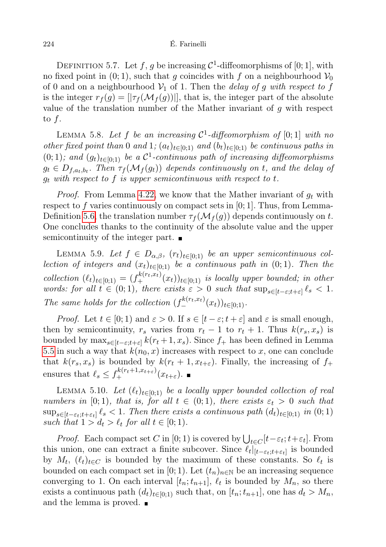DEFINITION 5.7. Let f, g be increasing  $\mathcal{C}^1$ -diffeomorphisms of [0; 1], with no fixed point in  $(0, 1)$ , such that g coincides with f on a neighbourhood  $\mathcal{V}_0$ of 0 and on a neighbourhood  $V_1$  of 1. Then the *delay of g with respect to f* is the integer  $r_f(g) = [|\tau_f(\mathcal{M}_f(g))|]$ , that is, the integer part of the absolute value of the translation number of the Mather invariant of  $q$  with respect to  $f$ .

<span id="page-23-0"></span>LEMMA 5.8. Let f be an increasing  $C^1$ -diffeomorphism of  $[0;1]$  with no other fixed point than 0 and 1;  $(a_t)_{t\in[0;1)}$  and  $(b_t)_{t\in[0;1)}$  be continuous paths in  $(0,1)$ ; and  $(g_t)_{t\in[0,1)}$  be a  $\mathcal{C}^1$ -continuous path of increasing diffeomorphisms  $g_t \in D_{f,a_t,b_t}$ . Then  $\tau_f(\mathcal{M}_f(g_t))$  depends continuously on t, and the delay of  $g_t$  with respect to f is upper semicontinuous with respect to t.

*Proof.* From Lemma [4.22,](#page-20-2) we know that the Mather invariant of  $g_t$  with respect to f varies continuously on compact sets in  $[0; 1]$ . Thus, from Lemma-Definition [5.6,](#page-22-2) the translation number  $\tau_f(\mathcal{M}_f(g))$  depends continuously on t. One concludes thanks to the continuity of the absolute value and the upper semicontinuity of the integer part.

LEMMA 5.9. Let  $f \in D_{\alpha,\beta}$ ,  $(r_t)_{t \in [0,1]}$  be an upper semicontinuous collection of integers and  $(x_t)_{t\in[0,1)}$  be a continuous path in  $(0,1)$ . Then the collection  $(\ell_t)_{t \in [0,1)} = (f_+^{k(r_t,x_t)}(x_t))_{t \in [0,1)}$  is locally upper bounded; in other words: for all  $t \in (0,1)$ , there exists  $\varepsilon > 0$  such that  $\sup_{s \in [t-\varepsilon;t+\varepsilon]} \ell_s < 1$ . The same holds for the collection  $(f^{k(r_t,x_t)}_{-}(x_t))_{t\in[0,1)}$ .

*Proof.* Let  $t \in [0, 1)$  and  $\varepsilon > 0$ . If  $s \in [t - \varepsilon; t + \varepsilon]$  and  $\varepsilon$  is small enough, then by semicontinuity,  $r_s$  varies from  $r_t - 1$  to  $r_t + 1$ . Thus  $k(r_s, x_s)$  is bounded by  $\max_{s\in[t-\varepsilon:t+\varepsilon]} k(r_t+1,x_s)$ . Since  $f_+$  has been defined in Lemma [5.5](#page-22-0) in such a way that  $k(n_0, x)$  increases with respect to x, one can conclude that  $k(r<sub>s</sub>, x<sub>s</sub>)$  is bounded by  $k(r<sub>t</sub> + 1, x<sub>t+\varepsilon</sub>)$ . Finally, the increasing of  $f<sub>+</sub>$ ensures that  $\ell_s \leq f_+^{k(r_t+1,x_{t+\varepsilon})}(x_{t+\varepsilon}).$ 

<span id="page-23-1"></span>LEMMA 5.10. Let  $(\ell_t)_{t\in[0,1)}$  be a locally upper bounded collection of real numbers in [0; 1], that is, for all  $t \in (0,1)$ , there exists  $\varepsilon_t > 0$  such that  $\sup_{s\in[t-\varepsilon_t;t+\varepsilon_t]}\ell_s<1$ . Then there exists a continuous path  $(d_t)_{t\in[0;1)}$  in  $(0;1)$ such that  $1 > d_t > \ell_t$  for all  $t \in [0; 1)$ .

*Proof.* Each compact set C in [0; 1) is covered by  $\bigcup_{t \in C} [t - \varepsilon_t; t + \varepsilon_t]$ . From this union, one can extract a finite subcover. Since  $\ell_t|_{[t-\varepsilon_t;t+\varepsilon_t]}$  is bounded by  $M_t$ ,  $(\ell_t)_{t\in C}$  is bounded by the maximum of these constants. So  $\ell_t$  is bounded on each compact set in [0; 1). Let  $(t_n)_{n\in\mathbb{N}}$  be an increasing sequence converging to 1. On each interval  $[t_n; t_{n+1}], \ell_t$  is bounded by  $M_n$ , so there exists a continuous path  $(d_t)_{t\in[0,1)}$  such that, on  $[t_n;t_{n+1}]$ , one has  $d_t > M_n$ , and the lemma is proved.  $\blacksquare$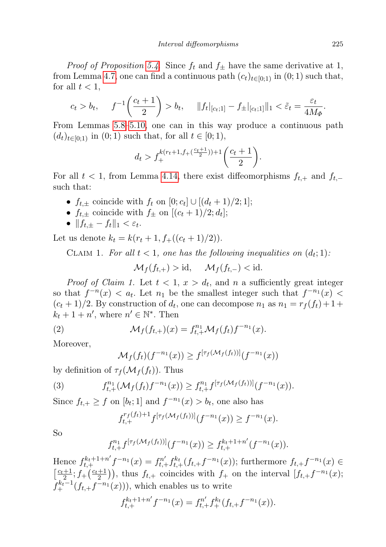*Proof of Proposition [5.4](#page-21-1).* Since  $f_t$  and  $f_{\pm}$  have the same derivative at 1, from Lemma [4.7,](#page-14-2) one can find a continuous path  $(c_t)_{t\in[0,1)}$  in  $(0,1)$  such that, for all  $t < 1$ ,

$$
c_t > b_t
$$
,  $f^{-1}\left(\frac{c_t+1}{2}\right) > b_t$ ,  $||f_t||_{[c_t;1]} - f_{\pm}||_{[c_t;1]}||_1 < \tilde{\varepsilon}_t = \frac{\varepsilon_t}{4M_{\Phi}}$ .

From Lemmas [5.8](#page-23-0)[–5.10,](#page-23-1) one can in this way produce a continuous path  $(d_t)_{t\in[0,1)}$  in  $(0,1)$  such that, for all  $t\in[0,1)$ ,

$$
d_t > f_+^{k(r_t+1, f_+ (\frac{c_t+1}{2})) + 1} \left( \frac{c_t+1}{2} \right).
$$

For all  $t < 1$ , from Lemma [4.14,](#page-17-0) there exist diffeomorphisms  $f_{t,+}$  and  $f_{t,-}$ such that:

- $f_{t,\pm}$  coincide with  $f_t$  on  $[0;c_t] \cup [(d_t+1)/2;1]$ ;
- $f_{t,\pm}$  coincide with  $f_{\pm}$  on  $[(c_t+1)/2; d_t]$ ;
- $|| f_{t,\pm} f_t ||_1 < \varepsilon_t$ .

Let us denote  $k_t = k(r_t + 1, f_+((c_t + 1)/2)).$ 

CLAIM 1. For all  $t < 1$ , one has the following inequalities on  $(d_t; 1)$ .

$$
\mathcal{M}_f(f_{t,+}) > \mathrm{id}, \quad \mathcal{M}_f(f_{t,-}) < \mathrm{id}.
$$

*Proof of Claim 1.* Let  $t < 1$ ,  $x > d_t$ , and n a sufficiently great integer so that  $f^{-n}(x) < a_t$ . Let  $n_1$  be the smallest integer such that  $f^{-n_1}(x)$  $(c_t+1)/2$ . By construction of  $d_t$ , one can decompose  $n_1$  as  $n_1 = r_f(f_t) + 1 +$  $k_t + 1 + n'$ , where  $n' \in \mathbb{N}^*$ . Then

(2) 
$$
\mathcal{M}_f(f_{t,+})(x) = f_{t,+}^{n_1} \mathcal{M}_f(f_t) f^{-n_1}(x).
$$

Moreover,

$$
\mathcal{M}_f(f_t)(f^{-n_1}(x)) \ge f^{[\tau_f(\mathcal{M}_f(f_t))]}(f^{-n_1}(x))
$$

by definition of  $\tau_f(\mathcal{M}_f(f_t))$ . Thus

(3) 
$$
f_{t,+}^{n_1}(\mathcal{M}_f(f_t)f^{-n_1}(x)) \geq f_{t,+}^{n_1}f^{[\tau_f(\mathcal{M}_f(f_t))]}(f^{-n_1}(x)).
$$

Since  $f_{t,+} \geq f$  on  $[b_t; 1]$  and  $f^{-n_1}(x) > b_t$ , one also has

$$
f_{t,+}^{r_f(f_t)+1} f^{[\tau_f(\mathcal{M}_f(f_t))]}(f^{-n_1}(x)) \ge f^{-n_1}(x).
$$

So

$$
f_{t,+}^{n_1}f^{[\tau_f(\mathcal{M}_f(f_t))]}(f^{-n_1}(x)) \geq f_{t,+}^{k_t+1+n'}(f^{-n_1}(x)).
$$

Hence  $f_{t,+}^{k+1+n'}f^{-n_1}(x) = f_{t,+}^{n'}f_{t,+}^{k_t}(f_{t,+}f^{-n_1}(x));$  furthermore  $f_{t,+}f^{-n_1}(x) \in$  $\left[\frac{c_t+1}{2}; f+\left(\frac{c_t+1}{2}\right)\right]$ , thus  $f_{t,+}$  coincides with  $f_+$  on the interval  $\left[f_{t,+}f^{-n_1}(x)\right]$  $f_+^{k_t-1}(f_{t,+}f^{-n_1}(x)))$ , which enables us to write

$$
f_{t,+}^{k_t+1+n'}f^{-n_1}(x) = f_{t,+}^{n'}f_+^{k_t}(f_{t,+}f^{-n_1}(x)).
$$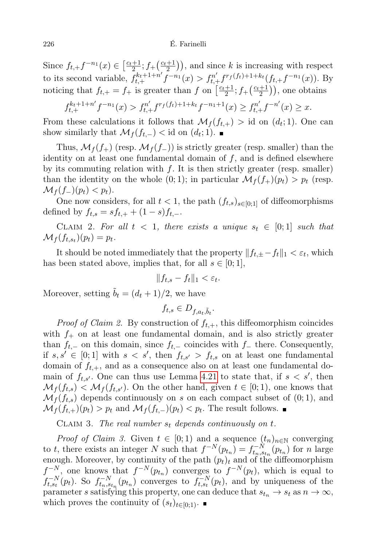Since  $f_{t,+}f^{-n_1}(x) \in \left[\frac{c_t+1}{2}; f_+\left(\frac{c_t+1}{2}\right)\right)$ , and since k is increasing with respect to its second variable,  $f_{t,+}^{k_t+1+n'} \bar{f}^{-n_1}(x) > f_{t,+}^{n'} f^{r_f(f_t)+1+k_t}(f_{t,+}f^{-n_1}(x))$ . By noticing that  $f_{t,+} = f_+$  is greater than f on  $\left[\frac{c_t+1}{2}; f_+\left(\frac{c_t+1}{2}\right)\right]$ , one obtains

$$
f_{t,+}^{k_t+1+n'}f^{-n_1}(x) > f_{t,+}^{n'}f^{r_f(f_t)+1+k_t}f^{-n_1+1}(x) \ge f_{t,+}^{n'}f^{-n'}(x) \ge x.
$$

From these calculations it follows that  $\mathcal{M}_f(f_{t,+}) > id$  on  $(d_t; 1)$ . One can show similarly that  $\mathcal{M}_f(f_{t,-}) <$  id on  $(d_t; 1)$ .

Thus,  $\mathcal{M}_f(f_+)$  (resp.  $\mathcal{M}_f(f_-)$ ) is strictly greater (resp. smaller) than the identity on at least one fundamental domain of  $f$ , and is defined elsewhere by its commuting relation with  $f$ . It is then strictly greater (resp. smaller) than the identity on the whole  $(0, 1)$ ; in particular  $\mathcal{M}_f(f_+)(p_t) > p_t$  (resp.  $\mathcal{M}_f(f_-)(p_t) < p_t$ .

One now considers, for all  $t < 1$ , the path  $(f_{t,s})_{s \in [0;1]}$  of diffeomorphisms defined by  $f_{t,s} = s f_{t,+} + (1-s) f_{t,-}.$ 

CLAIM 2. For all  $t < 1$ , there exists a unique  $s_t \in [0;1]$  such that  $\mathcal{M}_f(f_{t,s_t})(p_t) = p_t.$ 

It should be noted immediately that the property  $|| f_{t,\pm} - f_t ||_1 < \varepsilon_t$ , which has been stated above, implies that, for all  $s \in [0,1]$ ,

$$
||f_{t,s} - f_t||_1 < \varepsilon_t.
$$

Moreover, setting  $\tilde{b}_t = (d_t + 1)/2$ , we have

$$
f_{t,s}\in D_{f,a_t,\tilde{b}_t}.
$$

*Proof of Claim 2.* By construction of  $f_{t,+}$ , this diffeomorphism coincides with  $f_+$  on at least one fundamental domain, and is also strictly greater than  $f_{t,-}$  on this domain, since  $f_{t,-}$  coincides with  $f_{-}$  there. Consequently, if  $s, s' \in [0, 1]$  with  $s < s'$ , then  $f_{t,s'} > f_{t,s}$  on at least one fundamental domain of  $f_{t,+}$ , and as a consequence also on at least one fundamental domain of  $f_{t,s'}$ . One can thus use Lemma [4.21](#page-20-3) to state that, if  $s < s'$ , then  $\mathcal{M}_f(f_{t,s}) < \mathcal{M}_f(f_{t,s'})$ . On the other hand, given  $t \in [0,1)$ , one knows that  $\mathcal{M}_f(f_{t,s})$  depends continuously on s on each compact subset of  $(0,1)$ , and  $\mathcal{M}_f(f_{t,+})(p_t) > p_t$  and  $\mathcal{M}_f(f_{t,-})(p_t) < p_t$ . The result follows.

CLAIM 3. The real number  $s_t$  depends continuously on t.

*Proof of Claim 3.* Given  $t \in [0,1)$  and a sequence  $(t_n)_{n\in\mathbb{N}}$  converging to t, there exists an integer N such that  $f^{-N}(p_{t_n}) = f_{t_n, s_{t_n}}^{-N}(p_{t_n})$  for n large enough. Moreover, by continuity of the path  $(p_t)_t$  and of the diffeomorphism  $f^{-N}$ , one knows that  $f^{-N}(p_{t_n})$  converges to  $f^{-N}(p_t)$ , which is equal to  $f_{t,s_t}^{-N}(p_t)$ . So  $f_{t,s_{t}}^{-N}(p_{t_n})$  converges to  $f_{t,s_t}^{-N}(p_t)$ , and by uniqueness of the parameter s satisfying this property, one can deduce that  $s_{t_n} \to s_t$  as  $n \to \infty$ , which proves the continuity of  $(s_t)_{t\in[0;1)}$ . ■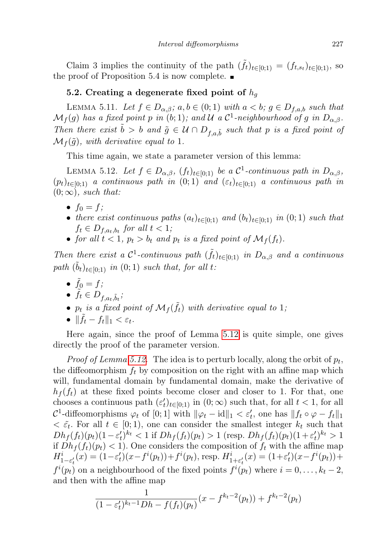Claim 3 implies the continuity of the path  $(\tilde{f}_t)_{t \in [0,1)} = (f_{t,s_t})_{t \in [0,1)}$ , so the proof of Proposition 5.4 is now complete.  $\blacksquare$ 

## <span id="page-26-0"></span>5.2. Creating a degenerate fixed point of  $h_q$

<span id="page-26-2"></span>LEMMA 5.11. Let  $f \in D_{\alpha,\beta}$ ;  $a,b \in (0,1)$  with  $a < b$ ;  $g \in D_{f,a,b}$  such that  $\mathcal{M}_f(g)$  has a fixed point p in (b; 1); and U a C<sup>1</sup>-neighbourhood of g in  $D_{\alpha,\beta}$ . Then there exist  $\tilde{b} > b$  and  $\tilde{g} \in \mathcal{U} \cap D_{f,a,\tilde{b}}$  such that p is a fixed point of  $\mathcal{M}_f(\tilde{g})$ , with derivative equal to 1.

This time again, we state a parameter version of this lemma:

<span id="page-26-1"></span>LEMMA 5.12. Let  $f \in D_{\alpha,\beta}$ ,  $(f_t)_{t \in [0,1)}$  be a  $\mathcal{C}^1$ -continuous path in  $D_{\alpha,\beta}$ ,  $(p_t)_{t\in[0,1]}$  a continuous path in  $(0,1)$  and  $(\varepsilon_t)_{t\in[0,1]}$  a continuous path in  $(0;\infty)$ , such that:

- $f_0 = f$ ;
- there exist continuous paths  $(a_t)_{t\in[0;1)}$  and  $(b_t)_{t\in[0;1)}$  in  $(0;1)$  such that  $f_t \in D_{f,a_t,b_t}$  for all  $t < 1$ ;
- for all  $t < 1$ ,  $p_t > b_t$  and  $p_t$  is a fixed point of  $\mathcal{M}_f(f_t)$ .

Then there exist a  $\mathcal{C}^1$ -continuous path  $(\tilde{f}_t)_{t\in[0;1)}$  in  $D_{\alpha,\beta}$  and a continuous path  $(\tilde{b}_t)_{t \in [0;1)}$  in  $(0;1)$  such that, for all t:

- $\tilde{f}_0 = f;$
- $\tilde{f}_t \in D_{f,a_t,\tilde{b}_t}$
- $p_t$  is a fixed point of  $\mathcal{M}_f(\tilde{f}_t)$  with derivative equal to 1;
- $\|\tilde{f}_t f_t\|_1 < \varepsilon_t$ .

Here again, since the proof of Lemma [5.12](#page-26-1) is quite simple, one gives directly the proof of the parameter version.

*Proof of Lemma [5.12.](#page-26-1)* The idea is to perturb locally, along the orbit of  $p_t$ , the diffeomorphism  $f_t$  by composition on the right with an affine map which will, fundamental domain by fundamental domain, make the derivative of  $h_f(f_t)$  at these fixed points become closer and closer to 1. For that, one chooses a continuous path  $(\varepsilon_t')_{t\in[0;1)}$  in  $(0;\infty)$  such that, for all  $t<1$ , for all  $C^1$ -diffeomorphisms  $\varphi_t$  of  $[0;1]$  with  $\|\varphi_t - id\|_1 < \varepsilon'_t$ , one has  $\|f_t \circ \varphi - f_t\|_1$  $\langle \xi_t \rangle$ . For all  $t \in [0, 1)$ , one can consider the smallest integer  $k_t$  such that  $Dh_f(f_t)(p_t)(1-\varepsilon'_t)^{k_t} < 1$  if  $Dh_f(f_t)(p_t) > 1$  (resp.  $Dh_f(f_t)(p_t)(1+\varepsilon'_t)^{k_t} > 1$ if  $Dh_f(f_t)(p_t) < 1$ . One considers the composition of  $f_t$  with the affine map  $H_{1-\varepsilon'_{t}}^{i}(x) = (1-\varepsilon'_{t})(x-f^{i}(p_{t}))+f^{i}(p_{t}), \text{ resp. } H_{1+\varepsilon'_{t}}^{i}(x) = (1+\varepsilon'_{t})(x-f^{i}(p_{t}))+$  $f^{i}(p_t)$  on a neighbourhood of the fixed points  $f^{i}(p_t)$  where  $i = 0, \ldots, k_t - 2$ , and then with the affine map

$$
\frac{1}{(1 - \varepsilon'_t)^{k_t - 1}Dh - f(f_t)(p_t)}(x - f^{k_t - 2}(p_t)) + f^{k_t - 2}(p_t)
$$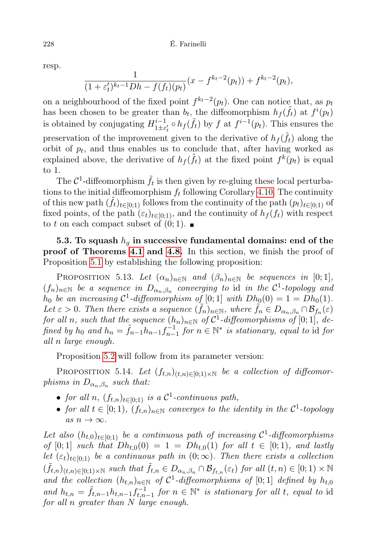resp.

$$
\frac{1}{(1+\varepsilon'_t)^{k_t-1}Dh - f(f_t)(p_t)}(x - f^{k_t-2}(p_t)) + f^{k_t-2}(p_t),
$$

on a neighbourhood of the fixed point  $f^{k_t-2}(p_t)$ . One can notice that, as  $p_t$ has been chosen to be greater than  $b_t$ , the diffeomorphism  $h_f(\tilde{f}_t)$  at  $f^i(p_t)$ is obtained by conjugating  $H_{1+\varepsilon}^{i-1}$  $\prod_{1\pm\epsilon'_t}^{i-1} \circ h_f(\tilde{f}_t)$  by f at  $f^{i-1}(p_t)$ . This ensures the preservation of the improvement given to the derivative of  $h_f(\tilde{f}_t)$  along the orbit of  $p_t$ , and thus enables us to conclude that, after having worked as explained above, the derivative of  $h_f(\tilde{f}_t)$  at the fixed point  $f^k(p_t)$  is equal to 1.

The  $C^1$ -diffeomorphism  $\tilde{f}_t$  is then given by re-gluing these local perturbations to the initial diffeomorphism  $f_t$  following Corollary [4.10.](#page-16-1) The continuity of this new path  $(\tilde{f}_t)_{t\in[0;1)}$  follows from the continuity of the path  $(p_t)_{t\in[0;1)}$  of fixed points, of the path  $(\varepsilon_t)_{t\in[0,1)}$ , and the continuity of  $h_f(f_t)$  with respect to t on each compact subset of  $(0, 1)$ .

5.3. To squash  $h_q$  in successive fundamental domains: end of the proof of Theorems [4.1](#page-12-1) and [4.8.](#page-15-0) In this section, we finish the proof of Proposition [5.1](#page-20-0) by establishing the following proposition:

<span id="page-27-0"></span>PROPOSITION 5.13. Let  $(\alpha_n)_{n\in\mathbb{N}}$  and  $(\beta_n)_{n\in\mathbb{N}}$  be sequences in [0;1],  $(f_n)_{n \in \mathbb{N}}$  be a sequence in  $D_{\alpha_n,\beta_n}$  converging to id in the  $\mathcal{C}^1$ -topology and  $h_0$  be an increasing  $C^1$ -diffeomorphism of  $[0; 1]$  with  $Dh_0(0) = 1 = Dh_0(1)$ . Let  $\varepsilon > 0$ . Then there exists a sequence  $(\tilde{f}_n)_{n \in \mathbb{N}}$ , where  $\tilde{f}_n \in D_{\alpha_n,\beta_n} \cap \mathcal{B}_{f_n}(\varepsilon)$ for all n, such that the sequence  $(h_n)_{n\in\mathbb{N}}$  of  $\mathcal{C}^1$ -diffeomorphisms of  $[0;1]$ , defined by  $h_0$  and  $h_n = \tilde{f}_{n-1} h_{n-1} f_{n-1}^{-1}$  for  $n \in \mathbb{N}^*$  is stationary, equal to id for all n large enough.

Proposition [5.2](#page-20-1) will follow from its parameter version:

<span id="page-27-1"></span>PROPOSITION 5.14. Let  $(f_{t,n})_{(t,n)\in[0,1)\times\mathbb{N}}$  be a collection of diffeomorphisms in  $D_{\alpha_n,\beta_n}$  such that:

- for all n,  $(f_{t,n})_{t \in [0,1)}$  is a  $\mathcal{C}^1$ -continuous path,
- for all  $t \in [0,1)$ ,  $(f_{t,n})_{n \in \mathbb{N}}$  converges to the identity in the  $\mathcal{C}^1$ -topology as  $n \to \infty$ .

Let also  $(h_{t,0})_{t\in[0,1)}$  be a continuous path of increasing  $C^1$ -diffeomorphisms of [0;1] such that  $Dh_{t,0}(0) = 1 = Dh_{t,0}(1)$  for all  $t \in [0,1)$ , and lastly let  $(\varepsilon_t)_{t\in[0,1)}$  be a continuous path in  $(0,\infty)$ . Then there exists a collection  $(\tilde{f}_{t,n})_{(t,n)\in[0;1)\times\mathbb{N}}$  such that  $\tilde{f}_{t,n}\in D_{\alpha_n,\beta_n}\cap\mathcal{B}_{f_{t,n}}(\varepsilon_t)$  for all  $(t,n)\in[0;1)\times\mathbb{N}$ and the collection  $(h_{t,n})_{n\in\mathbb{N}}$  of  $\mathcal{C}^1$ -diffeomorphisms of [0;1] defined by  $h_{t,0}$ and  $h_{t,n} = \tilde{f}_{t,n-1} h_{t,n-1} f_{t,n-1}^{-1}$  for  $n \in \mathbb{N}^*$  is stationary for all t, equal to id for all n greater than N large enough.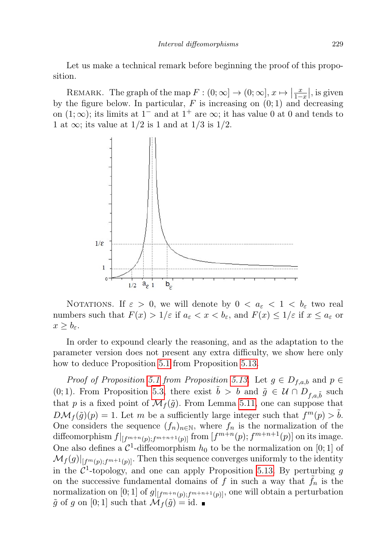Let us make a technical remark before beginning the proof of this proposition.

REMARK. The graph of the map  $F : (0, \infty] \to (0, \infty], x \mapsto \left|\frac{x}{1-x}\right|$ , is given by the figure below. In particular,  $F$  is increasing on  $(0, 1)$  and decreasing on  $(1; \infty)$ ; its limits at 1<sup>-</sup> and at 1<sup>+</sup> are  $\infty$ ; it has value 0 at 0 and tends to 1 at  $\infty$ ; its value at 1/2 is 1 and at 1/3 is 1/2.



NOTATIONS. If  $\varepsilon > 0$ , we will denote by  $0 < a_{\varepsilon} < 1 < b_{\varepsilon}$  two real numbers such that  $F(x) > 1/\varepsilon$  if  $a_{\varepsilon} < x < b_{\varepsilon}$ , and  $F(x) \le 1/\varepsilon$  if  $x \le a_{\varepsilon}$  or  $x \geq b_{\varepsilon}$ .

In order to expound clearly the reasoning, and as the adaptation to the parameter version does not present any extra difficulty, we show here only how to deduce Proposition [5.1](#page-20-0) from Proposition [5.13.](#page-27-0)

Proof of Proposition [5.1](#page-20-0) from Proposition [5.13.](#page-27-0) Let  $g \in D_{f,a,b}$  and  $p \in$ (0; 1). From Proposition [5.3,](#page-21-0) there exist  $\tilde{b} > b$  and  $\tilde{g} \in \mathcal{U} \cap D_{f,a,\tilde{b}}$  such that p is a fixed point of  $\mathcal{M}_f(\tilde{g})$ . From Lemma [5.11,](#page-26-2) one can suppose that  $D\mathcal{M}_f(\tilde{g})(p) = 1$ . Let m be a sufficiently large integer such that  $f^m(p) > \tilde{b}$ . One considers the sequence  $(f_n)_{n\in\mathbb{N}}$ , where  $f_n$  is the normalization of the diffeomorphism  $f|_{[f^{m+n}(p);f^{m+n+1}(p)]}$  from  $[f^{m+n}(p);f^{m+n+1}(p)]$  on its image. One also defines a  $\mathcal{C}^1$ -diffeomorphism  $h_0$  to be the normalization on [0; 1] of  $\mathcal{M}_{f}(g)|_{[f^m(p);f^{m+1}(p)]}$ . Then this sequence converges uniformly to the identity in the  $\mathcal{C}^1$ -topology, and one can apply Proposition [5.13.](#page-27-0) By perturbing g on the successive fundamental domains of f in such a way that  $\tilde{f}_n$  is the normalization on [0; 1] of  $g|_{[f^{m+n}(p);f^{m+n+1}(p)]}$ , one will obtain a perturbation  $\tilde{g}$  of g on [0; 1] such that  $\mathcal{M}_f(\tilde{g}) = id$ .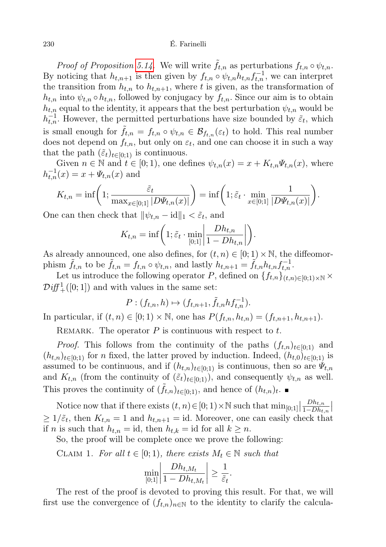*Proof of Proposition [5.14.](#page-27-1)* We will write  $\tilde{f}_{t,n}$  as perturbations  $f_{t,n} \circ \psi_{t,n}$ . By noticing that  $h_{t,n+1}$  is then given by  $f_{t,n} \circ \psi_{t,n} h_{t,n} f_{t,n}^{-1}$ , we can interpret the transition from  $h_{t,n}$  to  $h_{t,n+1}$ , where t is given, as the transformation of  $h_{t,n}$  into  $\psi_{t,n} \circ h_{t,n}$ , followed by conjugacy by  $f_{t,n}$ . Since our aim is to obtain  $h_{t,n}$  equal to the identity, it appears that the best perturbation  $\psi_{t,n}$  would be  $h_{t,n}^{-1}$ . However, the permitted perturbations have size bounded by  $\tilde{\varepsilon}_t$ , which is small enough for  $f_{t,n} = f_{t,n} \circ \psi_{t,n} \in \mathcal{B}_{f_{t,n}}(\varepsilon_t)$  to hold. This real number does not depend on  $f_{t,n}$ , but only on  $\varepsilon_t$ , and one can choose it in such a way that the path  $(\tilde{\varepsilon}_t)_{t\in[0,1)}$  is continuous.

Given  $n \in \mathbb{N}$  and  $t \in [0, 1)$ , one defines  $\psi_{t,n}(x) = x + K_{t,n} \Psi_{t,n}(x)$ , where  $h_{t,n}^{-1}(x) = x + \Psi_{t,n}(x)$  and

$$
K_{t,n} = \inf \left( 1; \frac{\tilde{\varepsilon}_t}{\max_{x \in [0;1]} |D\Psi_{t,n}(x)|} \right) = \inf \left( 1; \tilde{\varepsilon}_t \cdot \min_{x \in [0;1]} \frac{1}{|D\Psi_{t,n}(x)|} \right).
$$

One can then check that  $\|\psi_{t,n} - id\|_1 < \tilde{\varepsilon}_t$ , and

$$
K_{t,n} = \inf \bigg( 1; \tilde{\varepsilon}_t \cdot \min_{[0,1]} \bigg| \frac{Dh_{t,n}}{1 - Dh_{t,n}} \bigg| \bigg).
$$

As already announced, one also defines, for  $(t, n) \in [0, 1) \times \mathbb{N}$ , the diffeomorphism  $\tilde{f}_{t,n}$  to be  $\tilde{f}_{t,n} = f_{t,n} \circ \psi_{t,n}$ , and lastly  $h_{t,n+1} = \tilde{f}_{t,n} h_{t,n} f_{t,n}^{-1}$ .

Let us introduce the following operator P, defined on  $\{f_{t,n}\}_{(t,n)\in[0,1)\times\mathbb{N}}\times$  $\mathcal{D}iff_{+}^{1}([0; 1])$  and with values in the same set:

$$
P: (f_{t,n}, h) \mapsto (f_{t,n+1}, \tilde{f}_{t,n} h f_{t,n}^{-1}).
$$

In particular, if  $(t, n) \in [0, 1) \times \mathbb{N}$ , one has  $P(f_{t,n}, h_{t,n}) = (f_{t,n+1}, h_{t,n+1})$ .

REMARK. The operator  $P$  is continuous with respect to  $t$ .

*Proof.* This follows from the continuity of the paths  $(f_{t,n})_{t\in[0,1)}$  and  $(h_{t,n})_{t\in[0,1)}$  for n fixed, the latter proved by induction. Indeed,  $(h_{t,0})_{t\in[0,1)}$  is assumed to be continuous, and if  $(h_{t,n})_{t\in[0,1)}$  is continuous, then so are  $\Psi_{t,n}$ and  $K_{t,n}$  (from the continuity of  $(\tilde{\varepsilon}_t)_{t\in[0,1)}$ ), and consequently  $\psi_{t,n}$  as well. This proves the continuity of  $(\tilde{f}_{t,n})_{t\in[0,1)}$ , and hence of  $(h_{t,n})_t$ .

Notice now that if there exists  $(t, n) \in [0, 1) \times \mathbb{N}$  such that  $\min_{[0, 1]}$  $Dh_{t,n}$  $\frac{Dh_{t,n}}{1-Dh_{t,n}}$  $\geq 1/\tilde{\varepsilon}_t$ , then  $K_{t,n} = 1$  and  $h_{t,n+1} = id$ . Moreover, one can easily check that if *n* is such that  $h_{t,n} = id$ , then  $h_{t,k} = id$  for all  $k \geq n$ .

So, the proof will be complete once we prove the following:

CLAIM 1. For all 
$$
t \in [0, 1)
$$
, there exists  $M_t \in \mathbb{N}$  such that

$$
\min_{[0,1]} \left| \frac{Dh_{t,M_t}}{1 - Dh_{t,M_t}} \right| \ge \frac{1}{\tilde{\varepsilon}_t}.
$$

The rest of the proof is devoted to proving this result. For that, we will first use the convergence of  $(f_{t,n})_{n\in\mathbb{N}}$  to the identity to clarify the calcula-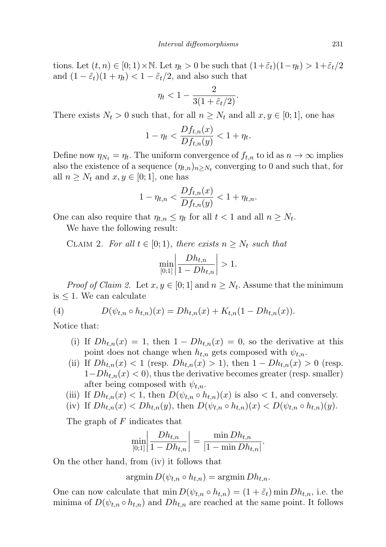tions. Let  $(t, n) \in [0, 1) \times \mathbb{N}$ . Let  $\eta_t > 0$  be such that  $(1+\tilde{\varepsilon}_t)(1-\eta_t) > 1+\tilde{\varepsilon}_t/2$ and  $(1 - \tilde{\varepsilon}_t)(1 + \eta_t) < 1 - \tilde{\varepsilon}_t/2$ , and also such that

$$
\eta_t < 1 - \frac{2}{3(1 + \tilde{\varepsilon}_t/2)}.
$$

There exists  $N_t > 0$  such that, for all  $n \geq N_t$  and all  $x, y \in [0, 1]$ , one has

$$
1 - \eta_t < \frac{Df_{t,n}(x)}{Df_{t,n}(y)} < 1 + \eta_t.
$$

Define now  $\eta_{N_t} = \eta_t$ . The uniform convergence of  $f_{t,n}$  to id as  $n \to \infty$  implies also the existence of a sequence  $(\eta_{t,n})_{n \geq N_t}$  converging to 0 and such that, for all  $n \geq N_t$  and  $x, y \in [0, 1]$ , one has

$$
1 - \eta_{t,n} < \frac{Df_{t,n}(x)}{Df_{t,n}(y)} < 1 + \eta_{t,n}.
$$

One can also require that  $\eta_{t,n} \leq \eta_t$  for all  $t < 1$  and all  $n \geq N_t$ .

We have the following result:

CLAIM 2. For all  $t \in [0,1)$ , there exists  $n \geq N_t$  such that

$$
\min_{[0;1]} \left| \frac{Dh_{t,n}}{1 - Dh_{t,n}} \right| > 1.
$$

*Proof of Claim 2.* Let  $x, y \in [0, 1]$  and  $n \geq N_t$ . Assume that the minimum is  $\leq 1$ . We can calculate

(4) 
$$
D(\psi_{t,n} \circ h_{t,n})(x) = Dh_{t,n}(x) + K_{t,n}(1 - Dh_{t,n}(x)).
$$

Notice that:

- <span id="page-30-0"></span>(i) If  $Dh_{t,n}(x) = 1$ , then  $1 - Dh_{t,n}(x) = 0$ , so the derivative at this point does not change when  $h_{t,n}$  gets composed with  $\psi_{t,n}$ .
- (ii) If  $Dh_{t,n}(x) < 1$  (resp.  $Dh_{t,n}(x) > 1$ ), then  $1 Dh_{t,n}(x) > 0$  (resp.  $1-Dh_{t,n}(x) < 0$ , thus the derivative becomes greater (resp. smaller) after being composed with  $\psi_{t,n}$ .
- (iii) If  $Dh_{t,n}(x) < 1$ , then  $D(\psi_{t,n} \circ h_{t,n})(x)$  is also  $< 1$ , and conversely.
- (iv) If  $Dh_{t,n}(x) < Dh_{t,n}(y)$ , then  $D(\psi_{t,n} \circ h_{t,n})(x) < D(\psi_{t,n} \circ h_{t,n})(y)$ .

The graph of F indicates that

$$
\min_{[0,1]} \left| \frac{Dh_{t,n}}{1 - Dh_{t,n}} \right| = \frac{\min Dh_{t,n}}{|1 - \min Dh_{t,n}|}.
$$

On the other hand, from (iv) it follows that

 $argmin D(\psi_{t,n} \circ h_{t,n}) = argmin Dh_{t,n}.$ 

One can now calculate that  $\min D(\psi_{t,n} \circ h_{t,n}) = (1 + \tilde{\varepsilon}_t) \min Dh_{t,n}$ , i.e. the minima of  $D(\psi_{t,n} \circ h_{t,n})$  and  $Dh_{t,n}$  are reached at the same point. It follows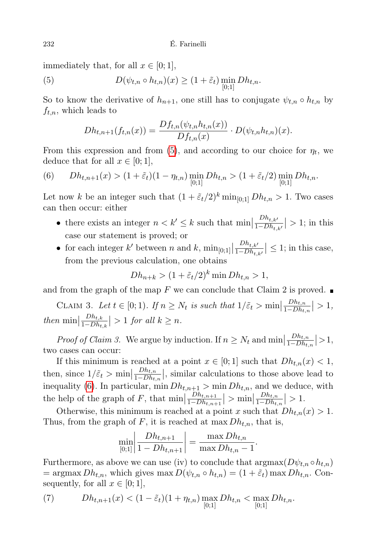immediately that, for all  $x \in [0; 1]$ ,

(5) 
$$
D(\psi_{t,n} \circ h_{t,n})(x) \geq (1+\tilde{\varepsilon}_t) \min_{[0;1]} Dh_{t,n}.
$$

So to know the derivative of  $h_{n+1}$ , one still has to conjugate  $\psi_{t,n} \circ h_{t,n}$  by  $f_{t,n}$ , which leads to

<span id="page-31-0"></span>
$$
Dh_{t,n+1}(f_{t,n}(x)) = \frac{Df_{t,n}(\psi_{t,n}h_{t,n}(x))}{Df_{t,n}(x)} \cdot D(\psi_{t,n}h_{t,n})(x).
$$

From this expression and from [\(5\)](#page-31-0), and according to our choice for  $\eta_t$ , we deduce that for all  $x \in [0;1]$ ,

<span id="page-31-1"></span>(6) 
$$
Dh_{t,n+1}(x) > (1 + \tilde{\varepsilon}_t)(1 - \eta_{t,n}) \min_{[0;1]} Dh_{t,n} > (1 + \tilde{\varepsilon}_t/2) \min_{[0;1]} Dh_{t,n}.
$$

Let now k be an integer such that  $(1 + \tilde{\varepsilon}_t/2)^k \min_{[0,1]} Dh_{t,n} > 1$ . Two cases can then occur: either

- there exists an integer  $n < k' \leq k$  such that min  $Dh_{t,k'}$  $\left|\frac{Dn_{t,k'}}{1-Dh_{t,k'}}\right|>1;$  in this case our statement is proved; or
- for each integer  $k'$  between n and  $k$ ,  $\min_{[0,1]}$  $Dh_{t,k'}$  $\left|\frac{Dn_{t,k'}}{1-Dh_{t,k'}}\right| \leq 1$ ; in this case, from the previous calculation, one obtains

$$
Dh_{n+k} > (1 + \tilde{\varepsilon}_t/2)^k \min Dh_{t,n} > 1,
$$

and from the graph of the map F we can conclude that Claim 2 is proved.  $\blacksquare$ 

CLAIM 3. Let  $t \in [0; 1)$ . If  $n \geq N_t$  is such that  $1/\tilde{\varepsilon}_t > \min$  $Dh_{t,n}$  $\frac{Dh_{t,n}}{1-Dh_{t,n}}|>1,$ then min    $Dh_{t,k}$  $\left|\frac{D_{h_{t,k}}}{1-D_{h_{t,k}}}\right| > 1$  for all  $k \geq n$ .

*Proof of Claim 3.* We argue by induction. If  $n \geq N_t$  and min  $Dh_{t,n}$  $\frac{Dh_{t,n}}{1-Dh_{t,n}}|>1,$ two cases can occur:

If this minimum is reached at a point  $x \in [0,1]$  such that  $Dh_{t,n}(x) < 1$ , then, since  $1/\tilde{\varepsilon}_t > \min$  $Dh_{t,n}$  $\frac{Dh_{t,n}}{1-Dh_{t,n}}$ , similar calculations to those above lead to inequality [\(6\)](#page-31-1). In particular,  $\min Dh_{t,n+1} > \min Dh_{t,n}$ , and we deduce, with the help of the graph of  $F$ , that min  $Dh_{t,n+1}$  $\frac{Dh_{t,n+1}}{1-Dh_{t,n+1}}$  > min  $Dh_{t,n}$  $\frac{Dh_{t,n}}{1-Dh_{t,n}}|>1.$ 

Otherwise, this minimum is reached at a point x such that  $Dh_{t,n}(x) > 1$ . Thus, from the graph of F, it is reached at max  $Dh_{t,n}$ , that is,

$$
\min_{[0,1]} \left| \frac{Dh_{t,n+1}}{1 - Dh_{t,n+1}} \right| = \frac{\max Dh_{t,n}}{\max Dh_{t,n} - 1}.
$$

Furthermore, as above we can use (iv) to conclude that  $\arg\max(D\psi_{t,n} \circ h_{t,n})$ = argmax  $Dh_{t,n}$ , which gives max  $D(\psi_{t,n} \circ h_{t,n}) = (1 + \tilde{\varepsilon}_t)$  max  $Dh_{t,n}$ . Consequently, for all  $x \in [0, 1]$ ,

(7) 
$$
Dh_{t,n+1}(x) < (1 - \tilde{\varepsilon}_t)(1 + \eta_{t,n}) \max_{[0,1]} Dh_{t,n} < \max_{[0,1]} Dh_{t,n}.
$$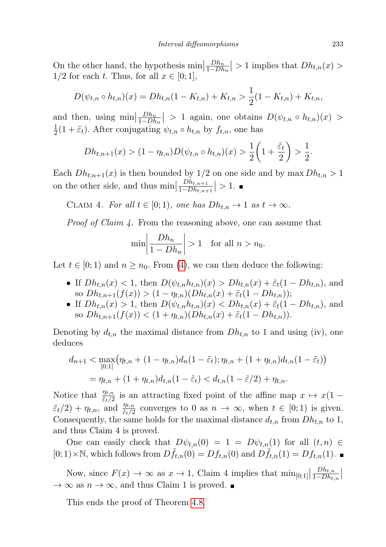On the other hand, the hypothesis  $\min \left| \frac{Dh_n}{1-Dh} \right|$  $\left|\frac{Dh_n}{1-Dh_n}\right| > 1$  implies that  $Dh_{t,n}(x) >$  $1/2$  for each t. Thus, for all  $x \in [0;1]$ ,

$$
D(\psi_{t,n} \circ h_{t,n})(x) = Dh_{t,n}(1 - K_{t,n}) + K_{t,n} > \frac{1}{2}(1 - K_{t,n}) + K_{t,n},
$$

and then, using  $\min \left| \frac{Dh_n}{1-Dh} \right|$  $\left|\frac{Dh_n}{1-Dh_n}\right| > 1$  again, one obtains  $D(\psi_{t,n} \circ h_{t,n})(x) >$ 1  $\frac{1}{2}(1+\tilde{\varepsilon}_t)$ . After conjugating  $\psi_{t,n} \circ h_{t,n}$  by  $f_{t,n}$ , one has

$$
Dh_{t,n+1}(x) > (1 - \eta_{t,n})D(\psi_{t,n} \circ h_{t,n})(x) > \frac{1}{2}\left(1 + \frac{\tilde{\varepsilon}_t}{2}\right) > \frac{1}{2}.
$$

Each  $Dh_{t,n+1}(x)$  is then bounded by  $1/2$  on one side and by max  $Dh_{t,n} > 1$ on the other side, and thus  $\min$  $Dh_{t,n+1}$  $\frac{D_{h,t,n+1}}{1-D_{h,t,n+1}}|>1.$ 

CLAIM 4. For all  $t \in [0,1)$ , one has  $Dh_{t,n} \to 1$  as  $t \to \infty$ .

Proof of Claim 4. From the reasoning above, one can assume that

$$
\min \left| \frac{Dh_n}{1 - Dh_n} \right| > 1 \quad \text{for all } n > n_0.
$$

Let  $t \in [0, 1)$  and  $n \geq n_0$ . From [\(4\)](#page-30-0), we can then deduce the following:

- If  $Dh_{t,n}(x) < 1$ , then  $D(\psi_{t,n}h_{t,n})(x) > Dh_{t,n}(x) + \tilde{\varepsilon}_t(1 Dh_{t,n}),$  and so  $Dh_{t,n+1}(f(x)) > (1 - \eta_{t,n})(Dh_{t,n}(x) + \tilde{\varepsilon}_t(1 - Dh_{t,n}))$ ;
- If  $Dh_{t,n}(x) > 1$ , then  $D(\psi_{t,n}h_{t,n})(x) < Dh_{t,n}(x) + \tilde{\varepsilon}_t(1 Dh_{t,n}),$  and so  $Dh_{t,n+1}(f(x)) < (1 + \eta_{t,n})(Dh_{t,n}(x) + \tilde{\varepsilon}_t(1 - Dh_{t,n})).$

Denoting by  $d_{t,n}$  the maximal distance from  $D_{t,n}$  to 1 and using (iv), one deduces

$$
d_{n+1} < \max_{[0;1]} (\eta_{t,n} + (1 - \eta_{t,n})d_n(1 - \tilde{\varepsilon}_t); \eta_{t,n} + (1 + \eta_{t,n})d_{t,n}(1 - \tilde{\varepsilon}_t))
$$
  
=  $\eta_{t,n} + (1 + \eta_{t,n})d_{t,n}(1 - \tilde{\varepsilon}_t) < d_{t,n}(1 - \tilde{\varepsilon}/2) + \eta_{t,n}.$ 

Notice that  $\frac{\eta_{t,n}}{\tilde{\varepsilon}_t/2}$  is an attracting fixed point of the affine map  $x \mapsto x(1 \tilde{\varepsilon}_t/2$  +  $\eta_{t,n}$ , and  $\frac{\eta_{t,n}}{\tilde{\varepsilon}_t/2}$  converges to 0 as  $n \to \infty$ , when  $t \in [0,1)$  is given. Consequently, the same holds for the maximal distance  $d_{t,n}$  from  $D_{h,t,n}$  to 1, and thus Claim 4 is proved.

One can easily check that  $D\psi_{t,n}(0) = 1 = D\psi_{t,n}(1)$  for all  $(t, n) \in$  $[0; 1) \times \mathbb{N}$ , which follows from  $Df_{t,n}(0) = Df_{t,n}(0)$  and  $Df_{t,n}(1) = Df_{t,n}(1)$ .

Now, since  $F(x) \to \infty$  as  $x \to 1$ , Claim 4 implies that  $\min_{[0,1]}$  $Dh_{t,n}$  $\frac{Dh_{t,n}}{1-Dh_{t,n}}$  $\rightarrow \infty$  as  $n \rightarrow \infty$ , and thus Claim 1 is proved.

This ends the proof of Theorem [4.8.](#page-15-0)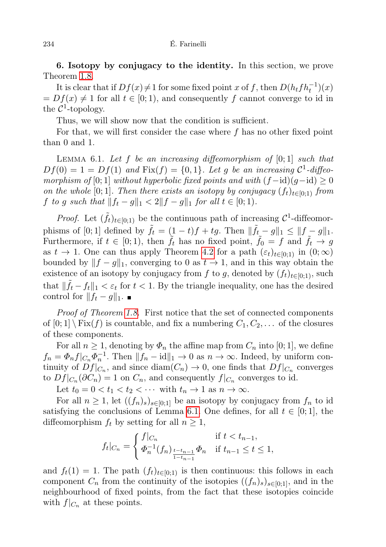<span id="page-33-0"></span>6. Isotopy by conjugacy to the identity. In this section, we prove Theorem [1.8.](#page-5-0)

It is clear that if  $Df(x) \neq 1$  for some fixed point x of f, then  $D(h_t f h_t^{-1})(x)$  $= Df(x) \neq 1$  for all  $t \in [0, 1)$ , and consequently f cannot converge to id in the  $\mathcal{C}^1$ -topology.

Thus, we will show now that the condition is sufficient.

For that, we will first consider the case where f has no other fixed point than 0 and 1.

<span id="page-33-1"></span>LEMMA 6.1. Let  $f$  be an increasing diffeomorphism of  $[0; 1]$  such that  $Df(0) = 1 = Df(1)$  and  $Fix(f) = \{0, 1\}$ . Let g be an increasing  $C^1$ -diffeomorphism of [0; 1] without hyperbolic fixed points and with  $(f - id)(q - id) \ge 0$ on the whole [0; 1]. Then there exists an isotopy by conjugacy  $(f_t)_{t\in[0,1)}$  from f to g such that  $||f_t - g||_1 < 2||f - g||_1$  for all  $t \in [0, 1)$ .

*Proof.* Let  $(\tilde{f}_t)_{t\in[0,1)}$  be the continuous path of increasing  $\mathcal{C}^1$ -diffeomorphisms of [0; 1] defined by  $\tilde{f}_t = (1-t)f + tg$ . Then  $\|\tilde{f}_t - g\|_1 \leq ||f - g||_1$ . Furthermore, if  $t \in [0,1)$ , then  $\tilde{f}_t$  has no fixed point,  $\tilde{f}_0 = f$  and  $\tilde{f}_t \to g$ as  $t \to 1$ . One can thus apply Theorem [4.2](#page-12-0) for a path  $(\varepsilon_t)_{t\in[0,1)}$  in  $(0,\infty)$ bounded by  $||f - g||_1$ , converging to 0 as  $t \to 1$ , and in this way obtain the existence of an isotopy by conjugacy from f to g, denoted by  $(f_t)_{t\in[0;1)}$ , such that  $\|\tilde{f}_t - f_t\|_1 < \varepsilon_t$  for  $t < 1$ . By the triangle inequality, one has the desired control for  $|| f_t - g ||_1$ . ■

Proof of Theorem [1.8.](#page-5-0) First notice that the set of connected components of  $[0; 1] \backslash Fix(f)$  is countable, and fix a numbering  $C_1, C_2, \ldots$  of the closures of these components.

For all  $n \geq 1$ , denoting by  $\Phi_n$  the affine map from  $C_n$  into [0; 1], we define  $f_n = \Phi_n f|_{C_n} \Phi_n^{-1}$ . Then  $||f_n - id||_1 \to 0$  as  $n \to \infty$ . Indeed, by uniform continuity of  $Df|_{C_n}$ , and since  $\text{diam}(C_n) \to 0$ , one finds that  $Df|_{C_n}$  converges to  $Df|_{C_n}(\partial C_n) = 1$  on  $C_n$ , and consequently  $f|_{C_n}$  converges to id.

Let  $t_0 = 0 < t_1 < t_2 < \cdots$  with  $t_n \to 1$  as  $n \to \infty$ .

For all  $n \geq 1$ , let  $((f_n)_s)_{s \in [0,1]}$  be an isotopy by conjugacy from  $f_n$  to id satisfying the conclusions of Lemma [6.1.](#page-33-1) One defines, for all  $t \in [0,1]$ , the diffeomorphism  $f_t$  by setting for all  $n \geq 1$ ,

$$
f_t|_{C_n} = \begin{cases} f|_{C_n} & \text{if } t < t_{n-1}, \\ \Phi_n^{-1}(f_n) \frac{t - t_{n-1}}{1 - t_{n-1}} \Phi_n & \text{if } t_{n-1} \le t \le 1, \end{cases}
$$

and  $f_t(1) = 1$ . The path  $(f_t)_{t\in[0,1)}$  is then continuous: this follows in each component  $C_n$  from the continuity of the isotopies  $((f_n)_s)_{s\in[0,1]}$ , and in the neighbourhood of fixed points, from the fact that these isotopies coincide with  $f|_{C_n}$  at these points.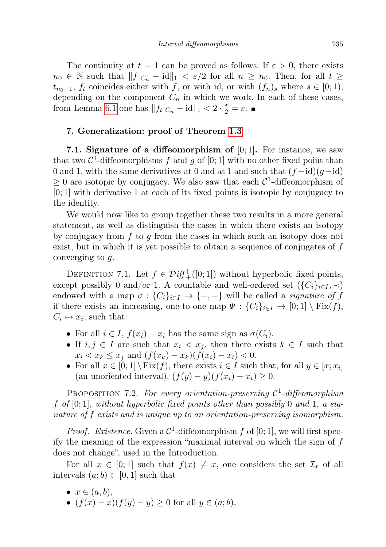The continuity at  $t = 1$  can be proved as follows: If  $\varepsilon > 0$ , there exists  $n_0 \in \mathbb{N}$  such that  $||f|_{C_n} - id||_1 < \varepsilon/2$  for all  $n \geq n_0$ . Then, for all  $t \geq$  $t_{n_0-1}$ ,  $f_t$  coincides either with f, or with id, or with  $(f_n)_s$  where  $s \in [0;1)$ , depending on the component  $C_n$  in which we work. In each of these cases, from Lemma [6.1](#page-33-1) one has  $||f_t|_{C_n} - id||_1 < 2 \cdot \frac{\varepsilon}{2} = \varepsilon$ .

## 7. Generalization: proof of Theorem [1.3](#page-2-0)

7.1. Signature of a diffeomorphism of  $[0, 1]$ . For instance, we saw that two  $\mathcal{C}^1$ -diffeomorphisms f and g of  $[0;1]$  with no other fixed point than 0 and 1, with the same derivatives at 0 and at 1 and such that  $(f - id)(g - id)$  $\geq 0$  are isotopic by conjugacy. We also saw that each  $\mathcal{C}^1$ -diffeomorphism of [0; 1] with derivative 1 at each of its fixed points is isotopic by conjugacy to the identity.

We would now like to group together these two results in a more general statement, as well as distinguish the cases in which there exists an isotopy by conjugacy from  $f$  to  $g$  from the cases in which such an isotopy does not exist, but in which it is yet possible to obtain a sequence of conjugates of  $f$ converging to  $g$ .

<span id="page-34-0"></span>DEFINITION 7.1. Let  $f \in \mathcal{Diff}^1_+([0;1])$  without hyperbolic fixed points, except possibly 0 and/or 1. A countable and well-ordered set  $({C_i}_{i \in I}, \prec)$ endowed with a map  $\sigma : \{C_i\}_{i\in I} \to \{+, -\}$  will be called a *signature of f* if there exists an increasing, one-to-one map  $\Psi : \{C_i\}_{i\in I} \to [0,1] \setminus \text{Fix}(f)$ ,  $C_i \mapsto x_i$ , such that:

- For all  $i \in I$ ,  $f(x_i) x_i$  has the same sign as  $\sigma(C_i)$ .
- If  $i, j \in I$  are such that  $x_i < x_j$ , then there exists  $k \in I$  such that  $x_i < x_k \leq x_j$  and  $(f(x_k) - x_k)(f(x_i) - x_i) < 0$ .
- For all  $x \in [0,1] \setminus \text{Fix}(f)$ , there exists  $i \in I$  such that, for all  $y \in [x; x_i]$ (an unoriented interval),  $(f(y) - y)(f(x_i) - x_i) \geq 0$ .

PROPOSITION 7.2. For every orientation-preserving  $\mathcal{C}^1$ -diffeomorphism f of  $[0; 1]$ , without hyperbolic fixed points other than possibly 0 and 1, a signature of f exists and is unique up to an orientation-preserving isomorphism.

*Proof.* Existence. Given a  $C^1$ -diffeomorphism f of [0; 1], we will first specify the meaning of the expression "maximal interval on which the sign of f does not change", used in the Introduction.

For all  $x \in [0,1]$  such that  $f(x) \neq x$ , one considers the set  $\mathcal{I}_x$  of all intervals  $(a; b) \subset [0, 1]$  such that

- $x \in (a, b)$ ,
- $(f(x) x)(f(y) y) \ge 0$  for all  $y \in (a, b)$ ,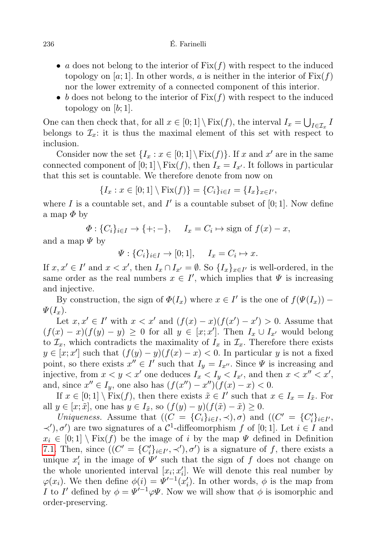- a does not belong to the interior of  $Fix(f)$  with respect to the induced topology on [a; 1]. In other words, a is neither in the interior of  $Fix(f)$ nor the lower extremity of a connected component of this interior.
- b does not belong to the interior of  $Fix(f)$  with respect to the induced topology on  $[b; 1]$ .

One can then check that, for all  $x \in [0, 1] \setminus \text{Fix}(f)$ , the interval  $I_x = \bigcup_{I \in \mathcal{I}_x} I$ belongs to  $\mathcal{I}_x$ : it is thus the maximal element of this set with respect to inclusion.

Consider now the set  $\{I_x : x \in [0,1] \setminus \text{Fix}(f)\}\$ . If x and x' are in the same connected component of  $[0; 1] \setminus Fix(f)$ , then  $I_x = I_{x'}$ . It follows in particular that this set is countable. We therefore denote from now on

$$
\{I_x : x \in [0;1] \setminus \text{Fix}(f)\} = \{C_i\}_{i \in I} = \{I_x\}_{x \in I'},
$$

where I is a countable set, and I' is a countable subset of  $[0; 1]$ . Now define a map  $\Phi$  by

$$
\Phi: \{C_i\}_{i \in I} \to \{+; -\}, \quad I_x = C_i \mapsto \text{sign of } f(x) - x,
$$

and a map  $\Psi$  by

$$
\Psi: \{C_i\}_{i \in I} \to [0; 1], \quad I_x = C_i \mapsto x.
$$

If  $x, x' \in I'$  and  $x < x'$ , then  $I_x \cap I_{x'} = \emptyset$ . So  $\{I_x\}_{x \in I'}$  is well-ordered, in the same order as the real numbers  $x \in I'$ , which implies that  $\Psi$  is increasing and injective.

By construction, the sign of  $\Phi(I_x)$  where  $x \in I'$  is the one of  $f(\Psi(I_x))$  –  $\Psi(I_x)$ .

Let  $x, x' \in I'$  with  $x < x'$  and  $(f(x) - x)(f(x') - x') > 0$ . Assume that  $(f(x) - x)(f(y) - y) \ge 0$  for all  $y \in [x, x']$ . Then  $I_x \cup I_{x'}$  would belong to  $\mathcal{I}_x$ , which contradicts the maximality of  $I_x$  in  $\mathcal{I}_x$ . Therefore there exists  $y \in [x, x']$  such that  $(f(y) - y)(f(x) - x) < 0$ . In particular y is not a fixed point, so there exists  $x'' \in I'$  such that  $I_y = I_{x''}$ . Since  $\Psi$  is increasing and injective, from  $x < y < x'$  one deduces  $I_x < I_y < I_{x'}$ , and then  $x < x'' < x'$ , and, since  $x'' \in I_y$ , one also has  $(f(x'') - x'')\tilde{f}(x) - x) < 0$ .

If  $x \in [0,1] \setminus \text{Fix}(f)$ , then there exists  $\tilde{x} \in I'$  such that  $x \in I_x = I_{\tilde{x}}$ . For all  $y \in [x; \tilde{x}]$ , one has  $y \in I_{\tilde{x}}$ , so  $(f(y) - y)(f(\tilde{x}) - \tilde{x}) \geq 0$ .

Uniqueness. Assume that  $((C = {C_i}_{i \in I}, \prec), \sigma)$  and  $((C' = {C'_i}_{i \in I'}, \prec), \sigma)$  $\prec$ '), σ') are two signatures of a C<sup>1</sup>-diffeomorphism f of [0; 1]. Let *i* ∈ I and  $x_i \in [0,1] \setminus Fix(f)$  be the image of i by the map  $\Psi$  defined in Definition [7.1.](#page-34-0) Then, since  $((C' = {C'_i}_{i \in I'}, \prec'), \sigma')$  is a signature of f, there exists a unique  $x_i'$  in the image of  $\Psi'$  such that the sign of f does not change on the whole unoriented interval  $[x_i; x'_i]$ . We will denote this real number by  $\varphi(x_i)$ . We then define  $\phi(i) = \Psi'^{-1}(x'_i)$ . In other words,  $\phi$  is the map from I to I' defined by  $\phi = \Psi'^{-1} \varphi \Psi$ . Now we will show that  $\phi$  is isomorphic and order-preserving.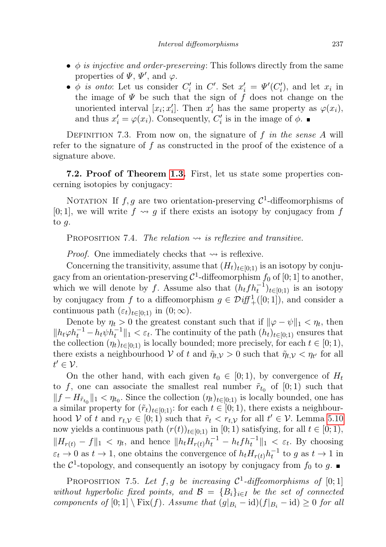- $\phi$  is injective and order-preserving: This follows directly from the same properties of  $\Psi$ ,  $\Psi'$ , and  $\varphi$ .
- $\phi$  is onto: Let us consider  $C_i'$  in  $C'$ . Set  $x_i' = \Psi'(C_i')$ , and let  $x_i$  in the image of  $\Psi$  be such that the sign of f does not change on the unoriented interval  $[x_i; x'_i]$ . Then  $x'_i$  has the same property as  $\varphi(x_i)$ , and thus  $x'_i = \varphi(x_i)$ . Consequently,  $C'_i$  is in the image of  $\phi$ .

DEFINITION 7.3. From now on, the signature of f in the sense A will refer to the signature of  $f$  as constructed in the proof of the existence of a signature above.

7.2. Proof of Theorem [1.3.](#page-2-0) First, let us state some properties concerning isotopies by conjugacy:

NOTATION If  $f, g$  are two orientation-preserving  $\mathcal{C}^1$ -diffeomorphisms of [0; 1], we will write  $f \rightsquigarrow g$  if there exists an isotopy by conjugacy from f to  $g$ .

<span id="page-36-0"></span>PROPOSITION 7.4. The relation  $\rightsquigarrow$  is reflexive and transitive.

*Proof.* One immediately checks that  $\rightsquigarrow$  is reflexive.

Concerning the transitivity, assume that  $(H_t)_{t\in[0;1)}$  is an isotopy by conjugacy from an orientation-preserving  $C^1$ -diffeomorphism  $f_0$  of  $[0;1]$  to another, which we will denote by f. Assume also that  $(h_t f h_t^{-1})_{t \in [0,1)}$  is an isotopy by conjugacy from f to a diffeomorphism  $g \in \mathcal{D}iff^1_+([0;1])$ , and consider a continuous path  $(\varepsilon_t)_{t\in[0;1)}$  in  $(0;\infty)$ .

Denote by  $\eta_t > 0$  the greatest constant such that if  $\|\varphi - \psi\|_1 < \eta_t$ , then  $||h_t \varphi h_t^{-1} - h_t \psi h_t^{-1}||_1 < \varepsilon_t$ . The continuity of the path  $(h_t)_{t \in [0,1)}$  ensures that the collection  $(\eta_t)_{t\in[0;1)}$  is locally bounded; more precisely, for each  $t\in[0;1)$ , there exists a neighbourhood V of t and  $\tilde{\eta}_{t,v} > 0$  such that  $\tilde{\eta}_{t,v} < \eta_{t'}$  for all  $t' \in \mathcal{V}$ .

On the other hand, with each given  $t_0 \in [0,1)$ , by convergence of  $H_t$ to f, one can associate the smallest real number  $\tilde{r}_{t_0}$  of  $[0;1)$  such that  $||f - H_{\tilde{r}_{t_0}}||_1 < \eta_{t_0}$ . Since the collection  $(\eta_t)_{t \in [0,1)}$  is locally bounded, one has a similar property for  $(\tilde{r}_t)_{t\in[0,1)}$ : for each  $t\in[0,1)$ , there exists a neighbourhood V of t and  $r_{t,\mathcal{V}} \in [0,1)$  such that  $\tilde{r}_t < r_{t,\mathcal{V}}$  for all  $t' \in \mathcal{V}$ . Lemma [5.10](#page-23-1) now yields a continuous path  $(r(t))_{t\in[0;1)}$  in  $[0;1)$  satisfying, for all  $t\in[0;1)$ ,  $||H_{r(t)} - f||_1 < \eta_t$ , and hence  $||h_t H_{r(t)} h_t^{-1} - h_t f h_t^{-1}||_1 < \varepsilon_t$ . By choosing  $\varepsilon_t \to 0$  as  $t \to 1$ , one obtains the convergence of  $h_t H_{r(t)} h_t^{-1}$  to g as  $t \to 1$  in the  $\mathcal{C}^1$ -topology, and consequently an isotopy by conjugacy from  $f_0$  to g.

<span id="page-36-1"></span>PROPOSITION 7.5. Let  $f, g$  be increasing  $C^1$ -diffeomorphisms of [0;1] without hyperbolic fixed points, and  $\mathcal{B} = \{B_i\}_{i \in I}$  be the set of connected components of  $[0; 1] \setminus Fix(f)$ . Assume that  $(g|_{B_i} - id)(f|_{B_i} - id) \geq 0$  for all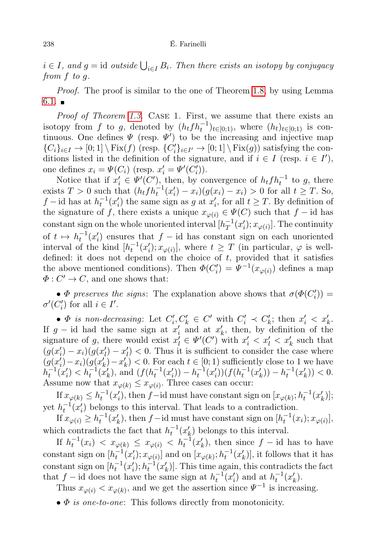$i \in I$ , and  $g = id$  outside  $\bigcup_{i \in I} B_i$ . Then there exists an isotopy by conjugacy from f to g.

Proof. The proof is similar to the one of Theorem [1.8,](#page-5-0) by using Lemma  $6.1.$ 

Proof of Theorem [1.3.](#page-2-0) CASE 1. First, we assume that there exists an isotopy from f to g, denoted by  $(h_t f h_t^{-1})_{t \in [0;1)}$ , where  $(h_t)_{t \in [0;1)}$  is continuous. One defines  $\Psi$  (resp.  $\Psi'$ ) to be the increasing and injective map  ${C_i}_{i \in I} \to [0;1] \setminus \text{Fix}(f)$  (resp.  ${C'_i}_{i \in I'} \to [0;1] \setminus \text{Fix}(g)$ ) satisfying the conditions listed in the definition of the signature, and if  $i \in I$  (resp.  $i \in I'$ ), one defines  $x_i = \Psi(C_i)$  (resp.  $x'_i = \Psi'(C'_i)$ ).

Notice that if  $x'_i \in \Psi'(C')$ , then, by convergence of  $h_t f h_t^{-1}$  to g, there exists  $T > 0$  such that  $(h_t f h_t^{-1}(x_i') - x_i)(g(x_i) - x_i) > 0$  for all  $t \geq T$ . So, f – id has at  $h_t^{-1}(x_i')$  the same sign as g at  $x_i'$ , for all  $t \geq T$ . By definition of the signature of f, there exists a unique  $x_{\varphi(i)} \in \Psi(C)$  such that f – id has constant sign on the whole unoriented interval  $[h_T^{-1}]$  $^{-1}_T(x'_i); x_{\varphi(i)}].$  The continuity of  $t \mapsto h_t^{-1}(x_i')$  ensures that  $f - id$  has constant sign on each unoriented interval of the kind  $[h_t^{-1}(x_i'); x_{\varphi(i)}],$  where  $t \geq T$  (in particular,  $\varphi$  is welldefined: it does not depend on the choice of  $t$ , provided that it satisfies the above mentioned conditions). Then  $\Phi(C_i') = \Psi^{-1}(x_{\varphi(i)})$  defines a map  $\Phi: C' \to C$ , and one shows that:

•  $\Phi$  preserves the signs: The explanation above shows that  $\sigma(\Phi(C_i'))$  $\sigma'(C'_i)$  for all  $i \in I'$ .

•  $\Phi$  is non-decreasing: Let  $C_i', C_k' \in C'$  with  $C_i' \prec C_k'$ ; then  $x_i' < x_k'$ . If  $g$  – id had the same sign at  $x'_i$  and at  $x'_k$ , then, by definition of the signature of g, there would exist  $x'_l \in \Psi'(C')$  with  $x'_i < x'_l < x'_k$  such that  $(g(x_i') - x_i)(g(x_i') - x_i') < 0$ . Thus it is sufficient to consider the case where  $(g(x_i') - x_i)(g(x_k') - x_k') < 0$ . For each  $t \in [0, 1)$  sufficiently close to 1 we have  $h_t^{-1}(x'_t) < h_t^{-1}(x'_k)$ , and  $(f(h_t^{-1}(x'_i)) - h_t^{-1}(x'_i))(f(h_t^{-1}(x'_k)) - h_t^{-1}(x'_k)) < 0$ . Assume now that  $x_{\varphi(k)} \leq x_{\varphi(i)}$ . Three cases can occur:

If  $x_{\varphi(k)} \leq h_t^{-1}(x'_i)$ , then  $f$ -id must have constant sign on  $[x_{\varphi(k)}; h_t^{-1}(x'_k)]$ ; yet  $h_t^{-1}(x_i')$  belongs to this interval. That leads to a contradiction.

If  $x_{\varphi(i)} \ge h_t^{-1}(x'_k)$ , then  $f$  – id must have constant sign on  $[h_t^{-1}(x_i); x_{\varphi(i)}],$ which contradicts the fact that  $h_t^{-1}(x'_k)$  belongs to this interval.

If  $h_t^{-1}(x_i) < x_{\varphi(k)} \leq x_{\varphi(i)} < h_t^{-1}(x'_k)$ , then since  $f$  – id has to have constant sign on  $[h_t^{-1}(x_i'); x_{\varphi(i)}]$  and on  $[x_{\varphi(k)}; h_t^{-1}(x_k')]$ , it follows that it has constant sign on  $[h_t^{-1}(x_i'); h_t^{-1}(x_k')]$ . This time again, this contradicts the fact that f – id does not have the same sign at  $h_t^{-1}(x_i)$  and at  $h_t^{-1}(x_k)$ .

Thus  $x_{\varphi(i)} < x_{\varphi(k)}$ , and we get the assertion since  $\Psi^{-1}$  is increasing.

 $\bullet$   $\Phi$  is one-to-one: This follows directly from monotonicity.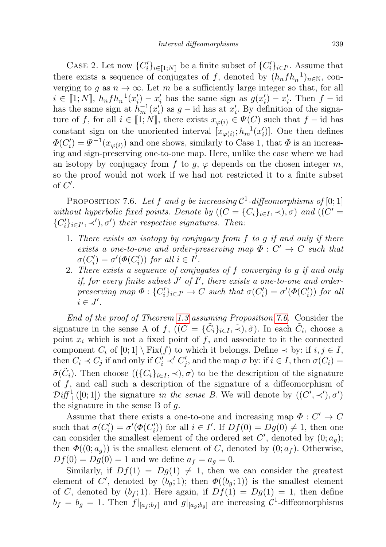CASE 2. Let now  $\{C_i'\}_{i\in\llbracket 1;N\rrbracket}$  be a finite subset of  $\{C_i'\}_{i\in I'}$ . Assume that there exists a sequence of conjugates of f, denoted by  $(h_n f h_n^{-1})_{n \in \mathbb{N}}$ , converging to g as  $n \to \infty$ . Let m be a sufficiently large integer so that, for all  $i \in [1; N]$ ,  $h_n f h_n^{-1}(x'_i) - x'_i$  has the same sign as  $g(x'_i) - x'_i$ . Then  $f$  – id has the same sign at  $h_m^{-1}(x_i')$  as  $g$  – id has at  $x_i'$ . By definition of the signature of f, for all  $i \in [1; N]$ , there exists  $x_{\varphi(i)} \in \Psi(C)$  such that  $f - id$  has constant sign on the unoriented interval  $[x_{\varphi(i)}; h_m^{-1}(x_i')]$ . One then defines  $\Phi(C_i') = \Psi^{-1}(x_{\varphi(i)})$  and one shows, similarly to Case 1, that  $\Phi$  is an increasing and sign-preserving one-to-one map. Here, unlike the case where we had an isotopy by conjugacy from f to g,  $\varphi$  depends on the chosen integer m, so the proof would not work if we had not restricted it to a finite subset of  $C'$ .

<span id="page-38-0"></span>PROPOSITION 7.6. Let f and g be increasing  $\mathcal{C}^1$ -diffeomorphisms of [0; 1] without hyperbolic fixed points. Denote by  $((C = {C<sub>i</sub>}_{i\in I}, \prec), \sigma)$  and  $((C' =$  $\{C_i'\}_{i \in I', \prec'}, \sigma'$  their respective signatures. Then:

- 1. There exists an isotopy by conjugacy from f to g if and only if there exists a one-to-one and order-preserving map  $\Phi: C' \to C$  such that  $\sigma(C_i') = \sigma'(\Phi(C_i'))$  for all  $i \in I'.$
- 2. There exists a sequence of conjugates of f converging to g if and only if, for every finite subset  $J'$  of  $I'$ , there exists a one-to-one and orderpreserving map  $\Phi: \{C_i'\}_{i \in J'} \to C$  such that  $\sigma(C_i') = \sigma'(\Phi(C_i'))$  for all  $i \in J'.$

End of the proof of Theorem [1.3](#page-2-0) assuming Proposition [7.6.](#page-38-0) Consider the signature in the sense A of f,  $((\tilde{C} = {\{\tilde{C}_i\}_{i \in I}}, \tilde{\prec}), \tilde{\sigma})$ . In each  $\tilde{C}_i$ , choose a point  $x_i$  which is not a fixed point of  $f$ , and associate to it the connected component  $C_i$  of  $[0;1] \setminus Fix(f)$  to which it belongs. Define  $\prec$  by: if  $i, j \in I$ , then  $C_i \prec C_j$  if and only if  $C'_i \prec' C'_j$ , and the map  $\sigma$  by: if  $i \in I$ , then  $\sigma(C_i)$  $\tilde{\sigma}(\tilde{C}_i)$ . Then choose  $((\{C_i\}_{i\in I}, \prec), \sigma)$  to be the description of the signature of  $f$ , and call such a description of the signature of a diffeomorphism of  $\mathcal{D}if_{+}^{1}([0; 1])$  the signature in the sense B. We will denote by  $((C', \prec'), \sigma')$ the signature in the sense  $B$  of  $g$ .

Assume that there exists a one-to-one and increasing map  $\Phi: C' \to C$ such that  $\sigma(C_i') = \sigma'(\Phi(C_i'))$  for all  $i \in I'$ . If  $Df(0) = Dg(0) \neq 1$ , then one can consider the smallest element of the ordered set  $C'$ , denoted by  $(0; a_g)$ ; then  $\Phi((0; a_q))$  is the smallest element of C, denoted by  $(0; a_f)$ . Otherwise,  $Df(0) = Dg(0) = 1$  and we define  $a_f = a_g = 0$ .

Similarly, if  $Df(1) = Dg(1) \neq 1$ , then we can consider the greatest element of C', denoted by  $(b_g; 1)$ ; then  $\Phi((b_g; 1))$  is the smallest element of C, denoted by  $(b_f; 1)$ . Here again, if  $Df(1) = Dg(1) = 1$ , then define  $b_f = b_g = 1$ . Then  $f|_{[a_f;b_f]}$  and  $g|_{[a_g;b_g]}$  are increasing  $C^1$ -diffeomorphisms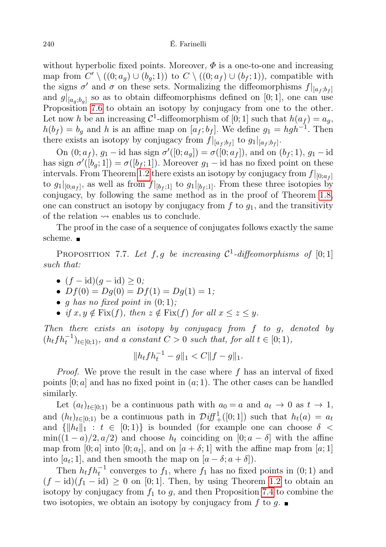without hyperbolic fixed points. Moreover,  $\Phi$  is a one-to-one and increasing map from  $C' \setminus ((0; a_g) \cup (b_g; 1))$  to  $C \setminus ((0; a_f) \cup (b_f; 1)),$  compatible with the signs  $\sigma'$  and  $\sigma$  on these sets. Normalizing the diffeomorphisms  $f|_{[a_f;b_f]}$ and  $g|_{[a_g;b_g]}$  so as to obtain diffeomorphisms defined on [0; 1], one can use Proposition [7.6](#page-38-0) to obtain an isotopy by conjugacy from one to the other. Let now h be an increasing  $\mathcal{C}^1$ -diffeomorphism of [0; 1] such that  $h(a_f) = a_g$ ,  $h(b_f) = b_g$  and h is an affine map on  $[a_f; b_f]$ . We define  $g_1 = hgh^{-1}$ . Then there exists an isotopy by conjugacy from  $f|_{[a_f;b_f]}$  to  $g_1|_{[a_f;b_f]}$ .

On  $(0; a_f)$ ,  $g_1$  – id has sign  $\sigma'([0; a_g]) = \sigma([0; a_f])$ , and on  $(b_f; 1)$ ,  $g_1$  – id has sign  $\sigma'([b_g; 1]) = \sigma([b_f; 1])$ . Moreover  $g_1$  – id has no fixed point on these intervals. From Theorem [1.2](#page-1-0) there exists an isotopy by conjugacy from  $f|_{[0;a_f]}$ to  $g_1|_{[0;a_f]}$ , as well as from  $f|_{[b_f,1]}$  to  $g_1|_{[b_f,1]}$ . From these three isotopies by conjugacy, by following the same method as in the proof of Theorem [1.8,](#page-5-0) one can construct an isotopy by conjugacy from  $f$  to  $g_1$ , and the transitivity of the relation  $\rightsquigarrow$  enables us to conclude.

The proof in the case of a sequence of conjugates follows exactly the same scheme.  $\blacksquare$ 

PROPOSITION 7.7. Let  $f, g$  be increasing  $C^1$ -diffeomorphisms of [0;1] such that:

- $(f \mathrm{id})(q \mathrm{id}) \geq 0;$
- $Df(0) = Dg(0) = Df(1) = Dg(1) = 1;$
- g has no fixed point in  $(0; 1)$ ;
- if  $x, y \notin \text{Fix}(f)$ , then  $z \notin \text{Fix}(f)$  for all  $x \leq z \leq y$ .

Then there exists an isotopy by conjugacy from f to g, denoted by  $(h_t f h_t^{-1})_{t \in [0,1)}$ , and a constant  $C > 0$  such that, for all  $t \in [0,1)$ ,

$$
||hfh_t^{-1} - g||_1 < C||f - g||_1.
$$

Proof. We prove the result in the case where f has an interval of fixed points  $[0; a]$  and has no fixed point in  $(a; 1)$ . The other cases can be handled similarly.

Let  $(a_t)_{t\in[0,1]}$  be a continuous path with  $a_0 = a$  and  $a_t \to 0$  as  $t \to 1$ , and  $(h_t)_{t\in[0,1]}$  be a continuous path in  $\mathcal{Diff}^1_+([0,1])$  such that  $h_t(a) = a_t$ and  $\{\Vert h_t \Vert_1 : t \in [0,1]\}$  is bounded (for example one can choose  $\delta$  <  $\min((1-a)/2, a/2)$  and choose  $h_t$  coinciding on  $[0; a - \delta]$  with the affine map from  $[0; a]$  into  $[0; a_t]$ , and on  $[a + \delta; 1]$  with the affine map from  $[a; 1]$ into  $[a_t; 1]$ , and then smooth the map on  $[a - \delta; a + \delta]$ .

Then  $h_t f h_t^{-1}$  converges to  $f_1$ , where  $f_1$  has no fixed points in  $(0, 1)$  and  $(f - id)(f_1 - id) \geq 0$  on [0; 1]. Then, by using Theorem [1.2](#page-1-0) to obtain an isotopy by conjugacy from  $f_1$  to g, and then Proposition [7.4](#page-36-0) to combine the two isotopies, we obtain an isotopy by conjugacy from f to g.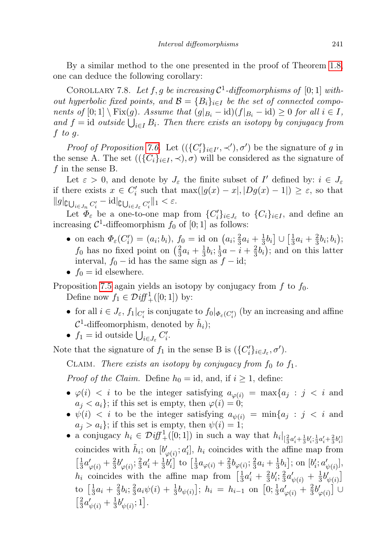By a similar method to the one presented in the proof of Theorem [1.8,](#page-5-0) one can deduce the following corollary:

<span id="page-40-0"></span>COROLLARY 7.8. Let  $f, g$  be increasing  $C^1$ -diffeomorphisms of [0; 1] without hyperbolic fixed points, and  $\mathcal{B} = \{B_i\}_{i \in I}$  be the set of connected components of  $[0;1] \setminus Fix(g)$ . Assume that  $(g|_{B_i} - id)(f|_{B_i} - id) \geq 0$  for all  $i \in I$ , and  $f = id$  outside  $\bigcup_{i \in I} B_i$ . Then there exists an isotopy by conjugacy from  $f$  to  $g$ .

*Proof of Proposition [7.6.](#page-38-0)* Let  $((\{C_i'\}_{i\in I'}, \prec'), \sigma')$  be the signature of g in the sense A. The set  $((\{C_i\}_{i\in I}, \prec), \sigma)$  will be considered as the signature of f in the sense B.

Let  $\varepsilon > 0$ , and denote by  $J_{\varepsilon}$  the finite subset of  $I'$  defined by:  $i \in J_{\varepsilon}$ if there exists  $x \in C'_i$  such that  $\max(|g(x) - x|, |Dg(x) - 1|) \geq \varepsilon$ , so that  $||g||_{\mathcal{C}\bigcup_{i\in J_n}C_i'}-\mathrm{id}||_{\mathcal{C}\bigcup_{i\in J_\varepsilon}C_i'}||_1<\varepsilon.$ 

Let  $\Phi_{\varepsilon}$  be a one-to-one map from  $\{C_i'\}_{i\in J_{\varepsilon}}$  to  $\{C_i\}_{i\in I}$ , and define an increasing  $C^1$ -diffeomorphism  $f_0$  of  $[0;1]$  as follows:

- on each  $\Phi_{\varepsilon}(C'_i) = (a_i; b_i), f_0 = \text{id}$  on  $(a_i; \frac{2}{3})$  $rac{2}{3}a_i + \frac{1}{3}$  $\frac{1}{3}b_i\big] \cup \big[\frac{1}{3}$  $rac{1}{3}a_i + \frac{2}{3}$  $rac{2}{3}b_i;b_i\big);$  $f_0$  has no fixed point on  $\left(\frac{2}{3}\right)$  $rac{2}{3}a_i + \frac{1}{3}$  $\frac{1}{3}b_i; \frac{1}{3}$  $\frac{1}{3}a - i + \frac{2}{3}$  $(\frac{2}{3}b_i)$ ; and on this latter interval,  $f_0$  − id has the same sign as  $f$  − id;
- $f_0 = id$  elsewhere.

Proposition [7.5](#page-36-1) again yields an isotopy by conjugacy from  $f$  to  $f_0$ . Define now  $f_1 \in \mathcal{D}if\{f_+^1([0;1])\}$  by:

- for all  $i \in J_{\varepsilon}, f_1|_{C_i'}$  is conjugate to  $f_0|_{\Phi_{\varepsilon}(C_i')}$  (by an increasing and affine  $\mathcal{C}^1$ -diffeomorphism, denoted by  $\tilde{h}_i$ );
- $f_1 = \text{id}$  outside  $\bigcup_{i \in J_{\varepsilon}} C'_i$ .

Note that the signature of  $f_1$  in the sense B is  $(\{C_i'\}_{i\in J_\varepsilon}, \sigma')$ .

CLAIM. There exists an isotopy by conjugacy from  $f_0$  to  $f_1$ .

*Proof of the Claim.* Define  $h_0 = id$ , and, if  $i \geq 1$ , define:

- $\varphi(i) < i$  to be the integer satisfying  $a_{\varphi(i)} = \max\{a_j : j < i \text{ and } j \leq j \leq j\}$  $a_i < a_i$ ; if this set is empty, then  $\varphi(i) = 0$ ;
- $\psi(i) < i$  to be the integer satisfying  $a_{\psi(i)} = \min\{a_j : j < i \text{ and } j \leq j \leq j\}$  $a_j > a_i$ ; if this set is empty, then  $\psi(i) = 1$ ;
- a conjugacy  $h_i \in \mathcal{Diff}^1_+([0,1])$  in such a way that  $h_i|_{[\frac{2}{3}a'_i + \frac{1}{3}b'_i, \frac{1}{3}a'_i + \frac{2}{3}b'_i]}$ coincides with  $\tilde{h}_i$ ; on  $[b'_{\varphi(i)}; a'_i]$ ,  $h_i$  coincides with the affine map from  $\lceil \frac{1}{2} \rceil$  $\frac{1}{3}a'_{\varphi(i)} + \frac{2}{3}$  $rac{2}{3}b'_{\varphi(i)}$ ;  $rac{2}{3}$  $rac{2}{3}a'_i + \frac{1}{3}$  $\frac{1}{3}b'_i$  to  $\left[\frac{1}{3}\right]$  $\frac{1}{3}a_{\varphi(i)} + \frac{2}{3}$  $\frac{2}{3}b_{\varphi(i)};\frac{2}{3}$  $rac{2}{3}a_i + \frac{1}{3}$  $\frac{1}{3}b_i$ ; on  $[b'_i; a'_{\psi(i)}]$ ,  $h_i$  coincides with the affine map from  $\left[\frac{1}{3}\right]$  $\frac{1}{3}a'_i + \frac{2}{3}$  $rac{2}{3}b'_{i}; \frac{2}{3}$  $rac{2}{3}a'_{\psi(i)} + \frac{1}{3}$  $rac{1}{3}b'_{\psi(i)}$ to  $\frac{1}{3}$  $rac{1}{3}a_i + \frac{2}{3}$  $rac{2}{3}b_i; \frac{2}{3}$  $\frac{2}{3}a_i\psi(i) + \frac{1}{3}b_{\psi(i)}$ ;  $h_i = h_{i-1}$  on  $[0; \frac{1}{3}a'_{\varphi(i)} + \frac{2}{3}$  $\frac{2}{3}b'_{\varphi(i)}\big]$  U  $\lceil \frac{2}{2} \rceil$  $rac{2}{3}a'_{\psi(i)} + \frac{1}{3}$  $\frac{1}{3}b'_{\psi(i)};1].$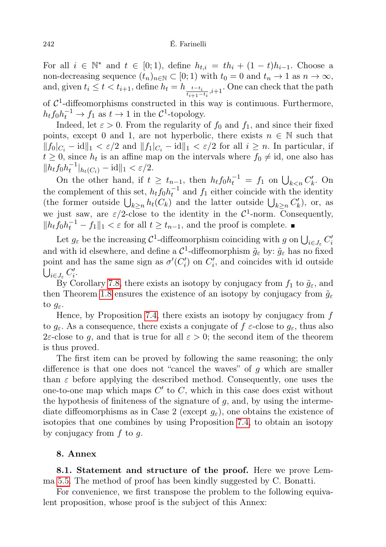For all  $i \in \mathbb{N}^*$  and  $t \in [0,1)$ , define  $h_{t,i} = th_i + (1-t)h_{i-1}$ . Choose a non-decreasing sequence  $(t_n)_{n\in\mathbb{N}}\subset[0,1)$  with  $t_0=0$  and  $t_n\to1$  as  $n\to\infty$ , and, given  $t_i \leq t < t_{i+1}$ , define  $h_t = h_{\frac{t-t_i}{t_{i+1}-t_i}, i+1}$ . One can check that the path of  $C<sup>1</sup>$ -diffeomorphisms constructed in this way is continuous. Furthermore,  $h_t f_0 h_t^{-1} \to f_1$  as  $t \to 1$  in the  $C^1$ -topology.

Indeed, let  $\varepsilon > 0$ . From the regularity of  $f_0$  and  $f_1$ , and since their fixed points, except 0 and 1, are not hyperbolic, there exists  $n \in \mathbb{N}$  such that  $||f_0|_{C_i} - \mathrm{id}||_1 < \varepsilon/2$  and  $||f_1|_{C_i} - \mathrm{id}||_1 < \varepsilon/2$  for all  $i \geq n$ . In particular, if  $t \geq 0$ , since  $h_t$  is an affine map on the intervals where  $f_0 \neq id$ , one also has  $||h_t f_0 h_t^{-1}||_{h_t(C_i)} - \mathrm{id}||_1 < \varepsilon/2.$ 

On the other hand, if  $t \geq t_{n-1}$ , then  $h_t f_0 h_t^{-1} = f_1$  on  $\bigcup_{k \leq n} C'_k$ . On the complement of this set,  $h_t f_0 h_t^{-1}$  and  $f_1$  either coincide with the identity (the former outside  $\bigcup_{k\geq n} h_t(C_k)$  and the latter outside  $\bigcup_{k\geq n} C'_k$ ), or, as we just saw, are  $\varepsilon/2$ -close to the identity in the  $\mathcal{C}^1$ -norm. Consequently,  $||h_t f_0 h_t^{-1} - f_1||_1 < \varepsilon$  for all  $t \ge t_{n-1}$ , and the proof is complete.

Let  $g_{\varepsilon}$  be the increasing  $\mathcal{C}^1$ -diffeomorphism coinciding with g on  $\bigcup_{i\in J_{\varepsilon}} C_i'$ and with id elsewhere, and define a  $\mathcal{C}^1$ -diffeomorphism  $\tilde{g}_{\varepsilon}$  by:  $\tilde{g}_{\varepsilon}$  has no fixed point and has the same sign as  $\sigma'(C_i')$  on  $C_i'$ , and coincides with id outside  $\bigcup_{i\in J_{\varepsilon}} C'_i.$ 

By Corollary [7.8,](#page-40-0) there exists an isotopy by conjugacy from  $f_1$  to  $\tilde{g}_{\varepsilon}$ , and then Theorem [1.8](#page-5-0) ensures the existence of an isotopy by conjugacy from  $\tilde{g}_{\varepsilon}$ to  $g_{\varepsilon}$ .

Hence, by Proposition [7.4,](#page-36-0) there exists an isotopy by conjugacy from  $f$ to  $g_{\varepsilon}$ . As a consequence, there exists a conjugate of  $f \varepsilon$ -close to  $g_{\varepsilon}$ , thus also 2 $\varepsilon$ -close to g, and that is true for all  $\varepsilon > 0$ ; the second item of the theorem is thus proved.

The first item can be proved by following the same reasoning; the only difference is that one does not "cancel the waves" of  $q$  which are smaller than  $\varepsilon$  before applying the described method. Consequently, one uses the one-to-one map which maps  $C'$  to  $C$ , which in this case does exist without the hypothesis of finiteness of the signature of  $q$ , and, by using the intermediate diffeomorphisms as in Case 2 (except  $g_{\varepsilon}$ ), one obtains the existence of isotopies that one combines by using Proposition [7.4,](#page-36-0) to obtain an isotopy by conjugacy from  $f$  to  $g$ .

## 8. Annex

8.1. Statement and structure of the proof. Here we prove Lemma [5.5.](#page-22-0) The method of proof has been kindly suggested by C. Bonatti.

<span id="page-41-0"></span>For convenience, we first transpose the problem to the following equivalent proposition, whose proof is the subject of this Annex: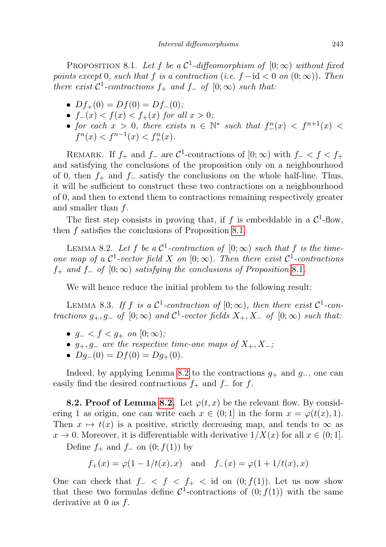PROPOSITION 8.1. Let f be a  $\mathcal{C}^1$ -diffeomorphism of  $[0; \infty)$  without fixed points except 0, such that f is a contraction (i.e.  $f - id < 0$  on  $(0, \infty)$ ). Then there exist  $C^1$ -contractions  $f_+$  and  $f_-$  of  $[0; \infty)$  such that:

- $Df_{+}(0) = Df(0) = Df_{-}(0);$
- $f_-(x) < f(x) < f_+(x)$  for all  $x > 0$ ;
- for each  $x > 0$ , there exists  $n \in \mathbb{N}^*$  such that  $f^n_-(x) < f^{n+1}(x)$  $f^{n}(x) < f^{n-1}(x) < f^{n}(x)$ .

REMARK. If  $f_+$  and  $f_-$  are  $\mathcal{C}^1$ -contractions of  $[0; \infty)$  with  $f_ < f < f_+$ and satisfying the conclusions of the proposition only on a neighbourhood of 0, then  $f_+$  and  $f_-\$  satisfy the conclusions on the whole half-line. Thus, it will be sufficient to construct these two contractions on a neighbourhood of 0, and then to extend them to contractions remaining respectively greater and smaller than  $f$ .

The first step consists in proving that, if f is embeddable in a  $\mathcal{C}^1$ -flow, then f satisfies the conclusions of Proposition [8.1.](#page-41-0)

<span id="page-42-0"></span>LEMMA 8.2. Let f be a  $\mathcal{C}^1$ -contraction of  $[0; \infty)$  such that f is the timeone map of a  $\mathcal{C}^1$ -vector field X on  $[0; \infty)$ . Then there exist  $\mathcal{C}^1$ -contractions  $f_+$  and  $f_+$  of  $[0; \infty)$  satisfying the conclusions of Proposition [8](#page-41-0).1.

We will hence reduce the initial problem to the following result:

<span id="page-42-1"></span>LEMMA 8.3. If f is a  $\mathcal{C}^1$ -contraction of  $[0; \infty)$ , then there exist  $\mathcal{C}^1$ -contractions  $g_+, g_-$  of  $[0; \infty)$  and  $C^1$ -vector fields  $X_+, X_-$  of  $[0; \infty)$  such that:

- $g_- < f < g_+$  on  $[0; \infty)$ ;
- $g_+, g_-$  are the respective time-one maps of  $X_+, X_-$ ;
- $Dg_{-}(0) = Df(0) = Dg_{+}(0)$ .

Indeed, by applying Lemma [8.2](#page-42-0) to the contractions  $g_+$  and  $g_-$ , one can easily find the desired contractions  $f_+$  and  $f_-$  for f.

**8.2. Proof of Lemma [8.2.](#page-42-0)** Let  $\varphi(t, x)$  be the relevant flow. By considering 1 as origin, one can write each  $x \in (0,1]$  in the form  $x = \varphi(t(x), 1)$ . Then  $x \mapsto t(x)$  is a positive, strictly decreasing map, and tends to  $\infty$  as  $x \to 0$ . Moreover, it is differentiable with derivative  $1/X(x)$  for all  $x \in (0,1]$ .

Define  $f_+$  and  $f_-\,$  on  $(0; f(1))$  by

$$
f_+(x) = \varphi(1 - 1/t(x), x)
$$
 and  $f_-(x) = \varphi(1 + 1/t(x), x)$ 

One can check that  $f- < f < f< \pm 1$  id on  $(0; f(1))$ . Let us now show that these two formulas define  $\mathcal{C}^1$ -contractions of  $(0; f(1))$  with the same derivative at 0 as  $f$ .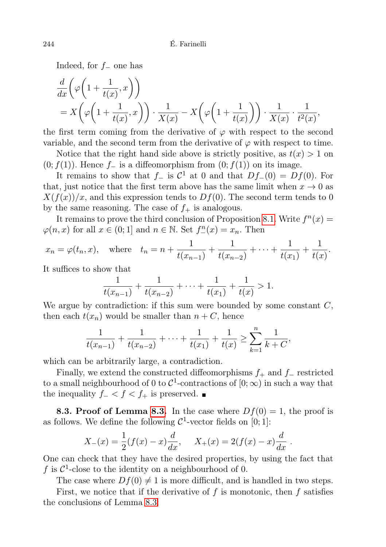Indeed, for f<sup>−</sup> one has

$$
\frac{d}{dx}\left(\varphi\left(1+\frac{1}{t(x)},x\right)\right) = X\left(\varphi\left(1+\frac{1}{t(x)},x\right)\right) \cdot \frac{1}{X(x)} - X\left(\varphi\left(1+\frac{1}{t(x)}\right)\right) \cdot \frac{1}{X(x)} \cdot \frac{1}{t^2(x)},
$$

the first term coming from the derivative of  $\varphi$  with respect to the second variable, and the second term from the derivative of  $\varphi$  with respect to time.

Notice that the right hand side above is strictly positive, as  $t(x) > 1$  on  $(0; f(1))$ . Hence f<sub>−</sub> is a diffeomorphism from  $(0; f(1))$  on its image.

It remains to show that  $f_$  is  $C^1$  at 0 and that  $Df_-(0) = Df(0)$ . For that, just notice that the first term above has the same limit when  $x \to 0$  as  $X(f(x))/x$ , and this expression tends to  $Df(0)$ . The second term tends to 0 by the same reasoning. The case of  $f_{+}$  is analogous.

It remains to prove the third conclusion of Proposition [8.1.](#page-41-0) Write  $f^{n}(x) =$  $\varphi(n,x)$  for all  $x \in (0,1]$  and  $n \in \mathbb{N}$ . Set  $f_{-}^{n}(x) = x_n$ . Then

$$
x_n = \varphi(t_n, x)
$$
, where  $t_n = n + \frac{1}{t(x_{n-1})} + \frac{1}{t(x_{n-2})} + \dots + \frac{1}{t(x_1)} + \frac{1}{t(x)}$ .

It suffices to show that

$$
\frac{1}{t(x_{n-1})} + \frac{1}{t(x_{n-2})} + \dots + \frac{1}{t(x_1)} + \frac{1}{t(x)} > 1.
$$

We argue by contradiction: if this sum were bounded by some constant  $C$ , then each  $t(x_n)$  would be smaller than  $n + C$ , hence

$$
\frac{1}{t(x_{n-1})} + \frac{1}{t(x_{n-2})} + \dots + \frac{1}{t(x_1)} + \frac{1}{t(x)} \ge \sum_{k=1}^{n} \frac{1}{k+C},
$$

which can be arbitrarily large, a contradiction.

Finally, we extend the constructed diffeomorphisms  $f_+$  and  $f_-\$ restricted to a small neighbourhood of 0 to  $\mathcal{C}^1$ -contractions of  $[0; \infty)$  in such a way that the inequality  $f_ - < f < f_ +$  is preserved.  $\blacksquare$ 

**8.3. Proof of Lemma [8.3.](#page-42-1)** In the case where  $Df(0) = 1$ , the proof is as follows. We define the following  $\mathcal{C}^1$ -vector fields on [0; 1]:

$$
X_{-}(x) = \frac{1}{2}(f(x) - x)\frac{d}{dx}, \quad X_{+}(x) = 2(f(x) - x)\frac{d}{dx}.
$$

One can check that they have the desired properties, by using the fact that f is  $C^1$ -close to the identity on a neighbourhood of 0.

The case where  $Df(0) \neq 1$  is more difficult, and is handled in two steps.

<span id="page-43-0"></span>First, we notice that if the derivative of  $f$  is monotonic, then  $f$  satisfies the conclusions of Lemma [8.3:](#page-42-1)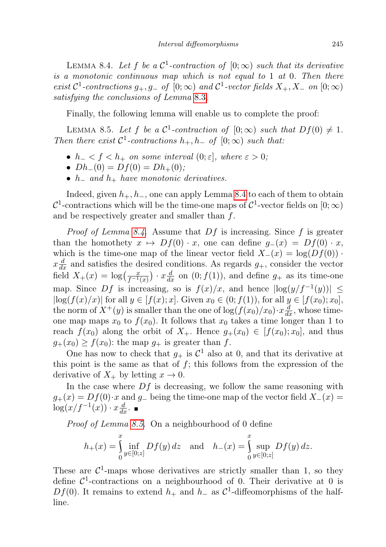LEMMA 8.4. Let f be a  $\mathcal{C}^1$ -contraction of  $[0; \infty)$  such that its derivative is a monotonic continuous map which is not equal to 1 at 0. Then there exist  $C^1$ -contractions  $g_+, g_-$  of  $[0; \infty)$  and  $C^1$ -vector fields  $X_+, X_-$  on  $[0; \infty)$ satisfying the conclusions of Lemma [8](#page-42-1).3.

Finally, the following lemma will enable us to complete the proof:

<span id="page-44-0"></span>LEMMA 8.5. Let f be a  $\mathcal{C}^1$ -contraction of  $[0; \infty)$  such that  $Df(0) \neq 1$ . Then there exist  $C^1$ -contractions  $h_+, h_-$  of  $[0; \infty)$  such that:

- $h_- < f < h_+$  on some interval  $(0; \varepsilon]$ , where  $\varepsilon > 0$ ;
- $Dh_-(0) = Df(0) = Dh_+(0);$
- $h_$  and  $h_+$  have monotonic derivatives.

Indeed, given  $h_+, h_-,$  one can apply Lemma [8.4](#page-43-0) to each of them to obtain  $\mathcal{C}^1$ -contractions which will be the time-one maps of  $\mathcal{C}^1$ -vector fields on  $[0; \infty)$ and be respectively greater and smaller than f.

*Proof of Lemma [8.4.](#page-43-0)* Assume that  $Df$  is increasing. Since f is greater than the homothety  $x \mapsto Df(0) \cdot x$ , one can define  $g_-(x) = Df(0) \cdot x$ , which is the time-one map of the linear vector field  $X_-(x) = \log(Df(0))$ .  $x \frac{d}{dx}$  and satisfies the desired conditions. As regards  $g_{+}$ , consider the vector field  $X_+(x) = \log(\frac{x}{f^{-1}(x)}) \cdot x \frac{d}{dx}$  on  $(0; f(1))$ , and define  $g_+$  as its time-one map. Since Df is increasing, so is  $f(x)/x$ , and hence  $|\log(y/f^{-1}(y))| \le$  $|\log(f(x)/x)|$  for all  $y \in [f(x); x]$ . Given  $x_0 \in (0; f(1))$ , for all  $y \in [f(x_0); x_0]$ , the norm of  $X^+(y)$  is smaller than the one of  $\log(f(x_0)/x_0) \cdot x \frac{d}{dx}$ , whose timeone map maps  $x_0$  to  $f(x_0)$ . It follows that  $x_0$  takes a time longer than 1 to reach  $f(x_0)$  along the orbit of  $X_+$ . Hence  $g_+(x_0) \in [f(x_0); x_0]$ , and thus  $g_+(x_0) \ge f(x_0)$ : the map  $g_+$  is greater than f.

One has now to check that  $g_+$  is  $\mathcal{C}^1$  also at 0, and that its derivative at this point is the same as that of  $f$ ; this follows from the expression of the derivative of  $X_+$  by letting  $x \to 0$ .

In the case where  $Df$  is decreasing, we follow the same reasoning with  $g_{+}(x) = Df(0) \cdot x$  and  $g_{-}$  being the time-one map of the vector field  $X_{-}(x) =$  $\log(x/f^{-1}(x)) \cdot x \frac{d}{dx}$ .

Proof of Lemma [8.5.](#page-44-0) On a neighbourhood of 0 define

$$
h_{+}(x) = \int_{0}^{x} \inf_{y \in [0;z]} Df(y) dz \text{ and } h_{-}(x) = \int_{0}^{x} \sup_{y \in [0;z]} Df(y) dz.
$$

These are  $\mathcal{C}^1$ -maps whose derivatives are strictly smaller than 1, so they define  $\mathcal{C}^1$ -contractions on a neighbourhood of 0. Their derivative at 0 is Df(0). It remains to extend  $h_+$  and  $h_-$  as C<sup>1</sup>-diffeomorphisms of the halfline.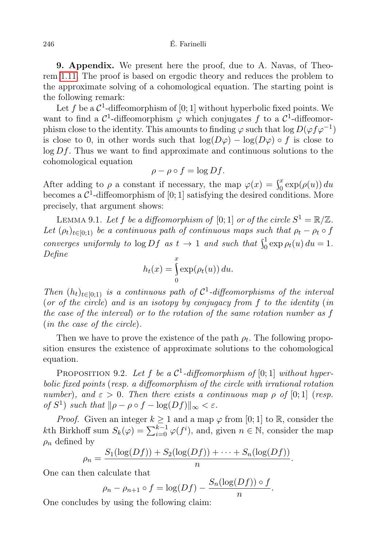9. Appendix. We present here the proof, due to A. Navas, of Theorem [1.11.](#page-6-1) The proof is based on ergodic theory and reduces the problem to the approximate solving of a cohomological equation. The starting point is the following remark:

Let f be a  $\mathcal{C}^1$ -diffeomorphism of  $[0;1]$  without hyperbolic fixed points. We want to find a  $\mathcal{C}^1$ -diffeomorphism  $\varphi$  which conjugates f to a  $\mathcal{C}^1$ -diffeomorphism close to the identity. This amounts to finding  $\varphi$  such that  $\log D(\varphi f \varphi^{-1})$ is close to 0, in other words such that  $\log(D\varphi) - \log(D\varphi) \circ f$  is close to  $\log Df$ . Thus we want to find approximate and continuous solutions to the cohomological equation

$$
\rho - \rho \circ f = \log Df.
$$

After adding to  $\rho$  a constant if necessary, the map  $\varphi(x) = \int_0^x \exp(\rho(u)) du$ becomes a  $\mathcal{C}^1$ -diffeomorphism of [0; 1] satisfying the desired conditions. More precisely, that argument shows:

LEMMA 9.1. Let f be a diffeomorphism of [0; 1] or of the circle  $S^1 = \mathbb{R}/\mathbb{Z}$ . Let  $(\rho_t)_{t\in[0,1)}$  be a continuous path of continuous maps such that  $\rho_t - \rho_t \circ f$ converges uniformly to  $\log Df$  as  $t \to 1$  and such that  $\int_0^1 \exp \rho_t(u) du = 1$ . Define

$$
h_t(x) = \int_0^x \exp(\rho_t(u)) du.
$$

Then  $(h_t)_{t\in[0;1)}$  is a continuous path of  $C^1$ -diffeomorphisms of the interval (or of the circle) and is an isotopy by conjugacy from f to the identity (in the case of the interval) or to the rotation of the same rotation number as f (in the case of the circle).

Then we have to prove the existence of the path  $\rho_t$ . The following proposition ensures the existence of approximate solutions to the cohomological equation.

PROPOSITION 9.2. Let f be a  $C^1$ -diffeomorphism of [0; 1] without hyperbolic fixed points (resp. a diffeomorphism of the circle with irrational rotation number), and  $\varepsilon > 0$ . Then there exists a continuous map  $\rho$  of [0;1] (resp. of  $S^1$ ) such that  $\|\rho - \rho \circ f - \log(Df)\|_{\infty} < \varepsilon$ .

*Proof.* Given an integer  $k \ge 1$  and a map  $\varphi$  from [0; 1] to  $\mathbb{R}$ , consider the kth Birkhoff sum  $S_k(\varphi) = \sum_{i=0}^{k-1} \varphi(f^i)$ , and, given  $n \in \mathbb{N}$ , consider the map  $\rho_n$  defined by

$$
\rho_n = \frac{S_1(\log(Df)) + S_2(\log(Df)) + \dots + S_n(\log(Df))}{n}.
$$

One can then calculate that

$$
\rho_n - \rho_{n+1} \circ f = \log(Df) - \frac{S_n(\log(Df)) \circ f}{n}.
$$

One concludes by using the following claim: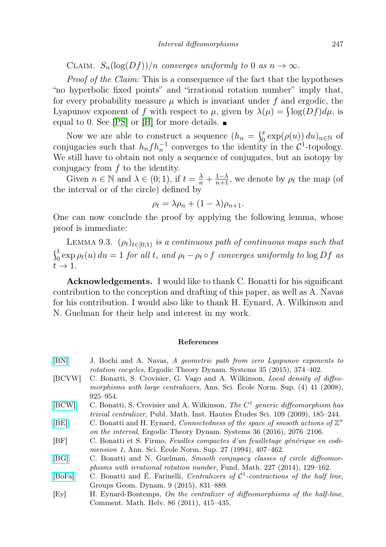CLAIM.  $S_n(\log(Df))/n$  converges uniformly to 0 as  $n \to \infty$ .

Proof of the Claim: This is a consequence of the fact that the hypotheses "no hyperbolic fixed points" and "irrational rotation number" imply that, for every probability measure  $\mu$  which is invariant under f and ergodic, the Lyapunov exponent of f with respect to  $\mu$ , given by  $\lambda(\mu) = \int \log(Df) d\mu$ , is equal to 0. See  $|PS|$  or  $|H|$  for more details.  $\blacksquare$ 

Now we are able to construct a sequence  $(h_n = \int_0^x \exp(\rho(u)) du)_{n \in \mathbb{N}}$  of conjugacies such that  $h_n f h_n^{-1}$  converges to the identity in the  $\mathcal{C}^1$ -topology. We still have to obtain not only a sequence of conjugates, but an isotopy by conjugacy from  $f$  to the identity.

Given  $n \in \mathbb{N}$  and  $\lambda \in (0, 1)$ , if  $t = \frac{\lambda}{n} + \frac{1-\lambda}{n+1}$ , we denote by  $\rho_t$  the map (of the interval or of the circle) defined by

$$
\rho_t = \lambda \rho_n + (1 - \lambda) \rho_{n+1}.
$$

One can now conclude the proof by applying the following lemma, whose proof is immediate:

LEMMA 9.3.  $(\rho_t)_{t\in[0,1)}$  is a continuous path of continuous maps such that  $\int_0^1 \exp \rho_t(u) \, du = 1$  for all t, and  $\rho_t - \rho_t \circ f$  converges uniformly to  $\log Df$  as  $t \rightarrow 1$ .

Acknowledgements. I would like to thank C. Bonatti for his significant contribution to the conception and drafting of this paper, as well as A. Navas for his contribution. I would also like to thank H. Eynard, A. Wilkinson and N. Guelman for their help and interest in my work.

#### References

- <span id="page-46-0"></span>[\[BN\]](http://dx.doi.org/10.1017/etds.2013.58) J. Bochi and A. Navas, A geometric path from zero Lyapunov exponents to rotation cocycles, Ergodic Theory Dynam. Systems 35 (2015), 374–402. [BCVW] C. Bonatti, S. Crovisier, G. Vago and A. Wilkinson, Local density of diffeomorphisms with large centralizers, Ann. Sci. École Norm. Sup. (4) 41 (2008), 925–954.
- [\[BCW\]](http://dx.doi.org/10.1007/s10240-009-0021-z) C. Bonatti, S. Crovisier and A. Wilkinson, The  $C<sup>1</sup>$  generic diffeomorphism has trivial centralizer, Publ. Math. Inst. Hautes Études Sci. 109 (2009), 185–244.
- <span id="page-46-3"></span>[\[BE\]](http://dx.doi.org/10.1017/etds.2015.3) C. Bonatti and H. Eynard, Connectedness of the space of smooth actions of  $\mathbb{Z}^n$ on the interval, Ergodic Theory Dynam. Systems 36 (2016), 2076–2106.
- <span id="page-46-4"></span>[BF] C. Bonatti et S. Firmo, Feuilles compactes d'un feuilletage générique en codimension 1, Ann. Sci. École Norm. Sup. 27 (1994), 407–462.
- [\[BG\]](http://dx.doi.org/10.4064/fm227-2-2) C. Bonatti and N. Guelman, Smooth conjugacy classes of circle diffeomorphisms with irrational rotation number, Fund. Math. 227 (2014), 129–162.
- <span id="page-46-2"></span>[\[BoFa\]](http://dx.doi.org/10.4171/GGD/330) C. Bonatti and É. Farinelli, Centralizers of  $C^1$ -contractions of the half line, Groups Geom. Dynam. 9 (2015), 831–889.
- <span id="page-46-1"></span>[Ey] H. Eynard-Bontemps, On the centralizer of diffeomorphisms of the half-line, Comment. Math. Helv. 86 (2011), 415–435.